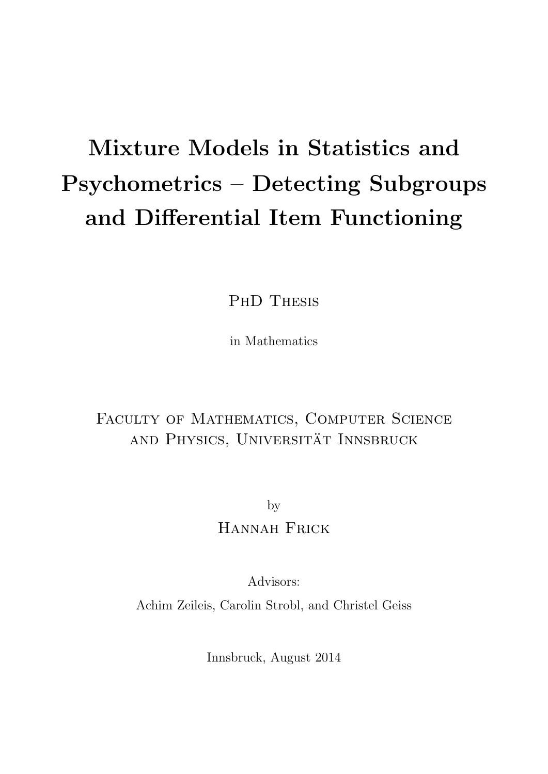# Mixture Models in Statistics and Psychometrics – Detecting Subgroups and Differential Item Functioning

PhD Thesis

in Mathematics

## Faculty of Mathematics, Computer Science and Physics, Universität Innsbruck

by Hannah Frick

Advisors:

Achim Zeileis, Carolin Strobl, and Christel Geiss

Innsbruck, August 2014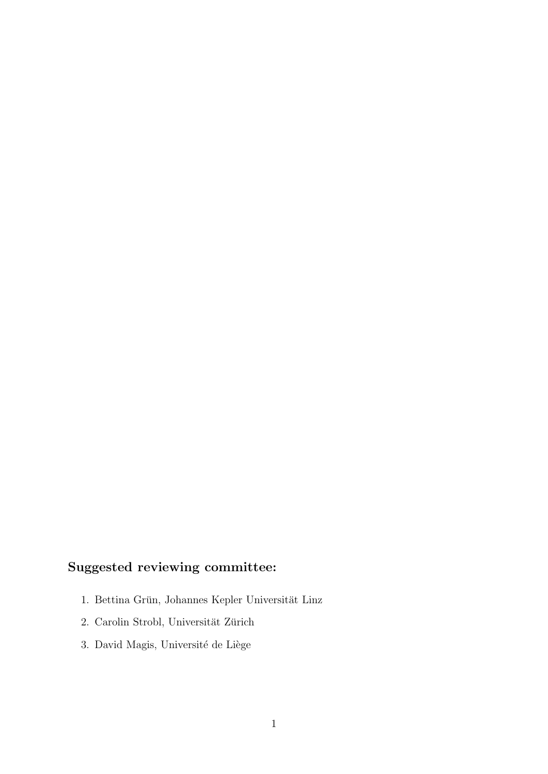## Suggested reviewing committee:

- 1. Bettina Grün, Johannes Kepler Universität $\rm Linz$
- 2. Carolin Strobl, Universität Zürich
- 3. David Magis, Université de Liège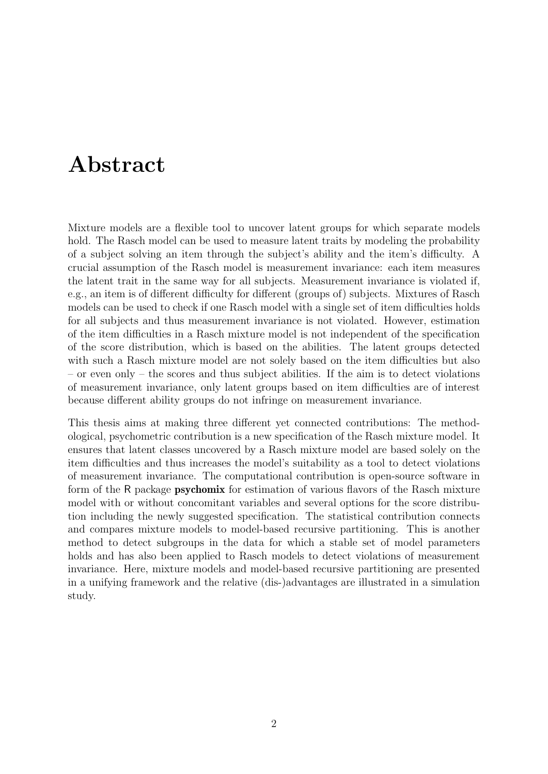## <span id="page-2-0"></span>Abstract

Mixture models are a flexible tool to uncover latent groups for which separate models hold. The Rasch model can be used to measure latent traits by modeling the probability of a subject solving an item through the subject's ability and the item's difficulty. A crucial assumption of the Rasch model is measurement invariance: each item measures the latent trait in the same way for all subjects. Measurement invariance is violated if, e.g., an item is of different difficulty for different (groups of) subjects. Mixtures of Rasch models can be used to check if one Rasch model with a single set of item difficulties holds for all subjects and thus measurement invariance is not violated. However, estimation of the item difficulties in a Rasch mixture model is not independent of the specification of the score distribution, which is based on the abilities. The latent groups detected with such a Rasch mixture model are not solely based on the item difficulties but also – or even only – the scores and thus subject abilities. If the aim is to detect violations of measurement invariance, only latent groups based on item difficulties are of interest because different ability groups do not infringe on measurement invariance.

This thesis aims at making three different yet connected contributions: The methodological, psychometric contribution is a new specification of the Rasch mixture model. It ensures that latent classes uncovered by a Rasch mixture model are based solely on the item difficulties and thus increases the model's suitability as a tool to detect violations of measurement invariance. The computational contribution is open-source software in form of the R package **psychomix** for estimation of various flavors of the Rasch mixture model with or without concomitant variables and several options for the score distribution including the newly suggested specification. The statistical contribution connects and compares mixture models to model-based recursive partitioning. This is another method to detect subgroups in the data for which a stable set of model parameters holds and has also been applied to Rasch models to detect violations of measurement invariance. Here, mixture models and model-based recursive partitioning are presented in a unifying framework and the relative (dis-)advantages are illustrated in a simulation study.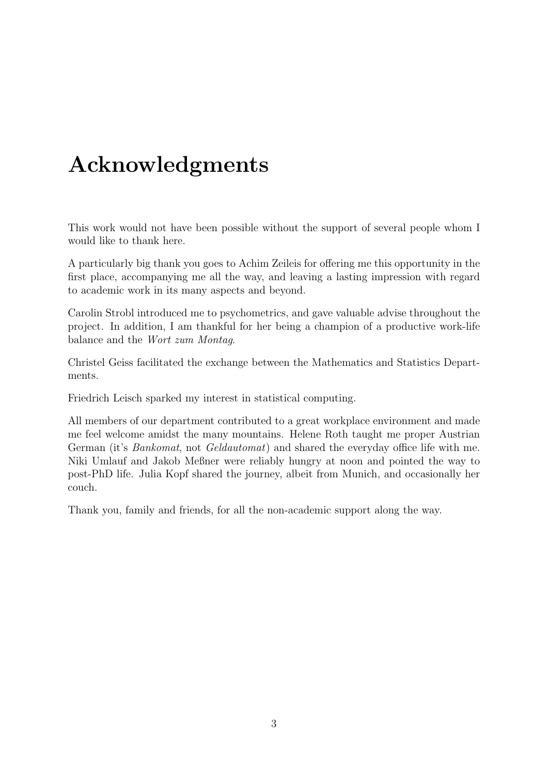# <span id="page-3-0"></span>Acknowledgments

This work would not have been possible without the support of several people whom I would like to thank here.

A particularly big thank you goes to Achim Zeileis for offering me this opportunity in the first place, accompanying me all the way, and leaving a lasting impression with regard to academic work in its many aspects and beyond.

Carolin Strobl introduced me to psychometrics, and gave valuable advise throughout the project. In addition, I am thankful for her being a champion of a productive work-life balance and the Wort zum Montag.

Christel Geiss facilitated the exchange between the Mathematics and Statistics Departments.

Friedrich Leisch sparked my interest in statistical computing.

All members of our department contributed to a great workplace environment and made me feel welcome amidst the many mountains. Helene Roth taught me proper Austrian German (it's *Bankomat*, not *Geldautomat*) and shared the everyday office life with me. Niki Umlauf and Jakob Meßner were reliably hungry at noon and pointed the way to post-PhD life. Julia Kopf shared the journey, albeit from Munich, and occasionally her couch.

Thank you, family and friends, for all the non-academic support along the way.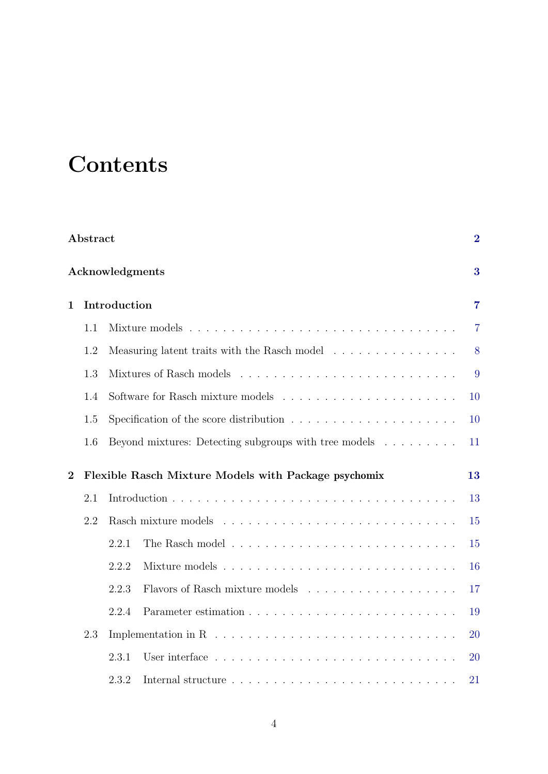# **Contents**

|                | Abstract |                 |                                                                                                     | $\overline{2}$ |
|----------------|----------|-----------------|-----------------------------------------------------------------------------------------------------|----------------|
|                |          | Acknowledgments |                                                                                                     | 3              |
| $\mathbf{1}$   |          | Introduction    |                                                                                                     | $\overline{7}$ |
|                | 1.1      |                 |                                                                                                     | $\overline{7}$ |
|                | 1.2      |                 | Measuring latent traits with the Rasch model                                                        | 8              |
|                | 1.3      |                 | Mixtures of Rasch models                                                                            | 9              |
|                | 1.4      |                 |                                                                                                     | 10             |
|                | 1.5      |                 | Specification of the score distribution $\ldots \ldots \ldots \ldots \ldots \ldots \ldots$          | 10             |
|                | 1.6      |                 | Beyond mixtures: Detecting subgroups with tree models $\dots \dots$                                 | 11             |
| $\overline{2}$ |          |                 | Flexible Rasch Mixture Models with Package psychomix                                                | 13             |
|                | 2.1      |                 |                                                                                                     | 13             |
|                | 2.2      |                 |                                                                                                     | 15             |
|                |          | 2.2.1           |                                                                                                     | 15             |
|                |          | 2.2.2           |                                                                                                     | 16             |
|                |          | 2.2.3           |                                                                                                     | 17             |
|                |          | 2.2.4           |                                                                                                     | 19             |
|                | 2.3      |                 | Implementation in R $\dots \dots \dots \dots \dots \dots \dots \dots \dots \dots \dots \dots \dots$ | 20             |
|                |          | 2.3.1           |                                                                                                     | 20             |
|                |          | 2.3.2           |                                                                                                     | 21             |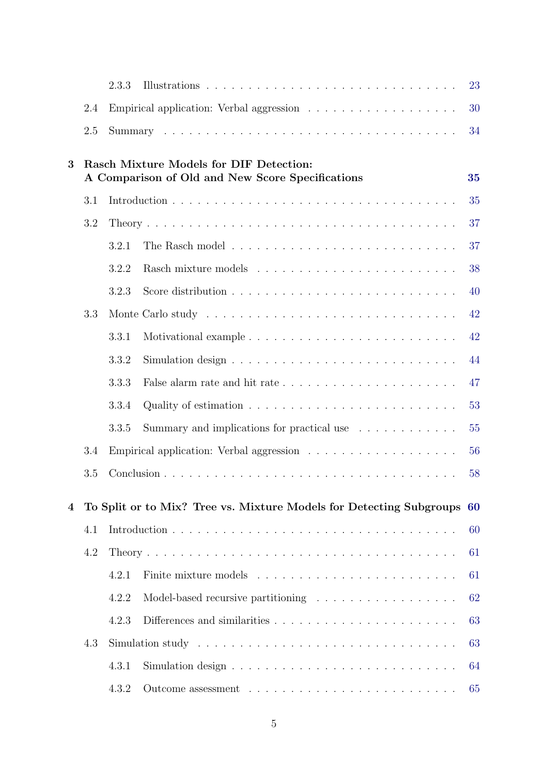|   |     | 2.3.3                                                                                        | 23 |
|---|-----|----------------------------------------------------------------------------------------------|----|
|   | 2.4 |                                                                                              | 30 |
|   | 2.5 |                                                                                              | 34 |
| 3 |     | Rasch Mixture Models for DIF Detection:<br>A Comparison of Old and New Score Specifications  | 35 |
|   | 3.1 |                                                                                              | 35 |
|   | 3.2 |                                                                                              | 37 |
|   |     | 3.2.1                                                                                        | 37 |
|   |     | 3.2.2                                                                                        | 38 |
|   |     | 3.2.3<br>Score distribution $\ldots \ldots \ldots \ldots \ldots \ldots \ldots \ldots \ldots$ | 40 |
|   | 3.3 |                                                                                              | 42 |
|   |     | 3.3.1                                                                                        | 42 |
|   |     | 3.3.2                                                                                        | 44 |
|   |     | 3.3.3                                                                                        | 47 |
|   |     | 3.3.4                                                                                        | 53 |
|   |     | 3.3.5<br>Summary and implications for practical use $\dots \dots \dots$                      | 55 |
|   | 3.4 |                                                                                              | 56 |
|   | 3.5 |                                                                                              | 58 |
| 4 |     | To Split or to Mix? Tree vs. Mixture Models for Detecting Subgroups                          | 60 |
|   | 4.1 |                                                                                              | 60 |
|   | 4.2 |                                                                                              | 61 |
|   |     | 4.2.1                                                                                        | 61 |
|   |     | Model-based recursive partitioning $\ldots \ldots \ldots \ldots \ldots \ldots$<br>4.2.2      | 62 |
|   |     | 4.2.3                                                                                        | 63 |
|   | 4.3 |                                                                                              | 63 |
|   |     | 4.3.1                                                                                        | 64 |
|   |     | 4.3.2                                                                                        | 65 |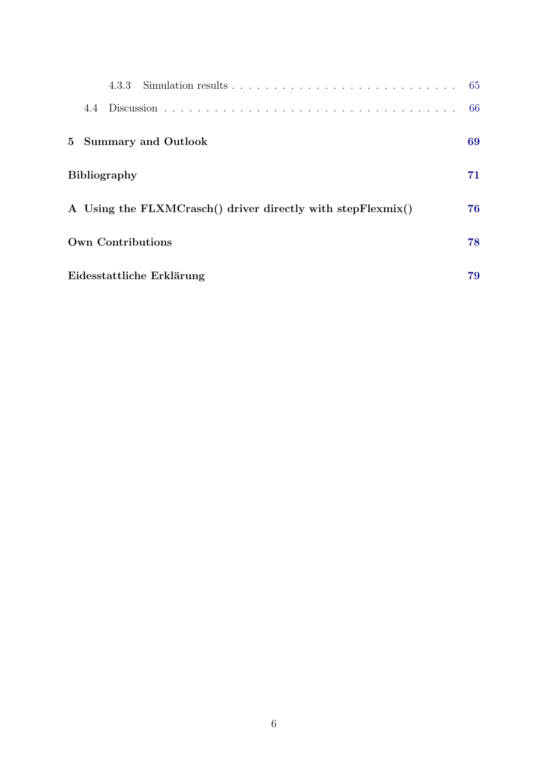|                |     | 4.3.3                    |                                                             | -65 |
|----------------|-----|--------------------------|-------------------------------------------------------------|-----|
|                | 4.4 |                          |                                                             | 66  |
| 5 <sup>5</sup> |     |                          | <b>Summary and Outlook</b>                                  | 69  |
|                |     | <b>Bibliography</b>      |                                                             | 71  |
|                |     |                          | A Using the FLXMCrasch() driver directly with stepFlexmix() | 76  |
|                |     | <b>Own Contributions</b> |                                                             | 78  |
|                |     |                          | Eidesstattliche Erklärung                                   | 79  |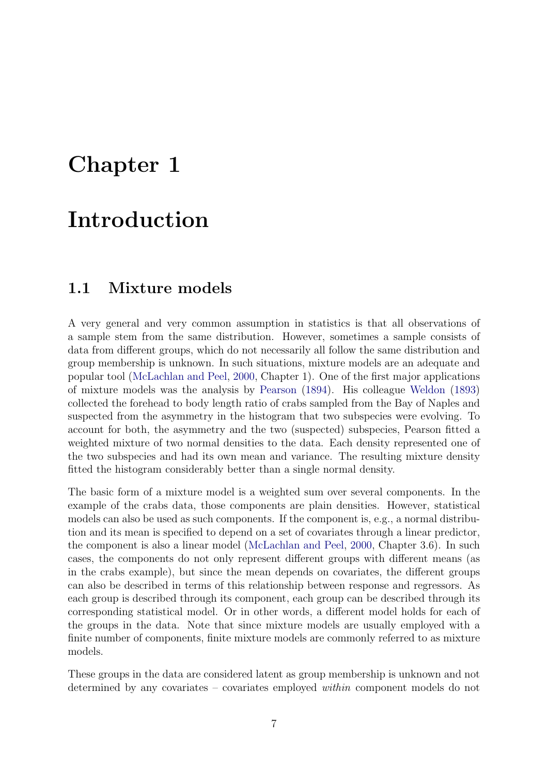## <span id="page-7-0"></span>Chapter 1

## Introduction

## <span id="page-7-1"></span>1.1 Mixture models

A very general and very common assumption in statistics is that all observations of a sample stem from the same distribution. However, sometimes a sample consists of data from different groups, which do not necessarily all follow the same distribution and group membership is unknown. In such situations, mixture models are an adequate and popular tool [\(McLachlan and Peel,](#page-73-0) [2000,](#page-73-0) Chapter 1). One of the first major applications of mixture models was the analysis by [Pearson](#page-73-1) [\(1894\)](#page-73-1). His colleague [Weldon](#page-75-0) [\(1893\)](#page-75-0) collected the forehead to body length ratio of crabs sampled from the Bay of Naples and suspected from the asymmetry in the histogram that two subspecies were evolving. To account for both, the asymmetry and the two (suspected) subspecies, Pearson fitted a weighted mixture of two normal densities to the data. Each density represented one of the two subspecies and had its own mean and variance. The resulting mixture density fitted the histogram considerably better than a single normal density.

The basic form of a mixture model is a weighted sum over several components. In the example of the crabs data, those components are plain densities. However, statistical models can also be used as such components. If the component is, e.g., a normal distribution and its mean is specified to depend on a set of covariates through a linear predictor, the component is also a linear model [\(McLachlan and Peel,](#page-73-0) [2000,](#page-73-0) Chapter 3.6). In such cases, the components do not only represent different groups with different means (as in the crabs example), but since the mean depends on covariates, the different groups can also be described in terms of this relationship between response and regressors. As each group is described through its component, each group can be described through its corresponding statistical model. Or in other words, a different model holds for each of the groups in the data. Note that since mixture models are usually employed with a finite number of components, finite mixture models are commonly referred to as mixture models.

These groups in the data are considered latent as group membership is unknown and not determined by any covariates – covariates employed within component models do not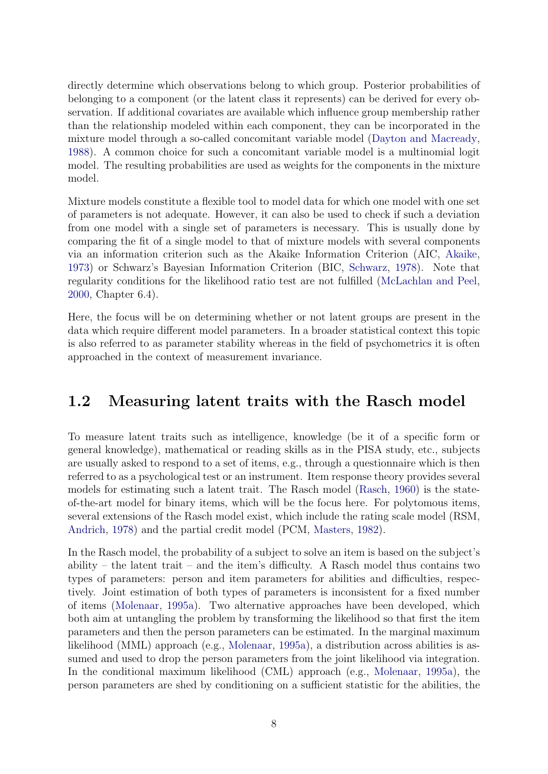directly determine which observations belong to which group. Posterior probabilities of belonging to a component (or the latent class it represents) can be derived for every observation. If additional covariates are available which influence group membership rather than the relationship modeled within each component, they can be incorporated in the mixture model through a so-called concomitant variable model [\(Dayton and Macready,](#page-71-1) [1988\)](#page-71-1). A common choice for such a concomitant variable model is a multinomial logit model. The resulting probabilities are used as weights for the components in the mixture model.

Mixture models constitute a flexible tool to model data for which one model with one set of parameters is not adequate. However, it can also be used to check if such a deviation from one model with a single set of parameters is necessary. This is usually done by comparing the fit of a single model to that of mixture models with several components via an information criterion such as the Akaike Information Criterion (AIC, [Akaike,](#page-71-2) [1973\)](#page-71-2) or Schwarz's Bayesian Information Criterion (BIC, [Schwarz,](#page-74-0) [1978\)](#page-74-0). Note that regularity conditions for the likelihood ratio test are not fulfilled [\(McLachlan and Peel,](#page-73-0) [2000,](#page-73-0) Chapter 6.4).

Here, the focus will be on determining whether or not latent groups are present in the data which require different model parameters. In a broader statistical context this topic is also referred to as parameter stability whereas in the field of psychometrics it is often approached in the context of measurement invariance.

## <span id="page-8-0"></span>1.2 Measuring latent traits with the Rasch model

To measure latent traits such as intelligence, knowledge (be it of a specific form or general knowledge), mathematical or reading skills as in the PISA study, etc., subjects are usually asked to respond to a set of items, e.g., through a questionnaire which is then referred to as a psychological test or an instrument. Item response theory provides several models for estimating such a latent trait. The Rasch model [\(Rasch,](#page-74-1) [1960\)](#page-74-1) is the stateof-the-art model for binary items, which will be the focus here. For polytomous items, several extensions of the Rasch model exist, which include the rating scale model (RSM, [Andrich,](#page-71-3) [1978\)](#page-71-3) and the partial credit model (PCM, [Masters,](#page-73-2) [1982\)](#page-73-2).

In the Rasch model, the probability of a subject to solve an item is based on the subject's ability – the latent trait – and the item's difficulty. A Rasch model thus contains two types of parameters: person and item parameters for abilities and difficulties, respectively. Joint estimation of both types of parameters is inconsistent for a fixed number of items [\(Molenaar,](#page-73-3) [1995a\)](#page-73-3). Two alternative approaches have been developed, which both aim at untangling the problem by transforming the likelihood so that first the item parameters and then the person parameters can be estimated. In the marginal maximum likelihood (MML) approach (e.g., [Molenaar,](#page-73-3) [1995a\)](#page-73-3), a distribution across abilities is assumed and used to drop the person parameters from the joint likelihood via integration. In the conditional maximum likelihood (CML) approach (e.g., [Molenaar,](#page-73-3) [1995a\)](#page-73-3), the person parameters are shed by conditioning on a sufficient statistic for the abilities, the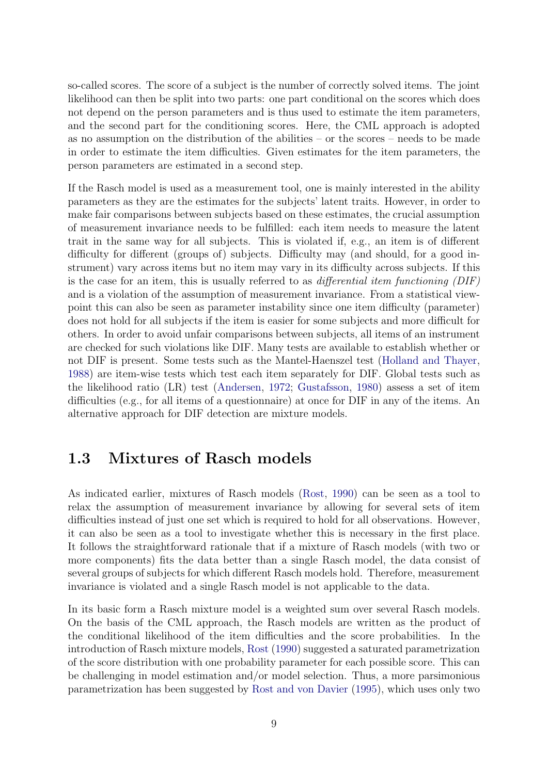so-called scores. The score of a subject is the number of correctly solved items. The joint likelihood can then be split into two parts: one part conditional on the scores which does not depend on the person parameters and is thus used to estimate the item parameters, and the second part for the conditioning scores. Here, the CML approach is adopted as no assumption on the distribution of the abilities – or the scores – needs to be made in order to estimate the item difficulties. Given estimates for the item parameters, the person parameters are estimated in a second step.

If the Rasch model is used as a measurement tool, one is mainly interested in the ability parameters as they are the estimates for the subjects' latent traits. However, in order to make fair comparisons between subjects based on these estimates, the crucial assumption of measurement invariance needs to be fulfilled: each item needs to measure the latent trait in the same way for all subjects. This is violated if, e.g., an item is of different difficulty for different (groups of) subjects. Difficulty may (and should, for a good instrument) vary across items but no item may vary in its difficulty across subjects. If this is the case for an item, this is usually referred to as differential item functioning (DIF) and is a violation of the assumption of measurement invariance. From a statistical viewpoint this can also be seen as parameter instability since one item difficulty (parameter) does not hold for all subjects if the item is easier for some subjects and more difficult for others. In order to avoid unfair comparisons between subjects, all items of an instrument are checked for such violations like DIF. Many tests are available to establish whether or not DIF is present. Some tests such as the Mantel-Haenszel test [\(Holland and Thayer,](#page-72-0) [1988\)](#page-72-0) are item-wise tests which test each item separately for DIF. Global tests such as the likelihood ratio (LR) test [\(Andersen,](#page-71-4) [1972;](#page-71-4) [Gustafsson,](#page-72-1) [1980\)](#page-72-1) assess a set of item difficulties (e.g., for all items of a questionnaire) at once for DIF in any of the items. An alternative approach for DIF detection are mixture models.

## <span id="page-9-0"></span>1.3 Mixtures of Rasch models

As indicated earlier, mixtures of Rasch models [\(Rost,](#page-74-2) [1990\)](#page-74-2) can be seen as a tool to relax the assumption of measurement invariance by allowing for several sets of item difficulties instead of just one set which is required to hold for all observations. However, it can also be seen as a tool to investigate whether this is necessary in the first place. It follows the straightforward rationale that if a mixture of Rasch models (with two or more components) fits the data better than a single Rasch model, the data consist of several groups of subjects for which different Rasch models hold. Therefore, measurement invariance is violated and a single Rasch model is not applicable to the data.

In its basic form a Rasch mixture model is a weighted sum over several Rasch models. On the basis of the CML approach, the Rasch models are written as the product of the conditional likelihood of the item difficulties and the score probabilities. In the introduction of Rasch mixture models, [Rost](#page-74-2) [\(1990\)](#page-74-2) suggested a saturated parametrization of the score distribution with one probability parameter for each possible score. This can be challenging in model estimation and/or model selection. Thus, a more parsimonious parametrization has been suggested by [Rost and von Davier](#page-74-3) [\(1995\)](#page-74-3), which uses only two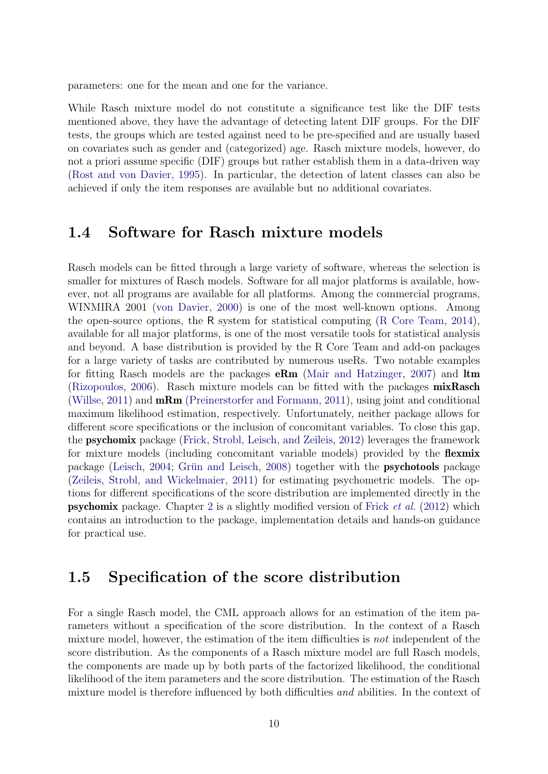parameters: one for the mean and one for the variance.

While Rasch mixture model do not constitute a significance test like the DIF tests mentioned above, they have the advantage of detecting latent DIF groups. For the DIF tests, the groups which are tested against need to be pre-specified and are usually based on covariates such as gender and (categorized) age. Rasch mixture models, however, do not a priori assume specific (DIF) groups but rather establish them in a data-driven way [\(Rost and von Davier,](#page-74-3) [1995\)](#page-74-3). In particular, the detection of latent classes can also be achieved if only the item responses are available but no additional covariates.

### <span id="page-10-0"></span>1.4 Software for Rasch mixture models

Rasch models can be fitted through a large variety of software, whereas the selection is smaller for mixtures of Rasch models. Software for all major platforms is available, however, not all programs are available for all platforms. Among the commercial programs, WINMIRA 2001 [\(von Davier,](#page-75-1) [2000\)](#page-75-1) is one of the most well-known options. Among the open-source options, the R system for statistical computing [\(R Core Team,](#page-74-4) [2014\)](#page-74-4), available for all major platforms, is one of the most versatile tools for statistical analysis and beyond. A base distribution is provided by the R Core Team and add-on packages for a large variety of tasks are contributed by numerous useRs. Two notable examples for fitting Rasch models are the packages  $eRm$  [\(Mair and Hatzinger,](#page-73-4) [2007\)](#page-73-4) and  $\text{lim}$ [\(Rizopoulos,](#page-74-5) [2006\)](#page-74-5). Rasch mixture models can be fitted with the packages **mixRasch** [\(Willse,](#page-75-2) [2011\)](#page-73-5) and  $\mathbf{mRm}$  [\(Preinerstorfer and Formann,](#page-73-5) 2011), using joint and conditional maximum likelihood estimation, respectively. Unfortunately, neither package allows for different score specifications or the inclusion of concomitant variables. To close this gap, the psychomix package [\(Frick, Strobl, Leisch, and Zeileis,](#page-72-2) [2012\)](#page-72-2) leverages the framework for mixture models (including concomitant variable models) provided by the **flexmix** package [\(Leisch,](#page-73-6) [2004;](#page-73-6) Grün and Leisch, [2008\)](#page-72-3) together with the **psychotools** package [\(Zeileis, Strobl, and Wickelmaier,](#page-75-3) [2011\)](#page-75-3) for estimating psychometric models. The options for different specifications of the score distribution are implemented directly in the psychomix package. Chapter [2](#page-13-0) is a slightly modified version of Frick [et al.](#page-72-2) [\(2012\)](#page-72-2) which contains an introduction to the package, implementation details and hands-on guidance for practical use.

### <span id="page-10-1"></span>1.5 Specification of the score distribution

For a single Rasch model, the CML approach allows for an estimation of the item parameters without a specification of the score distribution. In the context of a Rasch mixture model, however, the estimation of the item difficulties is not independent of the score distribution. As the components of a Rasch mixture model are full Rasch models, the components are made up by both parts of the factorized likelihood, the conditional likelihood of the item parameters and the score distribution. The estimation of the Rasch mixture model is therefore influenced by both difficulties and abilities. In the context of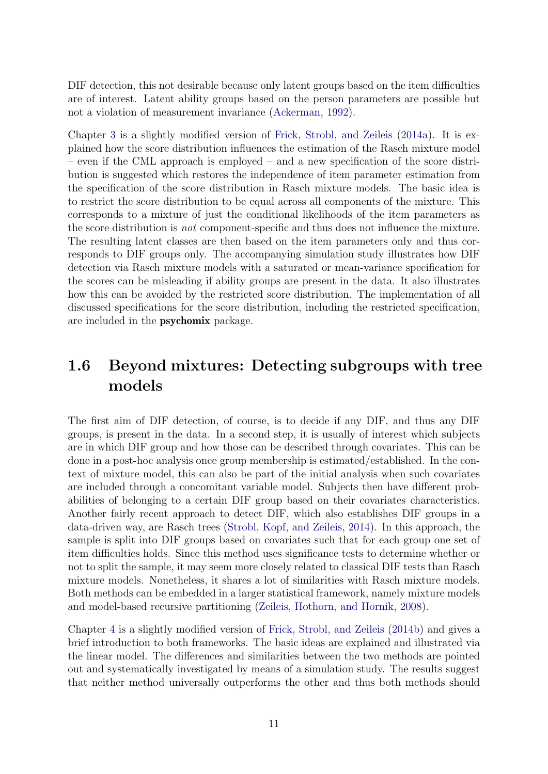DIF detection, this not desirable because only latent groups based on the item difficulties are of interest. Latent ability groups based on the person parameters are possible but not a violation of measurement invariance [\(Ackerman,](#page-71-5) [1992\)](#page-71-5).

Chapter [3](#page-35-0) is a slightly modified version of [Frick, Strobl, and Zeileis](#page-72-4) [\(2014a\)](#page-72-4). It is explained how the score distribution influences the estimation of the Rasch mixture model – even if the CML approach is employed – and a new specification of the score distribution is suggested which restores the independence of item parameter estimation from the specification of the score distribution in Rasch mixture models. The basic idea is to restrict the score distribution to be equal across all components of the mixture. This corresponds to a mixture of just the conditional likelihoods of the item parameters as the score distribution is not component-specific and thus does not influence the mixture. The resulting latent classes are then based on the item parameters only and thus corresponds to DIF groups only. The accompanying simulation study illustrates how DIF detection via Rasch mixture models with a saturated or mean-variance specification for the scores can be misleading if ability groups are present in the data. It also illustrates how this can be avoided by the restricted score distribution. The implementation of all discussed specifications for the score distribution, including the restricted specification, are included in the psychomix package.

## <span id="page-11-0"></span>1.6 Beyond mixtures: Detecting subgroups with tree models

The first aim of DIF detection, of course, is to decide if any DIF, and thus any DIF groups, is present in the data. In a second step, it is usually of interest which subjects are in which DIF group and how those can be described through covariates. This can be done in a post-hoc analysis once group membership is estimated/established. In the context of mixture model, this can also be part of the initial analysis when such covariates are included through a concomitant variable model. Subjects then have different probabilities of belonging to a certain DIF group based on their covariates characteristics. Another fairly recent approach to detect DIF, which also establishes DIF groups in a data-driven way, are Rasch trees [\(Strobl, Kopf, and Zeileis,](#page-74-6) [2014\)](#page-74-6). In this approach, the sample is split into DIF groups based on covariates such that for each group one set of item difficulties holds. Since this method uses significance tests to determine whether or not to split the sample, it may seem more closely related to classical DIF tests than Rasch mixture models. Nonetheless, it shares a lot of similarities with Rasch mixture models. Both methods can be embedded in a larger statistical framework, namely mixture models and model-based recursive partitioning [\(Zeileis, Hothorn, and Hornik,](#page-75-4) [2008\)](#page-75-4).

Chapter [4](#page-60-0) is a slightly modified version of [Frick, Strobl, and Zeileis](#page-72-5) [\(2014b\)](#page-72-5) and gives a brief introduction to both frameworks. The basic ideas are explained and illustrated via the linear model. The differences and similarities between the two methods are pointed out and systematically investigated by means of a simulation study. The results suggest that neither method universally outperforms the other and thus both methods should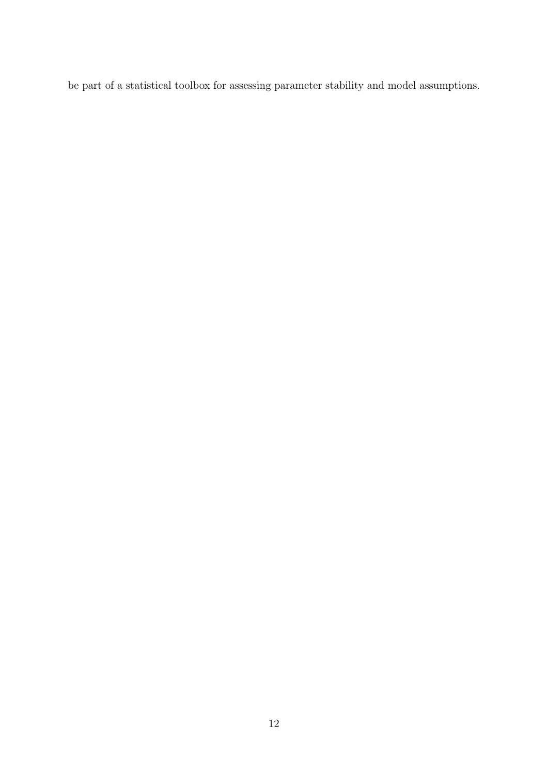be part of a statistical toolbox for assessing parameter stability and model assumptions.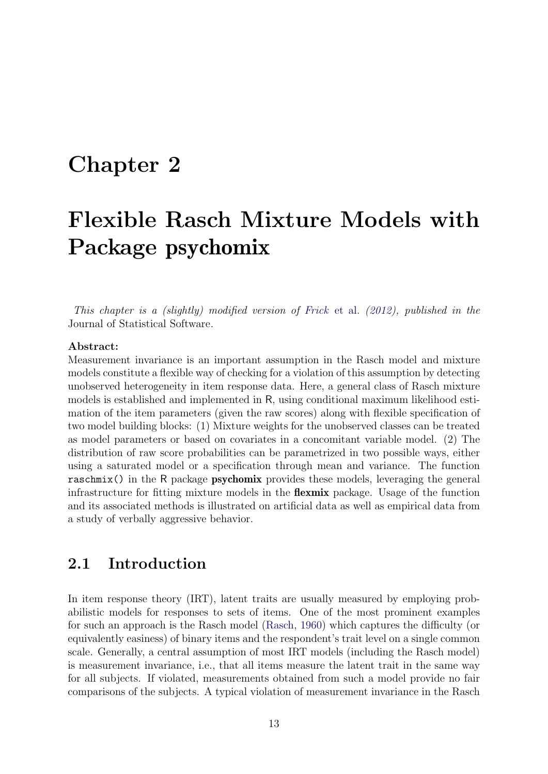## <span id="page-13-0"></span>Chapter 2

# Flexible Rasch Mixture Models with Package psychomix

This chapter is a (slightly) modified version of Frick [et al.](#page-72-2) [\(2012\)](#page-72-2), published in the Journal of Statistical Software.

#### Abstract:

Measurement invariance is an important assumption in the Rasch model and mixture models constitute a flexible way of checking for a violation of this assumption by detecting unobserved heterogeneity in item response data. Here, a general class of Rasch mixture models is established and implemented in R, using conditional maximum likelihood estimation of the item parameters (given the raw scores) along with flexible specification of two model building blocks: (1) Mixture weights for the unobserved classes can be treated as model parameters or based on covariates in a concomitant variable model. (2) The distribution of raw score probabilities can be parametrized in two possible ways, either using a saturated model or a specification through mean and variance. The function raschmix() in the R package **psychomix** provides these models, leveraging the general infrastructure for fitting mixture models in the flexmix package. Usage of the function and its associated methods is illustrated on artificial data as well as empirical data from a study of verbally aggressive behavior.

### <span id="page-13-1"></span>2.1 Introduction

In item response theory (IRT), latent traits are usually measured by employing probabilistic models for responses to sets of items. One of the most prominent examples for such an approach is the Rasch model [\(Rasch,](#page-74-1) [1960\)](#page-74-1) which captures the difficulty (or equivalently easiness) of binary items and the respondent's trait level on a single common scale. Generally, a central assumption of most IRT models (including the Rasch model) is measurement invariance, i.e., that all items measure the latent trait in the same way for all subjects. If violated, measurements obtained from such a model provide no fair comparisons of the subjects. A typical violation of measurement invariance in the Rasch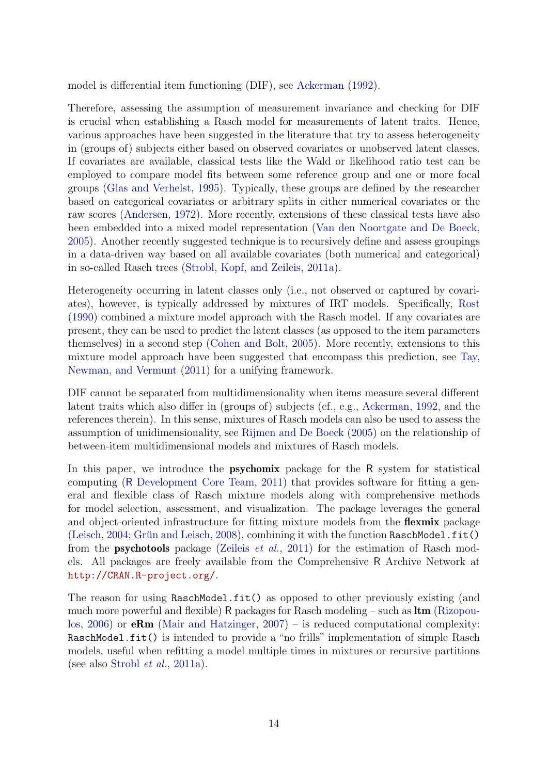model is differential item functioning (DIF), see [Ackerman](#page-71-5) [\(1992\)](#page-71-5).

Therefore, assessing the assumption of measurement invariance and checking for DIF is crucial when establishing a Rasch model for measurements of latent traits. Hence, various approaches have been suggested in the literature that try to assess heterogeneity in (groups of) subjects either based on observed covariates or unobserved latent classes. If covariates are available, classical tests like the Wald or likelihood ratio test can be employed to compare model fits between some reference group and one or more focal groups [\(Glas and Verhelst,](#page-72-6) [1995\)](#page-72-6). Typically, these groups are defined by the researcher based on categorical covariates or arbitrary splits in either numerical covariates or the raw scores [\(Andersen,](#page-71-4) [1972\)](#page-71-4). More recently, extensions of these classical tests have also been embedded into a mixed model representation [\(Van den Noortgate and De Boeck,](#page-75-5) [2005\)](#page-75-5). Another recently suggested technique is to recursively define and assess groupings in a data-driven way based on all available covariates (both numerical and categorical) in so-called Rasch trees [\(Strobl, Kopf, and Zeileis,](#page-74-7) [2011a\)](#page-74-7).

Heterogeneity occurring in latent classes only (i.e., not observed or captured by covariates), however, is typically addressed by mixtures of IRT models. Specifically, [Rost](#page-74-2) [\(1990\)](#page-74-2) combined a mixture model approach with the Rasch model. If any covariates are present, they can be used to predict the latent classes (as opposed to the item parameters themselves) in a second step [\(Cohen and Bolt,](#page-71-6) [2005\)](#page-71-6). More recently, extensions to this mixture model approach have been suggested that encompass this prediction, see [Tay,](#page-74-8) [Newman, and Vermunt](#page-74-8) [\(2011\)](#page-74-8) for a unifying framework.

DIF cannot be separated from multidimensionality when items measure several different latent traits which also differ in (groups of) subjects (cf., e.g., [Ackerman,](#page-71-5) [1992,](#page-71-5) and the references therein). In this sense, mixtures of Rasch models can also be used to assess the assumption of unidimensionality, see [Rijmen and De Boeck](#page-74-9) [\(2005\)](#page-74-9) on the relationship of between-item multidimensional models and mixtures of Rasch models.

In this paper, we introduce the **psychomix** package for the R system for statistical computing (R [Development Core Team,](#page-74-10) [2011\)](#page-74-10) that provides software for fitting a general and flexible class of Rasch mixture models along with comprehensive methods for model selection, assessment, and visualization. The package leverages the general and object-oriented infrastructure for fitting mixture models from the **flexmix** package [\(Leisch,](#page-73-6) [2004;](#page-73-6) Grün and Leisch, [2008\)](#page-72-3), combining it with the function  $\texttt{RaschModel.fit}()$ from the **psychotools** package [\(Zeileis](#page-75-3) *et al.*, [2011\)](#page-75-3) for the estimation of Rasch models. All packages are freely available from the Comprehensive R Archive Network at <http://CRAN.R-project.org/>.

The reason for using RaschModel.fit() as opposed to other previously existing (and much more powerful and flexible) R packages for Rasch modeling – such as  $\text{lim}$  [\(Rizopou](#page-74-5)[los,](#page-74-5) [2006\)](#page-74-5) or  $eRm$  [\(Mair and Hatzinger,](#page-73-4) [2007\)](#page-73-4) – is reduced computational complexity: RaschModel.fit() is intended to provide a "no frills" implementation of simple Rasch models, useful when refitting a model multiple times in mixtures or recursive partitions (see also [Strobl](#page-74-7) et al., [2011a\)](#page-74-7).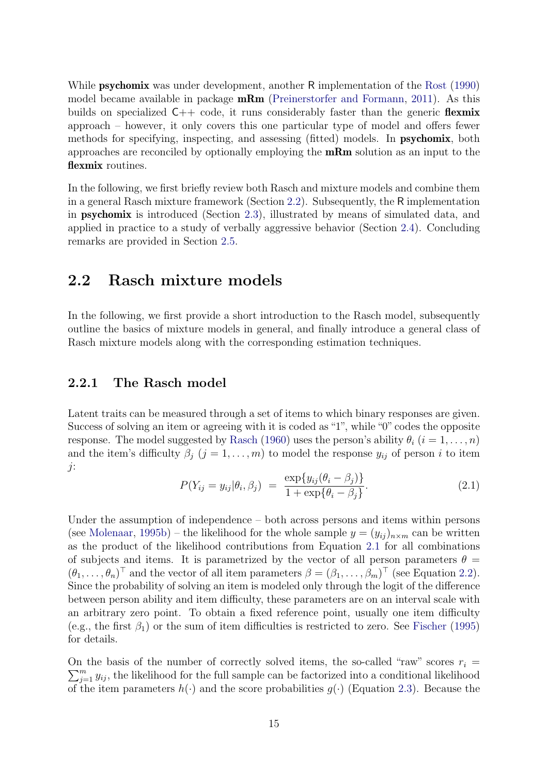While **psychomix** was under development, another R implementation of the [Rost](#page-74-2) [\(1990\)](#page-74-2) model became available in package  $mRm$  [\(Preinerstorfer and Formann,](#page-73-5) [2011\)](#page-73-5). As this builds on specialized  $C_{++}$  code, it runs considerably faster than the generic **flexmix** approach – however, it only covers this one particular type of model and offers fewer methods for specifying, inspecting, and assessing (fitted) models. In psychomix, both approaches are reconciled by optionally employing the mRm solution as an input to the flexmix routines.

In the following, we first briefly review both Rasch and mixture models and combine them in a general Rasch mixture framework (Section [2.2\)](#page-15-0). Subsequently, the R implementation in psychomix is introduced (Section [2.3\)](#page-20-0), illustrated by means of simulated data, and applied in practice to a study of verbally aggressive behavior (Section [2.4\)](#page-30-0). Concluding remarks are provided in Section [2.5.](#page-34-0)

### <span id="page-15-0"></span>2.2 Rasch mixture models

In the following, we first provide a short introduction to the Rasch model, subsequently outline the basics of mixture models in general, and finally introduce a general class of Rasch mixture models along with the corresponding estimation techniques.

#### <span id="page-15-1"></span>2.2.1 The Rasch model

Latent traits can be measured through a set of items to which binary responses are given. Success of solving an item or agreeing with it is coded as "1", while "0" codes the opposite response. The model suggested by [Rasch](#page-74-1) [\(1960\)](#page-74-1) uses the person's ability  $\theta_i$  ( $i = 1, \ldots, n$ ) and the item's difficulty  $\beta_j$   $(j = 1, ..., m)$  to model the response  $y_{ij}$  of person i to item j:

<span id="page-15-2"></span>
$$
P(Y_{ij} = y_{ij} | \theta_i, \beta_j) = \frac{\exp\{y_{ij}(\theta_i - \beta_j)\}}{1 + \exp\{\theta_i - \beta_j\}}.
$$
\n(2.1)

Under the assumption of independence – both across persons and items within persons (see [Molenaar,](#page-73-7) [1995b\)](#page-73-7) – the likelihood for the whole sample  $y = (y_{ij})_{n \times m}$  can be written as the product of the likelihood contributions from Equation [2.1](#page-15-2) for all combinations of subjects and items. It is parametrized by the vector of all person parameters  $\theta =$  $(\theta_1,\ldots,\theta_n)^\top$  and the vector of all item parameters  $\beta = (\beta_1,\ldots,\beta_m)^\top$  (see Equation [2.2\)](#page-16-1). Since the probability of solving an item is modeled only through the logit of the difference between person ability and item difficulty, these parameters are on an interval scale with an arbitrary zero point. To obtain a fixed reference point, usually one item difficulty (e.g., the first  $\beta_1$ ) or the sum of item difficulties is restricted to zero. See [Fischer](#page-72-7) [\(1995\)](#page-72-7) for details.

 $\sum_{j=1}^{m} y_{ij}$ , the likelihood for the full sample can be factorized into a conditional likelihood On the basis of the number of correctly solved items, the so-called "raw" scores  $r_i =$ of the item parameters  $h(\cdot)$  and the score probabilities  $g(\cdot)$  (Equation [2.3\)](#page-16-1). Because the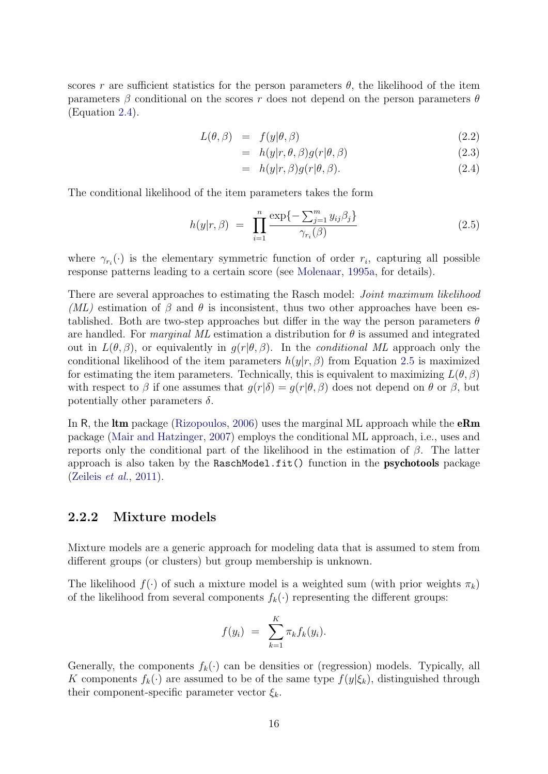scores r are sufficient statistics for the person parameters  $\theta$ , the likelihood of the item parameters  $\beta$  conditional on the scores r does not depend on the person parameters  $\theta$ (Equation [2.4\)](#page-16-1).

<span id="page-16-1"></span>
$$
L(\theta, \beta) = f(y|\theta, \beta) \tag{2.2}
$$

$$
= h(y|r, \theta, \beta)g(r|\theta, \beta) \tag{2.3}
$$

$$
= h(y|r, \beta)g(r|\theta, \beta). \tag{2.4}
$$

The conditional likelihood of the item parameters takes the form

<span id="page-16-2"></span>
$$
h(y|r,\beta) = \prod_{i=1}^{n} \frac{\exp\{-\sum_{j=1}^{m} y_{ij}\beta_j\}}{\gamma_{r_i}(\beta)}
$$
\n(2.5)

where  $\gamma_{r_i}(\cdot)$  is the elementary symmetric function of order  $r_i$ , capturing all possible response patterns leading to a certain score (see [Molenaar,](#page-73-3) [1995a,](#page-73-3) for details).

There are several approaches to estimating the Rasch model: *Joint maximum likelihood* (ML) estimation of  $\beta$  and  $\theta$  is inconsistent, thus two other approaches have been established. Both are two-step approaches but differ in the way the person parameters  $\theta$ are handled. For *marginal ML* estimation a distribution for  $\theta$  is assumed and integrated out in  $L(\theta, \beta)$ , or equivalently in  $g(r|\theta, \beta)$ . In the *conditional ML* approach only the conditional likelihood of the item parameters  $h(y|r, \beta)$  from Equation [2.5](#page-16-2) is maximized for estimating the item parameters. Technically, this is equivalent to maximizing  $L(\theta, \beta)$ with respect to  $\beta$  if one assumes that  $g(r|\delta) = g(r|\theta, \beta)$  does not depend on  $\theta$  or  $\beta$ , but potentially other parameters  $\delta$ .

In R, the **ltm** package [\(Rizopoulos,](#page-74-5) [2006\)](#page-74-5) uses the marginal ML approach while the  $eRm$ package [\(Mair and Hatzinger,](#page-73-4) [2007\)](#page-73-4) employs the conditional ML approach, i.e., uses and reports only the conditional part of the likelihood in the estimation of  $\beta$ . The latter approach is also taken by the RaschModel.fit() function in the **psychotools** package [\(Zeileis](#page-75-3) et al., [2011\)](#page-75-3).

#### <span id="page-16-0"></span>2.2.2 Mixture models

Mixture models are a generic approach for modeling data that is assumed to stem from different groups (or clusters) but group membership is unknown.

The likelihood  $f(\cdot)$  of such a mixture model is a weighted sum (with prior weights  $\pi_k$ ) of the likelihood from several components  $f_k(\cdot)$  representing the different groups:

$$
f(y_i) = \sum_{k=1}^K \pi_k f_k(y_i).
$$

Generally, the components  $f_k(\cdot)$  can be densities or (regression) models. Typically, all K components  $f_k(\cdot)$  are assumed to be of the same type  $f(y|\xi_k)$ , distinguished through their component-specific parameter vector  $\xi_k$ .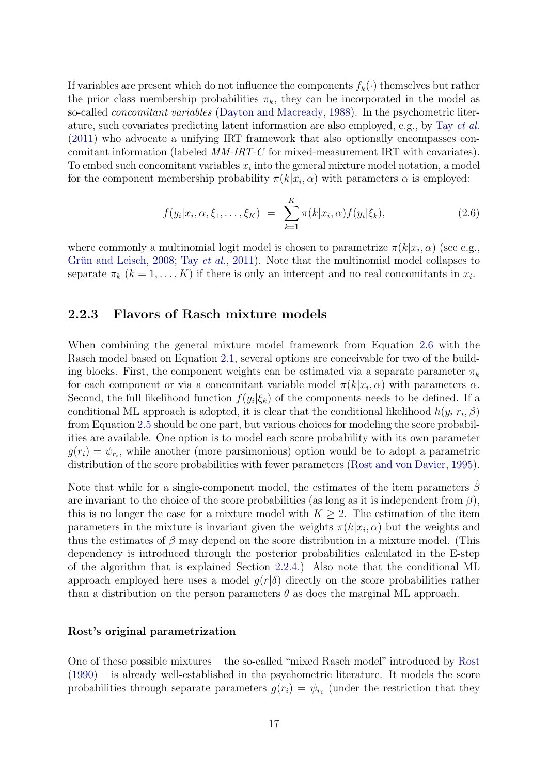If variables are present which do not influence the components  $f_k(\cdot)$  themselves but rather the prior class membership probabilities  $\pi_k$ , they can be incorporated in the model as so-called *concomitant variables* [\(Dayton and Macready,](#page-71-1) [1988\)](#page-71-1). In the psychometric literature, such covariates predicting latent information are also employed, e.g., by Tay [et al.](#page-74-8) [\(2011\)](#page-74-8) who advocate a unifying IRT framework that also optionally encompasses concomitant information (labeled MM-IRT-C for mixed-measurement IRT with covariates). To embed such concomitant variables  $x_i$  into the general mixture model notation, a model for the component membership probability  $\pi(k|x_i,\alpha)$  with parameters  $\alpha$  is employed:

<span id="page-17-1"></span>
$$
f(y_i|x_i, \alpha, \xi_1, \dots, \xi_K) = \sum_{k=1}^K \pi(k|x_i, \alpha) f(y_i|\xi_k), \qquad (2.6)
$$

where commonly a multinomial logit model is chosen to parametrize  $\pi(k|x_i,\alpha)$  (see e.g., Grün and Leisch, [2008;](#page-72-3) Tay [et al.](#page-74-8), [2011\)](#page-74-8). Note that the multinomial model collapses to separate  $\pi_k$   $(k = 1, ..., K)$  if there is only an intercept and no real concomitants in  $x_i$ .

#### <span id="page-17-0"></span>2.2.3 Flavors of Rasch mixture models

When combining the general mixture model framework from Equation [2.6](#page-17-1) with the Rasch model based on Equation [2.1,](#page-15-2) several options are conceivable for two of the building blocks. First, the component weights can be estimated via a separate parameter  $\pi_k$ for each component or via a concomitant variable model  $\pi(k|x_i,\alpha)$  with parameters  $\alpha$ . Second, the full likelihood function  $f(y_i|\xi_k)$  of the components needs to be defined. If a conditional ML approach is adopted, it is clear that the conditional likelihood  $h(y_i|r_i, \beta)$ from Equation [2.5](#page-16-2) should be one part, but various choices for modeling the score probabilities are available. One option is to model each score probability with its own parameter  $g(r_i) = \psi_{r_i}$ , while another (more parsimonious) option would be to adopt a parametric distribution of the score probabilities with fewer parameters [\(Rost and von Davier,](#page-74-3) [1995\)](#page-74-3).

Note that while for a single-component model, the estimates of the item parameters  $\beta$ are invariant to the choice of the score probabilities (as long as it is independent from  $\beta$ ), this is no longer the case for a mixture model with  $K \geq 2$ . The estimation of the item parameters in the mixture is invariant given the weights  $\pi(k|x_i,\alpha)$  but the weights and thus the estimates of  $\beta$  may depend on the score distribution in a mixture model. (This dependency is introduced through the posterior probabilities calculated in the E-step of the algorithm that is explained Section [2.2.4.](#page-19-0)) Also note that the conditional ML approach employed here uses a model  $q(r|\delta)$  directly on the score probabilities rather than a distribution on the person parameters  $\theta$  as does the marginal ML approach.

#### Rost's original parametrization

One of these possible mixtures – the so-called "mixed Rasch model" introduced by [Rost](#page-74-2) [\(1990\)](#page-74-2) – is already well-established in the psychometric literature. It models the score probabilities through separate parameters  $g(r_i) = \psi_{r_i}$  (under the restriction that they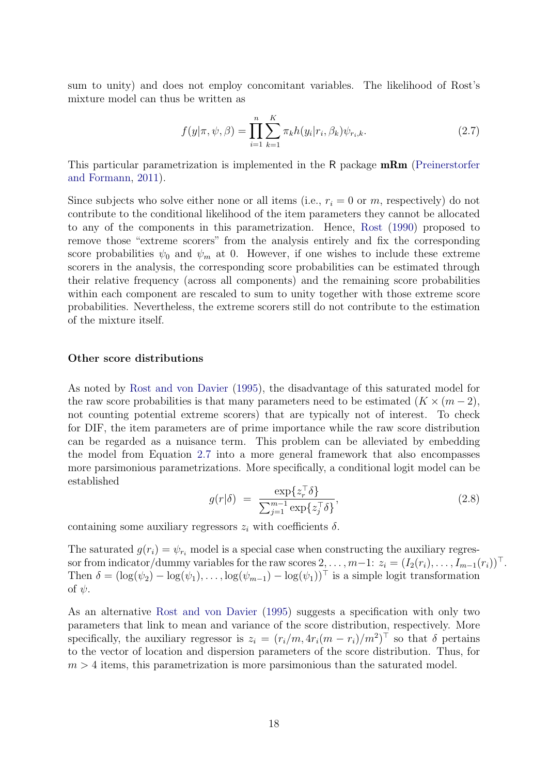sum to unity) and does not employ concomitant variables. The likelihood of Rost's mixture model can thus be written as

<span id="page-18-0"></span>
$$
f(y|\pi, \psi, \beta) = \prod_{i=1}^{n} \sum_{k=1}^{K} \pi_k h(y_i|r_i, \beta_k) \psi_{r_i, k}.
$$
 (2.7)

This particular parametrization is implemented in the R package **mRm** [\(Preinerstorfer](#page-73-5) [and Formann,](#page-73-5) [2011\)](#page-73-5).

Since subjects who solve either none or all items (i.e.,  $r_i = 0$  or m, respectively) do not contribute to the conditional likelihood of the item parameters they cannot be allocated to any of the components in this parametrization. Hence, [Rost](#page-74-2) [\(1990\)](#page-74-2) proposed to remove those "extreme scorers" from the analysis entirely and fix the corresponding score probabilities  $\psi_0$  and  $\psi_m$  at 0. However, if one wishes to include these extreme scorers in the analysis, the corresponding score probabilities can be estimated through their relative frequency (across all components) and the remaining score probabilities within each component are rescaled to sum to unity together with those extreme score probabilities. Nevertheless, the extreme scorers still do not contribute to the estimation of the mixture itself.

#### Other score distributions

As noted by [Rost and von Davier](#page-74-3) [\(1995\)](#page-74-3), the disadvantage of this saturated model for the raw score probabilities is that many parameters need to be estimated  $(K \times (m-2))$ , not counting potential extreme scorers) that are typically not of interest. To check for DIF, the item parameters are of prime importance while the raw score distribution can be regarded as a nuisance term. This problem can be alleviated by embedding the model from Equation [2.7](#page-18-0) into a more general framework that also encompasses more parsimonious parametrizations. More specifically, a conditional logit model can be established

$$
g(r|\delta) = \frac{\exp\{z_r^{\top}\delta\}}{\sum_{j=1}^{m-1} \exp\{z_j^{\top}\delta\}},
$$
\n(2.8)

containing some auxiliary regressors  $z_i$  with coefficients  $\delta$ .

The saturated  $g(r_i) = \psi_{r_i}$  model is a special case when constructing the auxiliary regressor from indicator/dummy variables for the raw scores  $2, \ldots, m-1: z_i = (I_2(r_i), \ldots, I_{m-1}(r_i))^{\top}$ . Then  $\delta = (\log(\psi_2) - \log(\psi_1), \dots, \log(\psi_{m-1}) - \log(\psi_1))^{\top}$  is a simple logit transformation of  $\psi$ .

As an alternative [Rost and von Davier](#page-74-3) [\(1995\)](#page-74-3) suggests a specification with only two parameters that link to mean and variance of the score distribution, respectively. More specifically, the auxiliary regressor is  $z_i = (r_i/m, 4r_i(m - r_i)/m^2)$ <sup>T</sup> so that  $\delta$  pertains to the vector of location and dispersion parameters of the score distribution. Thus, for  $m > 4$  items, this parametrization is more parsimonious than the saturated model.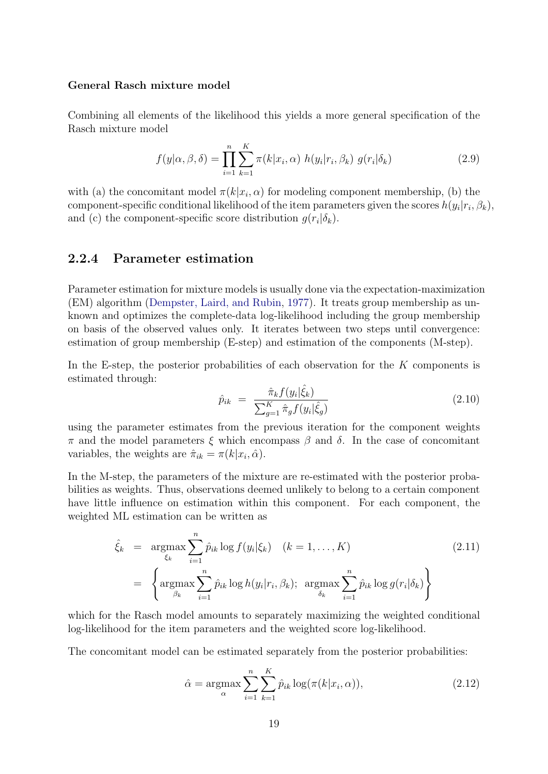#### General Rasch mixture model

Combining all elements of the likelihood this yields a more general specification of the Rasch mixture model

$$
f(y|\alpha, \beta, \delta) = \prod_{i=1}^{n} \sum_{k=1}^{K} \pi(k|x_i, \alpha) h(y_i|r_i, \beta_k) g(r_i|\delta_k)
$$
 (2.9)

with (a) the concomitant model  $\pi(k|x_i,\alpha)$  for modeling component membership, (b) the component-specific conditional likelihood of the item parameters given the scores  $h(y_i | r_i, \beta_k)$ , and (c) the component-specific score distribution  $g(r_i|\delta_k)$ .

#### <span id="page-19-0"></span>2.2.4 Parameter estimation

Parameter estimation for mixture models is usually done via the expectation-maximization (EM) algorithm [\(Dempster, Laird, and Rubin,](#page-72-8) [1977\)](#page-72-8). It treats group membership as unknown and optimizes the complete-data log-likelihood including the group membership on basis of the observed values only. It iterates between two steps until convergence: estimation of group membership (E-step) and estimation of the components (M-step).

In the E-step, the posterior probabilities of each observation for the  $K$  components is estimated through:

$$
\hat{p}_{ik} = \frac{\hat{\pi}_k f(y_i | \hat{\xi}_k)}{\sum_{g=1}^K \hat{\pi}_g f(y_i | \hat{\xi}_g)}
$$
\n(2.10)

using the parameter estimates from the previous iteration for the component weights π and the model parameters  $\xi$  which encompass  $\beta$  and  $\delta$ . In the case of concomitant variables, the weights are  $\hat{\pi}_{ik} = \pi(k|x_i, \hat{\alpha})$ .

In the M-step, the parameters of the mixture are re-estimated with the posterior probabilities as weights. Thus, observations deemed unlikely to belong to a certain component have little influence on estimation within this component. For each component, the weighted ML estimation can be written as

<span id="page-19-1"></span>
$$
\hat{\xi}_k = \underset{\xi_k}{\operatorname{argmax}} \sum_{i=1}^n \hat{p}_{ik} \log f(y_i | \xi_k) \quad (k = 1, \dots, K)
$$
\n
$$
= \left\{ \underset{\beta_k}{\operatorname{argmax}} \sum_{i=1}^n \hat{p}_{ik} \log h(y_i | r_i, \beta_k); \underset{\delta_k}{\operatorname{argmax}} \sum_{i=1}^n \hat{p}_{ik} \log g(r_i | \delta_k) \right\}
$$
\n(2.11)

which for the Rasch model amounts to separately maximizing the weighted conditional log-likelihood for the item parameters and the weighted score log-likelihood.

The concomitant model can be estimated separately from the posterior probabilities:

$$
\hat{\alpha} = \underset{\alpha}{\operatorname{argmax}} \sum_{i=1}^{n} \sum_{k=1}^{K} \hat{p}_{ik} \log(\pi(k|x_i, \alpha)), \tag{2.12}
$$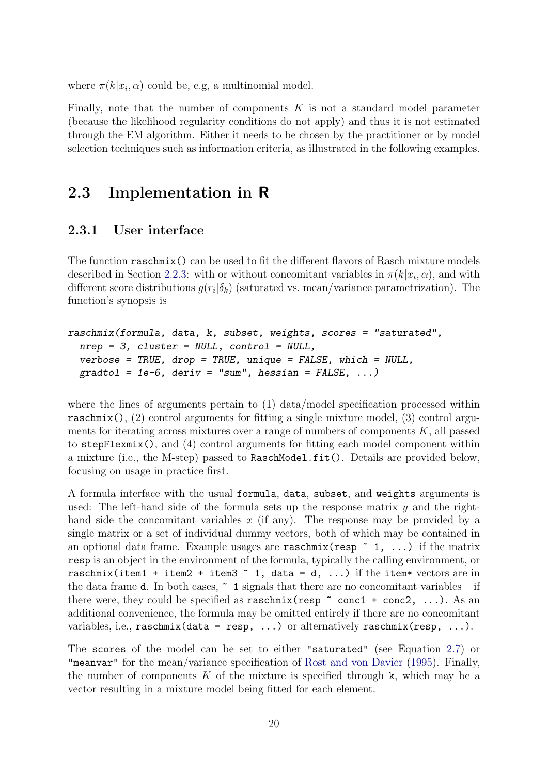where  $\pi(k|x_i,\alpha)$  could be, e.g, a multinomial model.

Finally, note that the number of components  $K$  is not a standard model parameter (because the likelihood regularity conditions do not apply) and thus it is not estimated through the EM algorithm. Either it needs to be chosen by the practitioner or by model selection techniques such as information criteria, as illustrated in the following examples.

## <span id="page-20-0"></span>2.3 Implementation in R

#### <span id="page-20-1"></span>2.3.1 User interface

The function raschmix() can be used to fit the different flavors of Rasch mixture models described in Section [2.2.3:](#page-17-0) with or without concomitant variables in  $\pi(k|x_i,\alpha)$ , and with different score distributions  $g(r_i|\delta_k)$  (saturated vs. mean/variance parametrization). The function's synopsis is

```
raschmix(formula, data, k, subset, weights, scores = "saturated",
 nrep = 3, cluster = NULL, control = NULL,
  verbose = TRUE, drop = TRUE, unique = FALSE, which = NULL,gradtol = 1e-6, deriv = "sum", hessian = FALSE, ...)
```
where the lines of arguments pertain to (1) data/model specification processed within raschmix(), (2) control arguments for fitting a single mixture model, (3) control arguments for iterating across mixtures over a range of numbers of components  $K$ , all passed to stepFlexmix(), and (4) control arguments for fitting each model component within a mixture (i.e., the M-step) passed to RaschModel.fit(). Details are provided below, focusing on usage in practice first.

A formula interface with the usual formula, data, subset, and weights arguments is used: The left-hand side of the formula sets up the response matrix  $y$  and the righthand side the concomitant variables  $x$  (if any). The response may be provided by a single matrix or a set of individual dummy vectors, both of which may be contained in an optional data frame. Example usages are  $\texttt{raschmix}(\texttt{resp} \; \; 1, \; \ldots)$  if the matrix resp is an object in the environment of the formula, typically the calling environment, or raschmix(item1 + item2 + item3  $\tilde{ }$  1, data = d, ...) if the item\* vectors are in the data frame  $d$ . In both cases,  $\tilde{ }$  1 signals that there are no concomitant variables – if there were, they could be specified as raschmix(resp  $\tilde{\ }$  conc1 + conc2, ...). As an additional convenience, the formula may be omitted entirely if there are no concomitant variables, i.e., raschmix(data = resp,  $\ldots$ ) or alternatively raschmix(resp,  $\ldots$ ).

The scores of the model can be set to either "saturated" (see Equation [2.7\)](#page-18-0) or "meanvar" for the mean/variance specification of [Rost and von Davier](#page-74-3) [\(1995\)](#page-74-3). Finally, the number of components K of the mixture is specified through k, which may be a vector resulting in a mixture model being fitted for each element.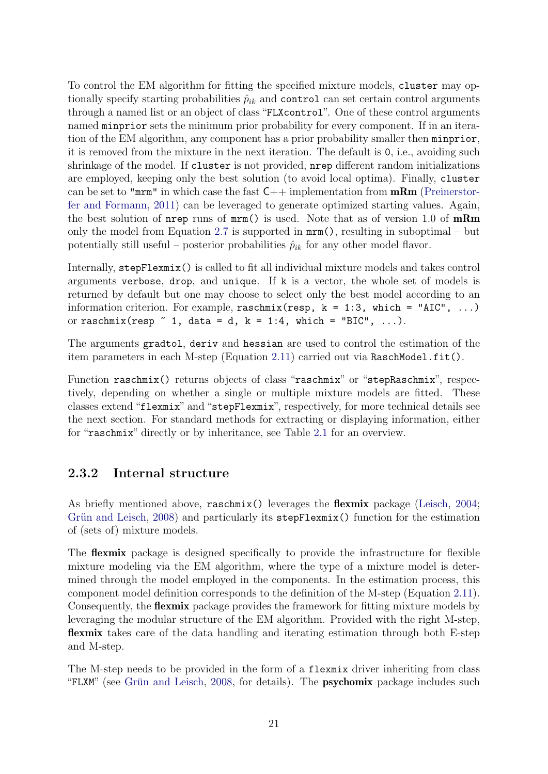To control the EM algorithm for fitting the specified mixture models, cluster may optionally specify starting probabilities  $\hat{p}_{ik}$  and control can set certain control arguments through a named list or an object of class "FLXcontrol". One of these control arguments named minprior sets the minimum prior probability for every component. If in an iteration of the EM algorithm, any component has a prior probability smaller then minprior, it is removed from the mixture in the next iteration. The default is 0, i.e., avoiding such shrinkage of the model. If cluster is not provided, nrep different random initializations are employed, keeping only the best solution (to avoid local optima). Finally, cluster can be set to " $m r m$ " in which case the fast  $C++$  implementation from  $m R m$  [\(Preinerstor](#page-73-5)[fer and Formann,](#page-73-5) [2011\)](#page-73-5) can be leveraged to generate optimized starting values. Again, the best solution of **nrep** runs of  $m \in \mathbb{R}$  is used. Note that as of version 1.0 of  $mRm$ only the model from Equation [2.7](#page-18-0) is supported in mrm(), resulting in suboptimal – but potentially still useful – posterior probabilities  $\hat{p}_{ik}$  for any other model flavor.

Internally, stepFlexmix() is called to fit all individual mixture models and takes control arguments verbose, drop, and unique. If k is a vector, the whole set of models is returned by default but one may choose to select only the best model according to an information criterion. For example,  $r$ aschmix( $r$ esp,  $k = 1:3$ , which = "AIC", ...) or raschmix(resp  $\degree$  1, data = d, k = 1:4, which = "BIC", ...).

The arguments gradtol, deriv and hessian are used to control the estimation of the item parameters in each M-step (Equation [2.11\)](#page-19-1) carried out via RaschModel.fit().

Function raschmix() returns objects of class "raschmix" or "stepRaschmix", respectively, depending on whether a single or multiple mixture models are fitted. These classes extend "flexmix" and "stepFlexmix", respectively, for more technical details see the next section. For standard methods for extracting or displaying information, either for "raschmix" directly or by inheritance, see Table [2.1](#page-22-0) for an overview.

#### <span id="page-21-0"></span>2.3.2 Internal structure

As briefly mentioned above, raschmix() leverages the flexmix package [\(Leisch,](#page-73-6) [2004;](#page-73-6) Grün and Leisch, [2008\)](#page-72-3) and particularly its stepFlexmix() function for the estimation of (sets of) mixture models.

The **flexmix** package is designed specifically to provide the infrastructure for flexible mixture modeling via the EM algorithm, where the type of a mixture model is determined through the model employed in the components. In the estimation process, this component model definition corresponds to the definition of the M-step (Equation [2.11\)](#page-19-1). Consequently, the **flexmix** package provides the framework for fitting mixture models by leveraging the modular structure of the EM algorithm. Provided with the right M-step, flexmix takes care of the data handling and iterating estimation through both E-step and M-step.

The M-step needs to be provided in the form of a flexmix driver inheriting from class "FLXM" (see Grün and Leisch, [2008,](#page-72-3) for details). The **psychomix** package includes such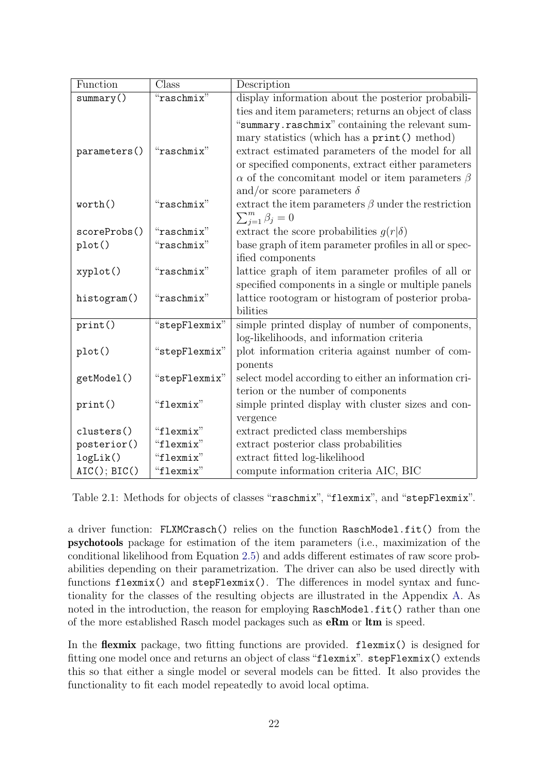| Function     | Class         | Description                                                  |
|--------------|---------------|--------------------------------------------------------------|
| summary()    | "raschmix"    | display information about the posterior probabili-           |
|              |               | ties and item parameters; returns an object of class         |
|              |               | "summary.raschmix" containing the relevant sum-              |
|              |               | mary statistics (which has a print () method)                |
| parameters() | "raschmix"    | extract estimated parameters of the model for all            |
|              |               | or specified components, extract either parameters           |
|              |               | $\alpha$ of the concomitant model or item parameters $\beta$ |
|              |               | and/or score parameters $\delta$                             |
| worth()      | "raschmix"    | extract the item parameters $\beta$ under the restriction    |
|              |               | $\sum_{j=1}^m \beta_j = 0$                                   |
| scoreProbs() | "raschmix"    | extract the score probabilities $g(r \delta)$                |
| plot()       | "raschmix"    | base graph of item parameter profiles in all or spec-        |
|              |               | ified components                                             |
| xyplot()     | "raschmix"    | lattice graph of item parameter profiles of all or           |
|              |               | specified components in a single or multiple panels          |
| histogram()  | "raschmix"    | lattice rootogram or histogram of posterior proba-           |
|              |               | bilities                                                     |
| print()      | "stepFlexmix" | simple printed display of number of components,              |
|              |               | log-likelihoods, and information criteria                    |
| plot()       | "stepFlexmix" | plot information criteria against number of com-             |
|              |               | ponents                                                      |
| getModel()   | "stepFlexmix" | select model according to either an information cri-         |
|              |               | terion or the number of components                           |
| print()      | "flexmix"     | simple printed display with cluster sizes and con-           |
|              |               | vergence                                                     |
| clusters()   | "flexmix"     | extract predicted class memberships                          |
| posterior()  | "flexmix"     | extract posterior class probabilities                        |
| logList()    | "flexmix"     | extract fitted log-likelihood                                |
| AIC(); BIC() | "flexmix"     | compute information criteria AIC, BIC                        |

<span id="page-22-0"></span>Table 2.1: Methods for objects of classes "raschmix", "flexmix", and "stepFlexmix".

a driver function: FLXMCrasch() relies on the function RaschModel.fit() from the psychotools package for estimation of the item parameters (i.e., maximization of the conditional likelihood from Equation [2.5\)](#page-16-2) and adds different estimates of raw score probabilities depending on their parametrization. The driver can also be used directly with functions flexmix() and stepFlexmix(). The differences in model syntax and functionality for the classes of the resulting objects are illustrated in the Appendix [A.](#page-76-0) As noted in the introduction, the reason for employing RaschModel.fit() rather than one of the more established Rasch model packages such as eRm or ltm is speed.

In the **flexmix** package, two fitting functions are provided. **flexmix()** is designed for fitting one model once and returns an object of class "flexmix". stepFlexmix() extends this so that either a single model or several models can be fitted. It also provides the functionality to fit each model repeatedly to avoid local optima.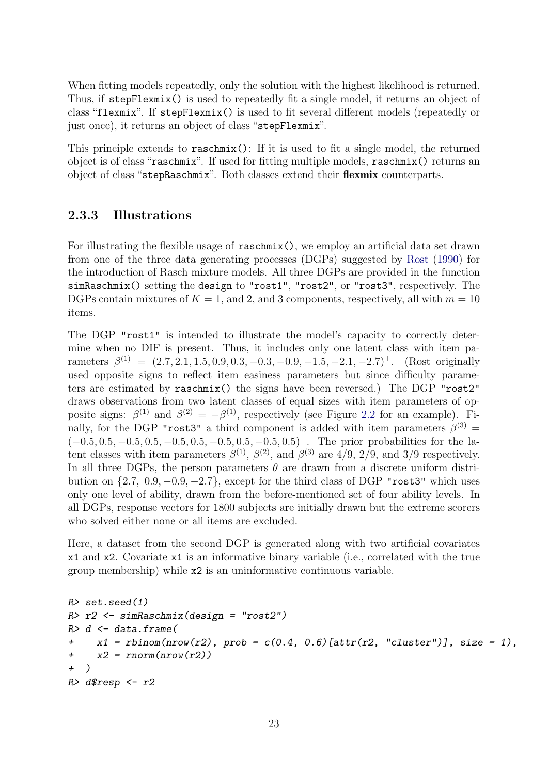When fitting models repeatedly, only the solution with the highest likelihood is returned. Thus, if stepFlexmix() is used to repeatedly fit a single model, it returns an object of class "flexmix". If stepFlexmix() is used to fit several different models (repeatedly or just once), it returns an object of class "stepFlexmix".

This principle extends to raschmix(): If it is used to fit a single model, the returned object is of class "raschmix". If used for fitting multiple models, raschmix() returns an object of class "stepRaschmix". Both classes extend their flexmix counterparts.

#### <span id="page-23-0"></span>2.3.3 Illustrations

For illustrating the flexible usage of raschmix(), we employ an artificial data set drawn from one of the three data generating processes (DGPs) suggested by [Rost](#page-74-2) [\(1990\)](#page-74-2) for the introduction of Rasch mixture models. All three DGPs are provided in the function simRaschmix() setting the design to "rost1", "rost2", or "rost3", respectively. The DGPs contain mixtures of  $K = 1$ , and 2, and 3 components, respectively, all with  $m = 10$ items.

The DGP "rost1" is intended to illustrate the model's capacity to correctly determine when no DIF is present. Thus, it includes only one latent class with item parameters  $\beta^{(1)} = (2.7, 2.1, 1.5, 0.9, 0.3, -0.3, -0.9, -1.5, -2.1, -2.7)$ <sup>T</sup>. (Rost originally used opposite signs to reflect item easiness parameters but since difficulty parameters are estimated by raschmix() the signs have been reversed.) The DGP "rost2" draws observations from two latent classes of equal sizes with item parameters of opposite signs:  $\beta^{(1)}$  and  $\beta^{(2)} = -\beta^{(1)}$ , respectively (see Figure [2.2](#page-28-0) for an example). Finally, for the DGP "rost3" a third component is added with item parameters  $\beta^{(3)}$  =  $(-0.5, 0.5, -0.5, 0.5, -0.5, 0.5, -0.5, 0.5, -0.5, 0.5)^T$ . The prior probabilities for the latent classes with item parameters  $\beta^{(1)}$ ,  $\beta^{(2)}$ , and  $\beta^{(3)}$  are 4/9, 2/9, and 3/9 respectively. In all three DGPs, the person parameters  $\theta$  are drawn from a discrete uniform distribution on  $\{2.7, 0.9, -0.9, -2.7\}$ , except for the third class of DGP "rost3" which uses only one level of ability, drawn from the before-mentioned set of four ability levels. In all DGPs, response vectors for 1800 subjects are initially drawn but the extreme scorers who solved either none or all items are excluded.

Here, a dataset from the second DGP is generated along with two artificial covariates x1 and x2. Covariate x1 is an informative binary variable (i.e., correlated with the true group membership) while x2 is an uninformative continuous variable.

```
R> set.seed(1)
R > r2 <- simRaschmix(design = "rost2")
R > d \le - data.frame(
+ x1 = \text{rbinom}(\text{nrow}(r2), \text{prob} = c(0.4, 0.6) [\text{attr}(r2, "cluster")], \text{size} = 1),+ x2 = \text{rnorm}(\text{nrow}(r2))+ )
R> d$resp <- r2
```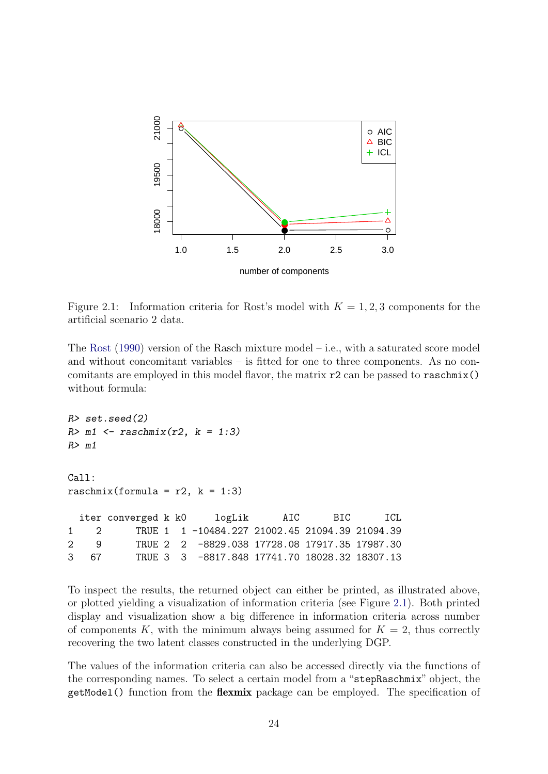

<span id="page-24-0"></span>Figure 2.1: Information criteria for Rost's model with  $K = 1, 2, 3$  components for the artificial scenario 2 data.

The [Rost](#page-74-2)  $(1990)$  version of the Rasch mixture model – i.e., with a saturated score model and without concomitant variables – is fitted for one to three components. As no concomitants are employed in this model flavor, the matrix r2 can be passed to raschmix() without formula:

```
R> set.seed(2)
R > m1 <- raschmix(r2, k = 1:3)
R > m1Call:
raschmix(formula = r2, k = 1:3)
 iter converged k k0 logLik AIC BIC ICL
1 2 TRUE 1 1 -10484.227 21002.45 21094.39 21094.39
2 9 TRUE 2 2 -8829.038 17728.08 17917.35 17987.30
3 67 TRUE 3 3 -8817.848 17741.70 18028.32 18307.13
```
To inspect the results, the returned object can either be printed, as illustrated above, or plotted yielding a visualization of information criteria (see Figure [2.1\)](#page-24-0). Both printed display and visualization show a big difference in information criteria across number of components K, with the minimum always being assumed for  $K = 2$ , thus correctly recovering the two latent classes constructed in the underlying DGP.

The values of the information criteria can also be accessed directly via the functions of the corresponding names. To select a certain model from a "stepRaschmix" object, the getModel() function from the flexmix package can be employed. The specification of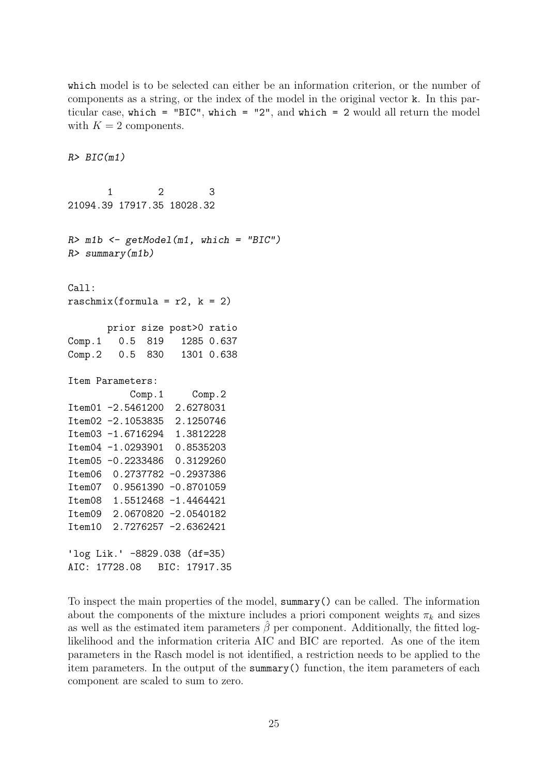which model is to be selected can either be an information criterion, or the number of components as a string, or the index of the model in the original vector k. In this particular case, which = "BIC", which = "2", and which = 2 would all return the model with  $K = 2$  components.  $R > BTC(m1)$ 1 2 3 21094.39 17917.35 18028.32  $R > m1b$  <- getModel(m1, which = "BIC") R> summary(m1b) Call: raschmix(formula =  $r2$ ,  $k = 2$ ) prior size post>0 ratio Comp.1 0.5 819 1285 0.637 Comp.2 0.5 830 1301 0.638 Item Parameters: Comp.1 Comp.2 Item01 -2.5461200 2.6278031 Item02 -2.1053835 2.1250746 Item03 -1.6716294 1.3812228 Item04 -1.0293901 0.8535203 Item05 -0.2233486 0.3129260 Item06 0.2737782 -0.2937386 Item07 0.9561390 -0.8701059 Item08 1.5512468 -1.4464421 Item09 2.0670820 -2.0540182 Item10 2.7276257 -2.6362421 'log Lik.' -8829.038 (df=35) AIC: 17728.08 BIC: 17917.35

To inspect the main properties of the model, summary() can be called. The information about the components of the mixture includes a priori component weights  $\pi_k$  and sizes as well as the estimated item parameters  $\hat{\beta}$  per component. Additionally, the fitted loglikelihood and the information criteria AIC and BIC are reported. As one of the item parameters in the Rasch model is not identified, a restriction needs to be applied to the item parameters. In the output of the summary() function, the item parameters of each component are scaled to sum to zero.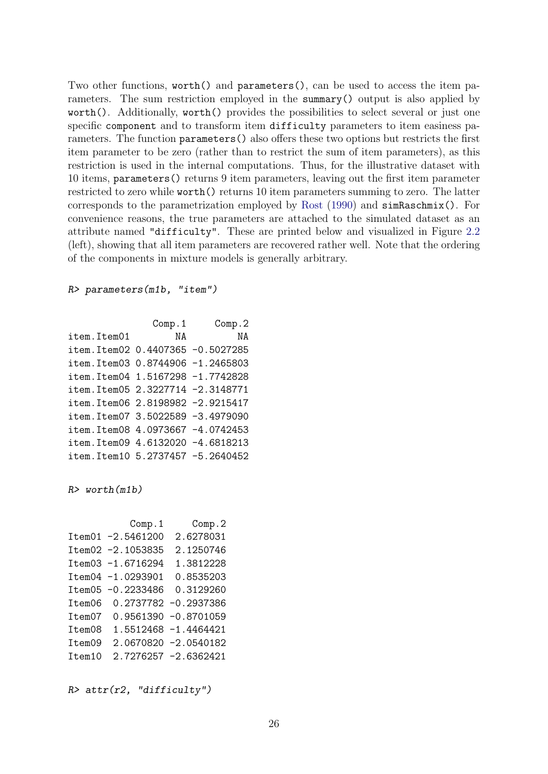Two other functions, worth() and parameters(), can be used to access the item parameters. The sum restriction employed in the summary() output is also applied by worth(). Additionally, worth() provides the possibilities to select several or just one specific component and to transform item difficulty parameters to item easiness parameters. The function parameters() also offers these two options but restricts the first item parameter to be zero (rather than to restrict the sum of item parameters), as this restriction is used in the internal computations. Thus, for the illustrative dataset with 10 items, parameters() returns 9 item parameters, leaving out the first item parameter restricted to zero while worth() returns 10 item parameters summing to zero. The latter corresponds to the parametrization employed by [Rost](#page-74-2) [\(1990\)](#page-74-2) and simRaschmix(). For convenience reasons, the true parameters are attached to the simulated dataset as an attribute named "difficulty". These are printed below and visualized in Figure [2.2](#page-28-0) (left), showing that all item parameters are recovered rather well. Note that the ordering of the components in mixture models is generally arbitrary.

```
R> parameters(m1b, "item")
```

|                                  | Comp.1 | Comp.2 |
|----------------------------------|--------|--------|
| item.Item01                      | ΝA     | ΝA     |
| item.Item02 0.4407365 -0.5027285 |        |        |
| item.Item03 0.8744906 -1.2465803 |        |        |
| item.Item04 1.5167298 -1.7742828 |        |        |
| item.Item05 2.3227714 -2.3148771 |        |        |
| item.Item06 2.8198982 -2.9215417 |        |        |
| item.Item07 3.5022589 -3.4979090 |        |        |
| item.Item08 4.0973667 -4.0742453 |        |        |
| item.Item09 4.6132020 -4.6818213 |        |        |
| item.Item10 5.2737457 -5.2640452 |        |        |

R> worth(m1b)

|        | Comp.1            | Comp.2                 |
|--------|-------------------|------------------------|
|        | Item01 -2.5461200 | 2.6278031              |
|        | Item02 -2.1053835 | 2.1250746              |
|        | Item03 -1.6716294 | 1.3812228              |
|        | Item04 -1.0293901 | 0.8535203              |
|        | Item05 -0.2233486 | 0.3129260              |
| Item06 |                   | 0.2737782 -0.2937386   |
| Item07 |                   | $0.9561390 -0.8701059$ |
| Item08 |                   | 1.5512468 -1.4464421   |
| Item09 |                   | 2.0670820 -2.0540182   |
| Item10 |                   | 2.7276257 -2.6362421   |

 $R$ > attr(r2, "difficulty")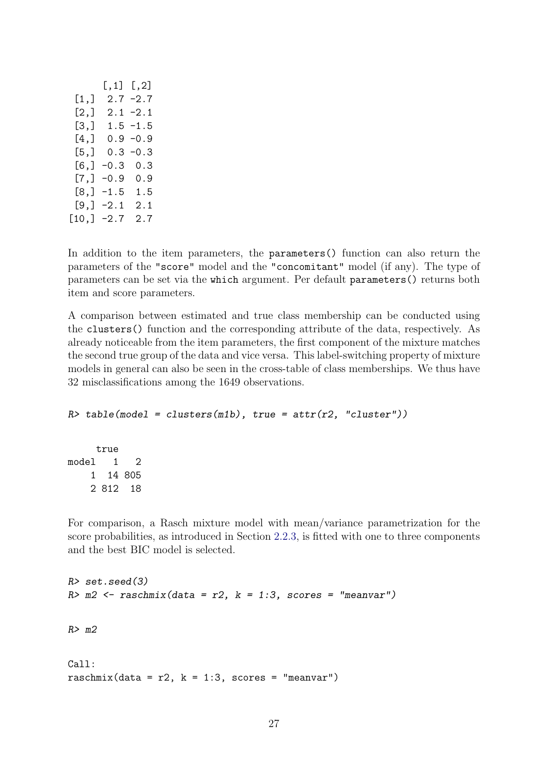|         | $[,1]$ $[,2]$ |             |
|---------|---------------|-------------|
| [1,]    |               | $2.7 - 2.7$ |
| [2,]    | 2.1           | $-2.1$      |
| [3,]    |               | $1.5 - 1.5$ |
| [4,]    | 0.9           | $-0.9$      |
| [5,]    | 0.3           | $-0.3$      |
| [6,]    | $-0.3$        | 0.3         |
| [7,]    | $-0.9$        | 0.9         |
| [8,]    | $-1.5$        | 1.5         |
| $[9,$ ] | $-2.1$        | 2.1         |
| [10,    | $-2.7$        | 2.7         |

In addition to the item parameters, the parameters() function can also return the parameters of the "score" model and the "concomitant" model (if any). The type of parameters can be set via the which argument. Per default parameters() returns both item and score parameters.

A comparison between estimated and true class membership can be conducted using the clusters() function and the corresponding attribute of the data, respectively. As already noticeable from the item parameters, the first component of the mixture matches the second true group of the data and vice versa. This label-switching property of mixture models in general can also be seen in the cross-table of class memberships. We thus have 32 misclassifications among the 1649 observations.

```
R> table(model = clusters(m1b), true = attr(r2, "cluster"))
```
true model 1 2 1 14 805 2 812 18

For comparison, a Rasch mixture model with mean/variance parametrization for the score probabilities, as introduced in Section [2.2.3,](#page-17-0) is fitted with one to three components and the best BIC model is selected.

```
R> set.seed(3)
R > m2 <- raschmix(data = r2, k = 1:3, scores = "meanvar")
R > mCall:
raschmix(data = r2, k = 1:3, scores = "meanvar")
```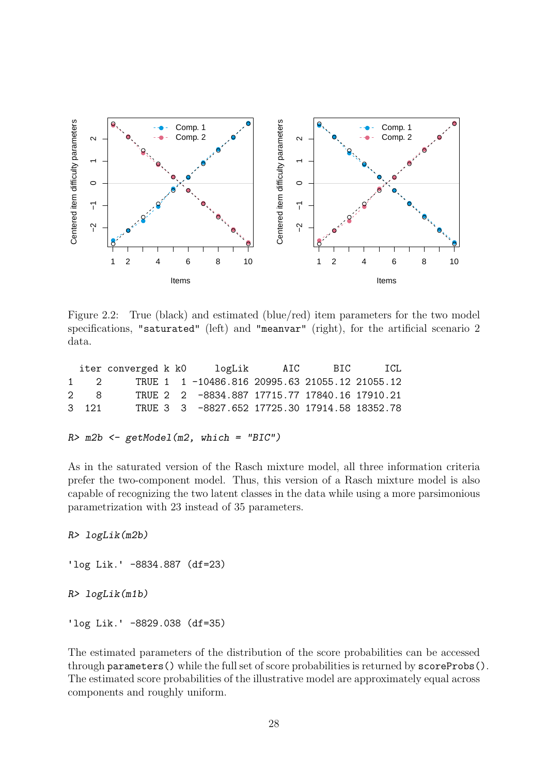

<span id="page-28-0"></span>Figure 2.2: True (black) and estimated (blue/red) item parameters for the two model specifications, "saturated" (left) and "meanvar" (right), for the artificial scenario 2 data.

|          | iter converged k k0 |  | logLik                                         | AIC | - BIC - | ICL |
|----------|---------------------|--|------------------------------------------------|-----|---------|-----|
| $1 \t 2$ |                     |  | TRUE 1 1 -10486.816 20995.63 21055.12 21055.12 |     |         |     |
| 28       |                     |  | TRUE 2 2 -8834.887 17715.77 17840.16 17910.21  |     |         |     |
| 3 121    |                     |  | TRUE 3 3 -8827.652 17725.30 17914.58 18352.78  |     |         |     |

 $R > m2b$  <- getModel(m2, which = "BIC")

As in the saturated version of the Rasch mixture model, all three information criteria prefer the two-component model. Thus, this version of a Rasch mixture model is also capable of recognizing the two latent classes in the data while using a more parsimonious parametrization with 23 instead of 35 parameters.

R> logLik(m2b)

'log Lik.' -8834.887 (df=23) R> logLik(m1b)

'log Lik.' -8829.038 (df=35)

The estimated parameters of the distribution of the score probabilities can be accessed through parameters() while the full set of score probabilities is returned by scoreProbs(). The estimated score probabilities of the illustrative model are approximately equal across components and roughly uniform.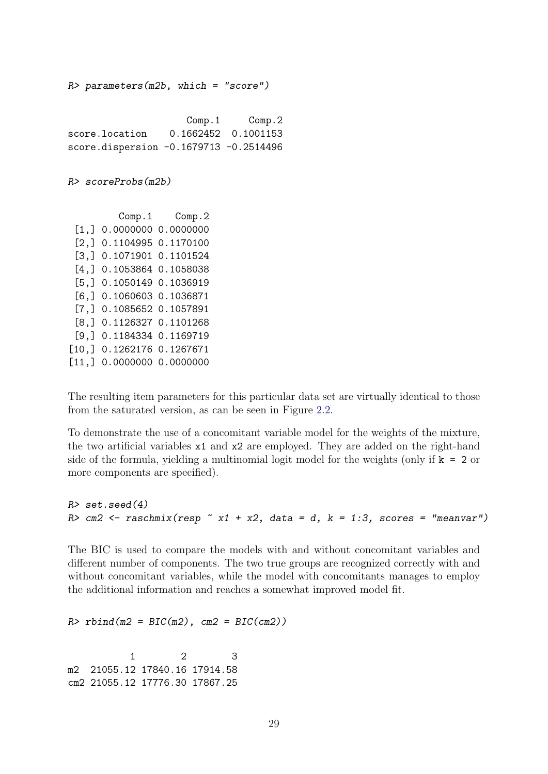$R$ > parameters(m2b, which = "score")

Comp.1 Comp.2 score.location 0.1662452 0.1001153 score.dispersion -0.1679713 -0.2514496

R> scoreProbs(m2b)

Comp.1 Comp.2 [1,] 0.0000000 0.0000000 [2,] 0.1104995 0.1170100 [3,] 0.1071901 0.1101524 [4,] 0.1053864 0.1058038 [5,] 0.1050149 0.1036919 [6,] 0.1060603 0.1036871 [7,] 0.1085652 0.1057891 [8,] 0.1126327 0.1101268 [9,] 0.1184334 0.1169719 [10,] 0.1262176 0.1267671 [11,] 0.0000000 0.0000000

The resulting item parameters for this particular data set are virtually identical to those from the saturated version, as can be seen in Figure [2.2.](#page-28-0)

To demonstrate the use of a concomitant variable model for the weights of the mixture, the two artificial variables x1 and x2 are employed. They are added on the right-hand side of the formula, yielding a multinomial logit model for the weights (only if  $k = 2$  or more components are specified).

```
R> set.seed(4)
R> cm2 <- raschmix(resp \tilde{r} x1 + x2, data = d, k = 1:3, scores = "meanvar")
```
The BIC is used to compare the models with and without concomitant variables and different number of components. The two true groups are recognized correctly with and without concomitant variables, while the model with concomitants manages to employ the additional information and reaches a somewhat improved model fit.

 $R> rbind(m2 = BIC(m2), cm2 = BIC(cm2))$ 

1 2 3 m2 21055.12 17840.16 17914.58 cm2 21055.12 17776.30 17867.25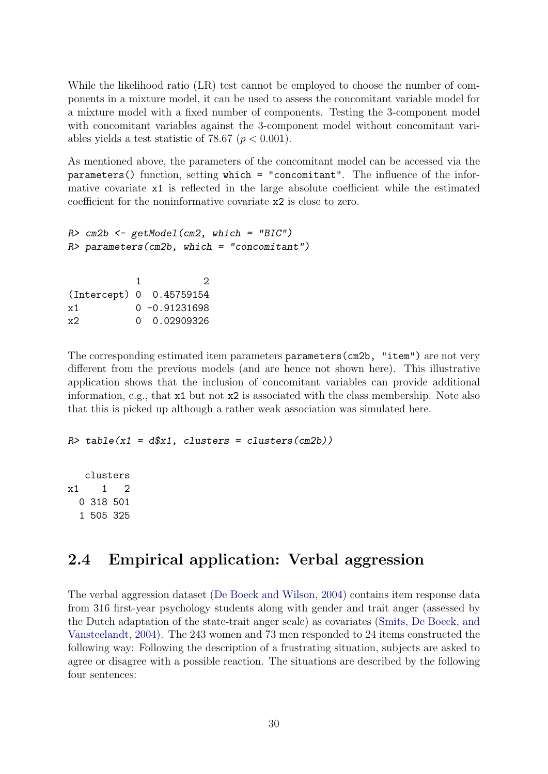While the likelihood ratio (LR) test cannot be employed to choose the number of components in a mixture model, it can be used to assess the concomitant variable model for a mixture model with a fixed number of components. Testing the 3-component model with concomitant variables against the 3-component model without concomitant variables yields a test statistic of 78.67 ( $p < 0.001$ ).

As mentioned above, the parameters of the concomitant model can be accessed via the parameters() function, setting which = "concomitant". The influence of the informative covariate x1 is reflected in the large absolute coefficient while the estimated coefficient for the noninformative covariate x2 is close to zero.

```
R> cm2b <- getModel(cm2, which = "BIC")
R> parameters(cm2b, which = "concomitant")
```
1 2 (Intercept) 0 0.45759154 x1 0 -0.91231698 x2 0 0.02909326

The corresponding estimated item parameters parameters (cm2b, "item") are not very different from the previous models (and are hence not shown here). This illustrative application shows that the inclusion of concomitant variables can provide additional information, e.g., that x1 but not x2 is associated with the class membership. Note also that this is picked up although a rather weak association was simulated here.

```
R> table(x1 = d$x1, clusters = clusters(cm2b))
```
clusters x1 1 2 0 318 501 1 505 325

## <span id="page-30-0"></span>2.4 Empirical application: Verbal aggression

The verbal aggression dataset [\(De Boeck and Wilson,](#page-71-7) [2004\)](#page-71-7) contains item response data from 316 first-year psychology students along with gender and trait anger (assessed by the Dutch adaptation of the state-trait anger scale) as covariates [\(Smits, De Boeck, and](#page-74-11) [Vansteelandt,](#page-74-11) [2004\)](#page-74-11). The 243 women and 73 men responded to 24 items constructed the following way: Following the description of a frustrating situation, subjects are asked to agree or disagree with a possible reaction. The situations are described by the following four sentences: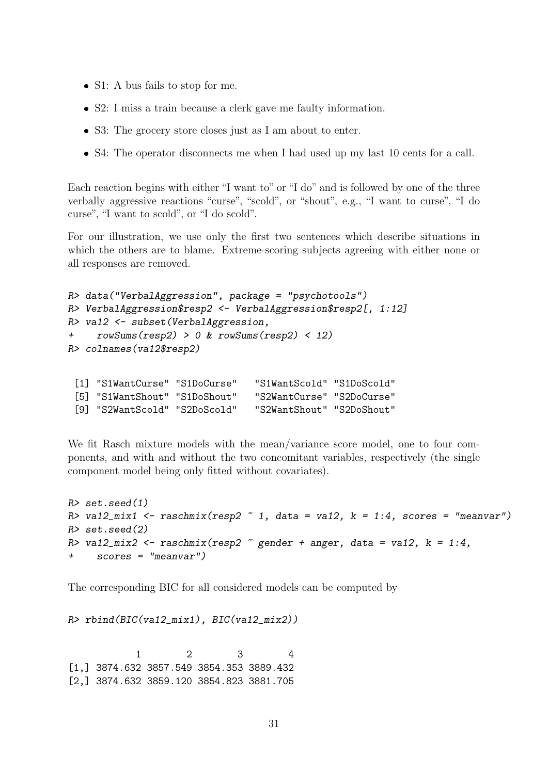- S1: A bus fails to stop for me.
- S2: I miss a train because a clerk gave me faulty information.
- S3: The grocery store closes just as I am about to enter.
- S4: The operator disconnects me when I had used up my last 10 cents for a call.

Each reaction begins with either "I want to" or "I do" and is followed by one of the three verbally aggressive reactions "curse", "scold", or "shout", e.g., "I want to curse", "I do curse", "I want to scold", or "I do scold".

For our illustration, we use only the first two sentences which describe situations in which the others are to blame. Extreme-scoring subjects agreeing with either none or all responses are removed.

```
R> data("VerbalAggression", package = "psychotools")
R> VerbalAggression$resp2 <- VerbalAggression$resp2[, 1:12]
R> va12 <- subset(VerbalAggression,
+ rowSums(resp2) > 0 & rowSums(resp2) < 12)
R> colnames(va12$resp2)
```

| [1] "S1WantCurse" "S1DoCurse" | "S1WantScold" "S1DoScold" |  |
|-------------------------------|---------------------------|--|
| [5] "S1WantShout" "S1DoShout" | "S2WantCurse" "S2DoCurse" |  |
| [9] "S2WantScold" "S2DoScold" | "S2WantShout" "S2DoShout" |  |

We fit Rasch mixture models with the mean/variance score model, one to four components, and with and without the two concomitant variables, respectively (the single component model being only fitted without covariates).

```
R> set.seed(1)
R> va12_mix1 <- raschmix(resp2 \tilde{ } 1, data = va12, k = 1:4, scores = "meanvar")
R> set.seed(2)R> va12_mix2 <- raschmix(resp2 \tilde{ } gender + anger, data = va12, k = 1:4,
+ scores = "meanvar")
```
The corresponding BIC for all considered models can be computed by

R> rbind(BIC(va12\_mix1), BIC(va12\_mix2))

1 2 3 4 [1,] 3874.632 3857.549 3854.353 3889.432 [2,] 3874.632 3859.120 3854.823 3881.705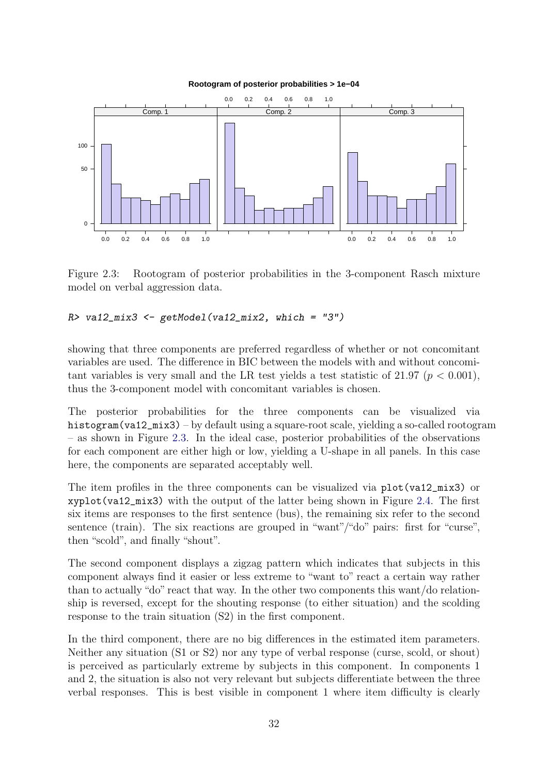

<span id="page-32-0"></span>Figure 2.3: Rootogram of posterior probabilities in the 3-component Rasch mixture model on verbal aggression data.

#### $R$  va12 mix3 <- getModel(va12 mix2, which = "3")

showing that three components are preferred regardless of whether or not concomitant variables are used. The difference in BIC between the models with and without concomitant variables is very small and the LR test yields a test statistic of  $21.97$  ( $p < 0.001$ ), thus the 3-component model with concomitant variables is chosen.

The posterior probabilities for the three components can be visualized via histogram(va12\_mix3) – by default using a square-root scale, yielding a so-called rootogram – as shown in Figure [2.3.](#page-32-0) In the ideal case, posterior probabilities of the observations for each component are either high or low, yielding a U-shape in all panels. In this case here, the components are separated acceptably well.

The item profiles in the three components can be visualized via plot(va12\_mix3) or xyplot(va12\_mix3) with the output of the latter being shown in Figure [2.4.](#page-33-0) The first six items are responses to the first sentence (bus), the remaining six refer to the second sentence (train). The six reactions are grouped in "want"/"do" pairs: first for "curse", then "scold", and finally "shout".

The second component displays a zigzag pattern which indicates that subjects in this component always find it easier or less extreme to "want to" react a certain way rather than to actually "do" react that way. In the other two components this want/do relationship is reversed, except for the shouting response (to either situation) and the scolding response to the train situation (S2) in the first component.

In the third component, there are no big differences in the estimated item parameters. Neither any situation (S1 or S2) nor any type of verbal response (curse, scold, or shout) is perceived as particularly extreme by subjects in this component. In components 1 and 2, the situation is also not very relevant but subjects differentiate between the three verbal responses. This is best visible in component 1 where item difficulty is clearly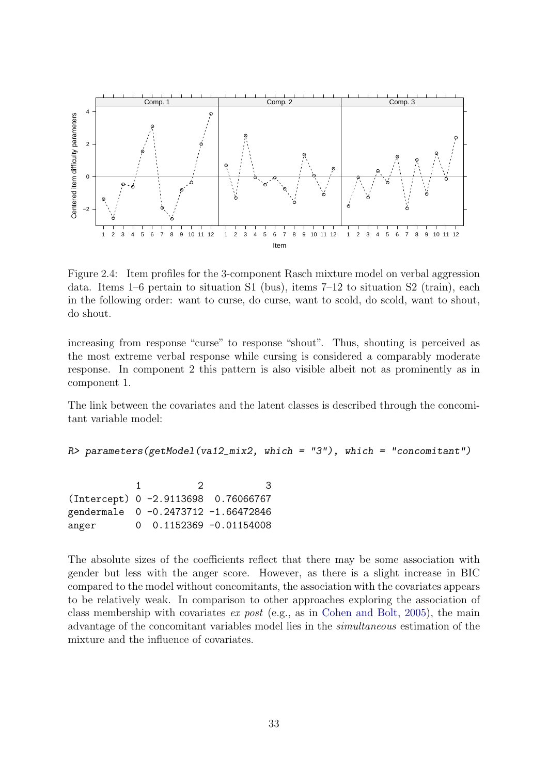

<span id="page-33-0"></span>Figure 2.4: Item profiles for the 3-component Rasch mixture model on verbal aggression data. Items 1–6 pertain to situation S1 (bus), items  $7-12$  to situation S2 (train), each in the following order: want to curse, do curse, want to scold, do scold, want to shout, do shout.

increasing from response "curse" to response "shout". Thus, shouting is perceived as the most extreme verbal response while cursing is considered a comparably moderate response. In component 2 this pattern is also visible albeit not as prominently as in component 1.

The link between the covariates and the latent classes is described through the concomitant variable model:

R> parameters(getModel(va12\_mix2, which = "3"), which = "concomitant")

1 2 3 (Intercept) 0 -2.9113698 0.76066767 gendermale 0 -0.2473712 -1.66472846 anger 0 0.1152369 -0.01154008

The absolute sizes of the coefficients reflect that there may be some association with gender but less with the anger score. However, as there is a slight increase in BIC compared to the model without concomitants, the association with the covariates appears to be relatively weak. In comparison to other approaches exploring the association of class membership with covariates  $ex$  post (e.g., as in [Cohen and Bolt,](#page-71-6) [2005\)](#page-71-6), the main advantage of the concomitant variables model lies in the simultaneous estimation of the mixture and the influence of covariates.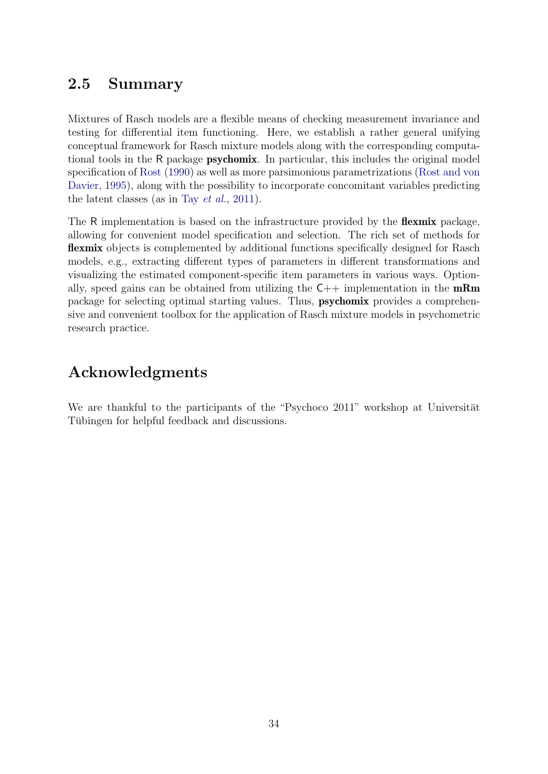## <span id="page-34-0"></span>2.5 Summary

Mixtures of Rasch models are a flexible means of checking measurement invariance and testing for differential item functioning. Here, we establish a rather general unifying conceptual framework for Rasch mixture models along with the corresponding computational tools in the R package psychomix. In particular, this includes the original model specification of [Rost](#page-74-2) [\(1990\)](#page-74-2) as well as more parsimonious parametrizations [\(Rost and von](#page-74-3) [Davier,](#page-74-3) [1995\)](#page-74-3), along with the possibility to incorporate concomitant variables predicting the latent classes (as in Tay [et al.](#page-74-8), [2011\)](#page-74-8).

The R implementation is based on the infrastructure provided by the **flexmix** package, allowing for convenient model specification and selection. The rich set of methods for flexmix objects is complemented by additional functions specifically designed for Rasch models, e.g., extracting different types of parameters in different transformations and visualizing the estimated component-specific item parameters in various ways. Optionally, speed gains can be obtained from utilizing the  $C++$  implementation in the **mRm** package for selecting optimal starting values. Thus, psychomix provides a comprehensive and convenient toolbox for the application of Rasch mixture models in psychometric research practice.

## Acknowledgments

We are thankful to the participants of the "Psychoco  $2011$ " workshop at Universität Tübingen for helpful feedback and discussions.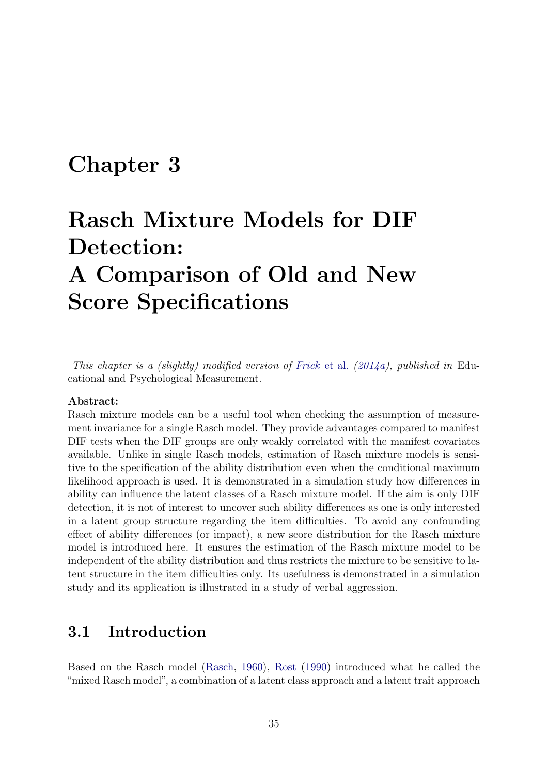## <span id="page-35-0"></span>Chapter 3

# Rasch Mixture Models for DIF Detection: A Comparison of Old and New Score Specifications

This chapter is a (slightly) modified version of Frick [et al.](#page-72-4) [\(2014a\)](#page-72-4), published in Educational and Psychological Measurement.

#### Abstract:

Rasch mixture models can be a useful tool when checking the assumption of measurement invariance for a single Rasch model. They provide advantages compared to manifest DIF tests when the DIF groups are only weakly correlated with the manifest covariates available. Unlike in single Rasch models, estimation of Rasch mixture models is sensitive to the specification of the ability distribution even when the conditional maximum likelihood approach is used. It is demonstrated in a simulation study how differences in ability can influence the latent classes of a Rasch mixture model. If the aim is only DIF detection, it is not of interest to uncover such ability differences as one is only interested in a latent group structure regarding the item difficulties. To avoid any confounding effect of ability differences (or impact), a new score distribution for the Rasch mixture model is introduced here. It ensures the estimation of the Rasch mixture model to be independent of the ability distribution and thus restricts the mixture to be sensitive to latent structure in the item difficulties only. Its usefulness is demonstrated in a simulation study and its application is illustrated in a study of verbal aggression.

## <span id="page-35-1"></span>3.1 Introduction

Based on the Rasch model [\(Rasch,](#page-74-1) [1960\)](#page-74-1), [Rost](#page-74-2) [\(1990\)](#page-74-2) introduced what he called the "mixed Rasch model", a combination of a latent class approach and a latent trait approach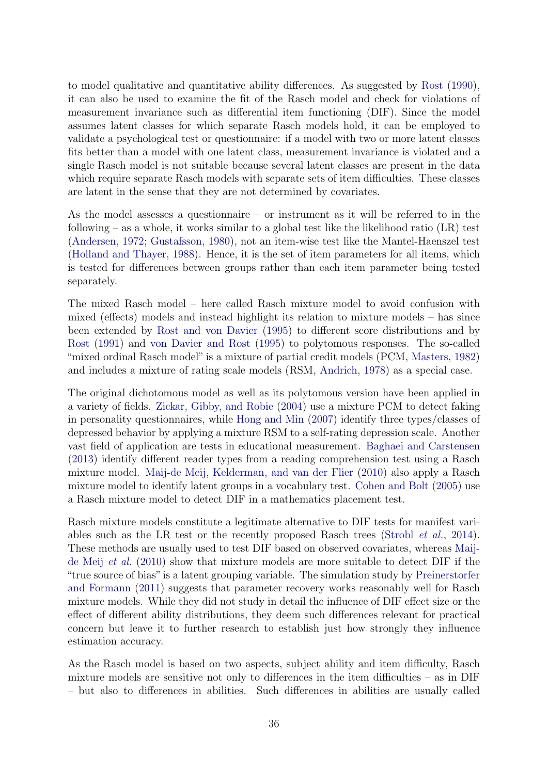to model qualitative and quantitative ability differences. As suggested by [Rost](#page-74-0) [\(1990\)](#page-74-0), it can also be used to examine the fit of the Rasch model and check for violations of measurement invariance such as differential item functioning (DIF). Since the model assumes latent classes for which separate Rasch models hold, it can be employed to validate a psychological test or questionnaire: if a model with two or more latent classes fits better than a model with one latent class, measurement invariance is violated and a single Rasch model is not suitable because several latent classes are present in the data which require separate Rasch models with separate sets of item difficulties. These classes are latent in the sense that they are not determined by covariates.

As the model assesses a questionnaire – or instrument as it will be referred to in the following – as a whole, it works similar to a global test like the likelihood ratio  $(LR)$  test [\(Andersen,](#page-71-0) [1972;](#page-71-0) [Gustafsson,](#page-72-0) [1980\)](#page-72-0), not an item-wise test like the Mantel-Haenszel test [\(Holland and Thayer,](#page-72-1) [1988\)](#page-72-1). Hence, it is the set of item parameters for all items, which is tested for differences between groups rather than each item parameter being tested separately.

The mixed Rasch model – here called Rasch mixture model to avoid confusion with mixed (effects) models and instead highlight its relation to mixture models – has since been extended by [Rost and von Davier](#page-74-1) [\(1995\)](#page-74-1) to different score distributions and by [Rost](#page-74-2) [\(1991\)](#page-74-2) and [von Davier and Rost](#page-75-0) [\(1995\)](#page-75-0) to polytomous responses. The so-called "mixed ordinal Rasch model" is a mixture of partial credit models (PCM, [Masters,](#page-73-0) [1982\)](#page-73-0) and includes a mixture of rating scale models (RSM, [Andrich,](#page-71-1) [1978\)](#page-71-1) as a special case.

The original dichotomous model as well as its polytomous version have been applied in a variety of fields. [Zickar, Gibby, and Robie](#page-75-1) [\(2004\)](#page-75-1) use a mixture PCM to detect faking in personality questionnaires, while [Hong and Min](#page-72-2) [\(2007\)](#page-72-2) identify three types/classes of depressed behavior by applying a mixture RSM to a self-rating depression scale. Another vast field of application are tests in educational measurement. [Baghaei and Carstensen](#page-71-2) [\(2013\)](#page-71-2) identify different reader types from a reading comprehension test using a Rasch mixture model. [Maij-de Meij, Kelderman, and van der Flier](#page-73-1) [\(2010\)](#page-73-1) also apply a Rasch mixture model to identify latent groups in a vocabulary test. [Cohen and Bolt](#page-71-3) [\(2005\)](#page-71-3) use a Rasch mixture model to detect DIF in a mathematics placement test.

Rasch mixture models constitute a legitimate alternative to DIF tests for manifest variables such as the LR test or the recently proposed Rasch trees [\(Strobl](#page-74-3) et al., [2014\)](#page-74-3). These methods are usually used to test DIF based on observed covariates, whereas [Maij](#page-73-1)[de Meij](#page-73-1) et al. [\(2010\)](#page-73-1) show that mixture models are more suitable to detect DIF if the "true source of bias"is a latent grouping variable. The simulation study by [Preinerstorfer](#page-73-2) [and Formann](#page-73-2) [\(2011\)](#page-73-2) suggests that parameter recovery works reasonably well for Rasch mixture models. While they did not study in detail the influence of DIF effect size or the effect of different ability distributions, they deem such differences relevant for practical concern but leave it to further research to establish just how strongly they influence estimation accuracy.

As the Rasch model is based on two aspects, subject ability and item difficulty, Rasch mixture models are sensitive not only to differences in the item difficulties – as in DIF – but also to differences in abilities. Such differences in abilities are usually called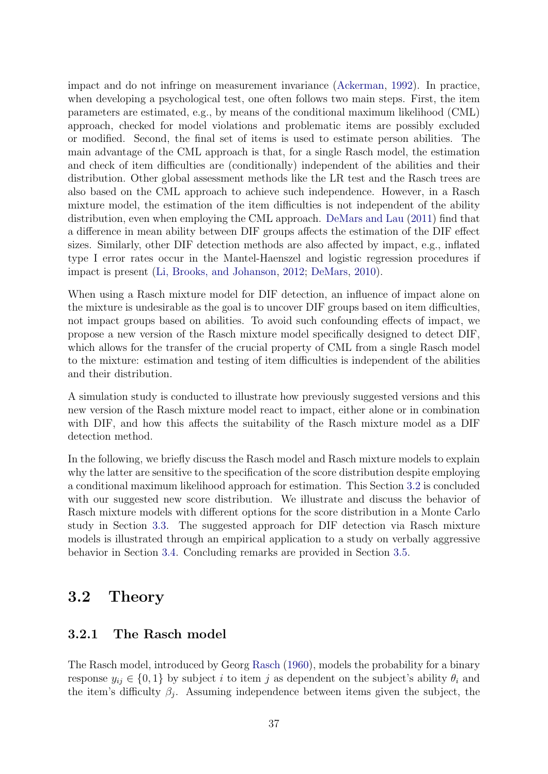impact and do not infringe on measurement invariance [\(Ackerman,](#page-71-4) [1992\)](#page-71-4). In practice, when developing a psychological test, one often follows two main steps. First, the item parameters are estimated, e.g., by means of the conditional maximum likelihood (CML) approach, checked for model violations and problematic items are possibly excluded or modified. Second, the final set of items is used to estimate person abilities. The main advantage of the CML approach is that, for a single Rasch model, the estimation and check of item difficulties are (conditionally) independent of the abilities and their distribution. Other global assessment methods like the LR test and the Rasch trees are also based on the CML approach to achieve such independence. However, in a Rasch mixture model, the estimation of the item difficulties is not independent of the ability distribution, even when employing the CML approach. [DeMars and Lau](#page-72-3) [\(2011\)](#page-72-3) find that a difference in mean ability between DIF groups affects the estimation of the DIF effect sizes. Similarly, other DIF detection methods are also affected by impact, e.g., inflated type I error rates occur in the Mantel-Haenszel and logistic regression procedures if impact is present [\(Li, Brooks, and Johanson,](#page-73-3) [2012;](#page-73-3) [DeMars,](#page-71-5) [2010\)](#page-71-5).

When using a Rasch mixture model for DIF detection, an influence of impact alone on the mixture is undesirable as the goal is to uncover DIF groups based on item difficulties, not impact groups based on abilities. To avoid such confounding effects of impact, we propose a new version of the Rasch mixture model specifically designed to detect DIF, which allows for the transfer of the crucial property of CML from a single Rasch model to the mixture: estimation and testing of item difficulties is independent of the abilities and their distribution.

A simulation study is conducted to illustrate how previously suggested versions and this new version of the Rasch mixture model react to impact, either alone or in combination with DIF, and how this affects the suitability of the Rasch mixture model as a DIF detection method.

In the following, we briefly discuss the Rasch model and Rasch mixture models to explain why the latter are sensitive to the specification of the score distribution despite employing a conditional maximum likelihood approach for estimation. This Section [3.2](#page-37-0) is concluded with our suggested new score distribution. We illustrate and discuss the behavior of Rasch mixture models with different options for the score distribution in a Monte Carlo study in Section [3.3.](#page-42-0) The suggested approach for DIF detection via Rasch mixture models is illustrated through an empirical application to a study on verbally aggressive behavior in Section [3.4.](#page-56-0) Concluding remarks are provided in Section [3.5.](#page-58-0)

## <span id="page-37-0"></span>3.2 Theory

### 3.2.1 The Rasch model

The Rasch model, introduced by Georg [Rasch](#page-74-4) [\(1960\)](#page-74-4), models the probability for a binary response  $y_{ij} \in \{0,1\}$  by subject i to item j as dependent on the subject's ability  $\theta_i$  and the item's difficulty  $\beta_j$ . Assuming independence between items given the subject, the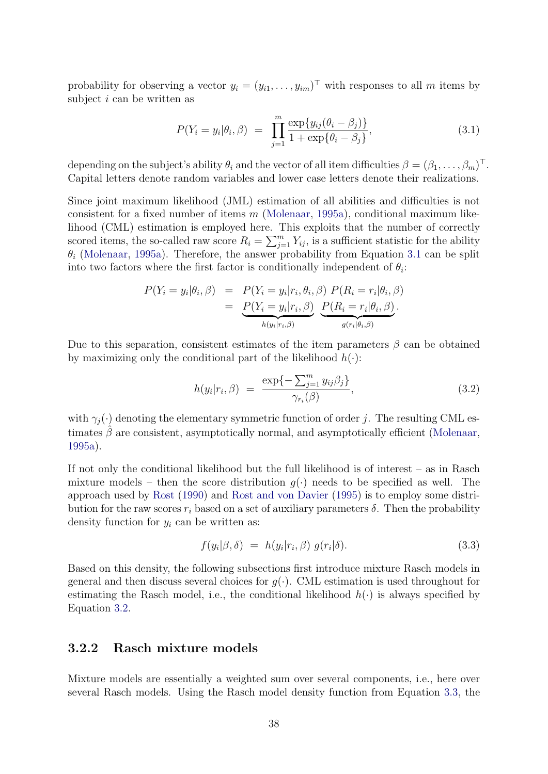probability for observing a vector  $y_i = (y_{i1}, \ldots, y_{im})^\top$  with responses to all m items by subject i can be written as

<span id="page-38-0"></span>
$$
P(Y_i = y_i | \theta_i, \beta) = \prod_{j=1}^{m} \frac{\exp\{y_{ij}(\theta_i - \beta_j)\}}{1 + \exp\{\theta_i - \beta_j\}},
$$
\n(3.1)

depending on the subject's ability  $\theta_i$  and the vector of all item difficulties  $\beta = (\beta_1, \ldots, \beta_m)^\top$ . Capital letters denote random variables and lower case letters denote their realizations.

Since joint maximum likelihood (JML) estimation of all abilities and difficulties is not consistent for a fixed number of items  $m$  [\(Molenaar,](#page-73-4) [1995a\)](#page-73-4), conditional maximum likelihood (CML) estimation is employed here. This exploits that the number of correctly scored items, the so-called raw score  $R_i = \sum_{j=1}^{m} Y_{ij}$ , is a sufficient statistic for the ability  $\theta_i$  [\(Molenaar,](#page-73-4) [1995a\)](#page-73-4). Therefore, the answer probability from Equation [3.1](#page-38-0) can be split into two factors where the first factor is conditionally independent of  $\theta_i$ :

$$
P(Y_i = y_i | \theta_i, \beta) = P(Y_i = y_i | r_i, \theta_i, \beta) P(R_i = r_i | \theta_i, \beta)
$$
  
= 
$$
\underbrace{P(Y_i = y_i | r_i, \beta)}_{h(y_i | r_i, \beta)} \underbrace{P(R_i = r_i | \theta_i, \beta)}_{g(r_i | \theta_i, \beta)}.
$$

Due to this separation, consistent estimates of the item parameters  $\beta$  can be obtained by maximizing only the conditional part of the likelihood  $h(\cdot)$ :

<span id="page-38-1"></span>
$$
h(y_i|r_i, \beta) = \frac{\exp\{-\sum_{j=1}^m y_{ij}\beta_j\}}{\gamma_{r_i}(\beta)},
$$
\n(3.2)

with  $\gamma_i(\cdot)$  denoting the elementary symmetric function of order j. The resulting CML estimates  $\hat{\beta}$  are consistent, asymptotically normal, and asymptotically efficient [\(Molenaar,](#page-73-4) [1995a\)](#page-73-4).

If not only the conditional likelihood but the full likelihood is of interest – as in Rasch mixture models – then the score distribution  $g(\cdot)$  needs to be specified as well. The approach used by [Rost](#page-74-0) [\(1990\)](#page-74-0) and [Rost and von Davier](#page-74-1) [\(1995\)](#page-74-1) is to employ some distribution for the raw scores  $r_i$  based on a set of auxiliary parameters  $\delta$ . Then the probability density function for  $y_i$  can be written as:

<span id="page-38-2"></span>
$$
f(y_i|\beta,\delta) = h(y_i|r_i,\beta) g(r_i|\delta).
$$
\n(3.3)

Based on this density, the following subsections first introduce mixture Rasch models in general and then discuss several choices for  $g(\cdot)$ . CML estimation is used throughout for estimating the Rasch model, i.e., the conditional likelihood  $h(\cdot)$  is always specified by Equation [3.2.](#page-38-1)

### 3.2.2 Rasch mixture models

Mixture models are essentially a weighted sum over several components, i.e., here over several Rasch models. Using the Rasch model density function from Equation [3.3,](#page-38-2) the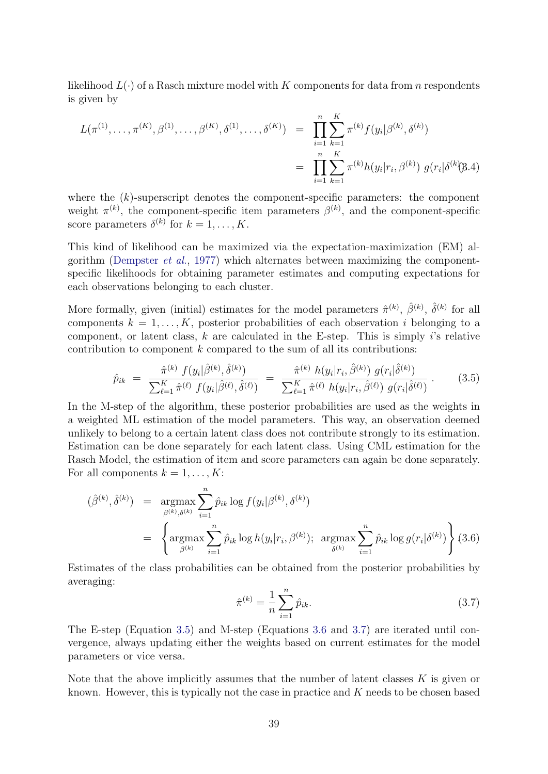likelihood  $L(\cdot)$  of a Rasch mixture model with K components for data from n respondents is given by

<span id="page-39-3"></span>
$$
L(\pi^{(1)}, \ldots, \pi^{(K)}, \beta^{(1)}, \ldots, \beta^{(K)}, \delta^{(1)}, \ldots, \delta^{(K)}) = \prod_{i=1}^{n} \sum_{k=1}^{K} \pi^{(k)} f(y_i | \beta^{(k)}, \delta^{(k)})
$$
  

$$
= \prod_{i=1}^{n} \sum_{k=1}^{K} \pi^{(k)} h(y_i | r_i, \beta^{(k)}) g(r_i | \delta^{(k)}).4)
$$

where the  $(k)$ -superscript denotes the component-specific parameters: the component weight  $\pi^{(k)}$ , the component-specific item parameters  $\beta^{(k)}$ , and the component-specific score parameters  $\delta^{(k)}$  for  $k = 1, \ldots, K$ .

This kind of likelihood can be maximized via the expectation-maximization (EM) al-gorithm [\(Dempster](#page-72-4) *et al.*, [1977\)](#page-72-4) which alternates between maximizing the componentspecific likelihoods for obtaining parameter estimates and computing expectations for each observations belonging to each cluster.

More formally, given (initial) estimates for the model parameters  $\hat{\pi}^{(k)}$ ,  $\hat{\beta}^{(k)}$ ,  $\hat{\delta}^{(k)}$  for all components  $k = 1, \ldots, K$ , posterior probabilities of each observation i belonging to a component, or latent class,  $k$  are calculated in the E-step. This is simply  $i$ 's relative contribution to component  $k$  compared to the sum of all its contributions:

<span id="page-39-0"></span>
$$
\hat{p}_{ik} = \frac{\hat{\pi}^{(k)} f(y_i | \hat{\beta}^{(k)}, \hat{\delta}^{(k)})}{\sum_{\ell=1}^K \hat{\pi}^{(\ell)} f(y_i | \hat{\beta}^{(\ell)}, \hat{\delta}^{(\ell)})} = \frac{\hat{\pi}^{(k)} h(y_i | r_i, \hat{\beta}^{(k)}) g(r_i | \hat{\delta}^{(k)})}{\sum_{\ell=1}^K \hat{\pi}^{(\ell)} h(y_i | r_i, \hat{\beta}^{(\ell)}) g(r_i | \hat{\delta}^{(\ell)})} . \tag{3.5}
$$

In the M-step of the algorithm, these posterior probabilities are used as the weights in a weighted ML estimation of the model parameters. This way, an observation deemed unlikely to belong to a certain latent class does not contribute strongly to its estimation. Estimation can be done separately for each latent class. Using CML estimation for the Rasch Model, the estimation of item and score parameters can again be done separately. For all components  $k = 1, \ldots, K$ :

<span id="page-39-1"></span>
$$
(\hat{\beta}^{(k)}, \hat{\delta}^{(k)}) = \underset{\beta^{(k)}, \delta^{(k)}}{\text{argmax}} \sum_{i=1}^{n} \hat{p}_{ik} \log f(y_i | \beta^{(k)}, \delta^{(k)})
$$

$$
= \left\{ \underset{\beta^{(k)}}{\text{argmax}} \sum_{i=1}^{n} \hat{p}_{ik} \log h(y_i | r_i, \beta^{(k)}); \underset{\delta^{(k)}}{\text{argmax}} \sum_{i=1}^{n} \hat{p}_{ik} \log g(r_i | \delta^{(k)}) \right\} (3.6)
$$

Estimates of the class probabilities can be obtained from the posterior probabilities by averaging:

<span id="page-39-2"></span>
$$
\hat{\pi}^{(k)} = \frac{1}{n} \sum_{i=1}^{n} \hat{p}_{ik}.
$$
\n(3.7)

The E-step (Equation [3.5\)](#page-39-0) and M-step (Equations [3.6](#page-39-1) and [3.7\)](#page-39-2) are iterated until convergence, always updating either the weights based on current estimates for the model parameters or vice versa.

Note that the above implicitly assumes that the number of latent classes  $K$  is given or known. However, this is typically not the case in practice and K needs to be chosen based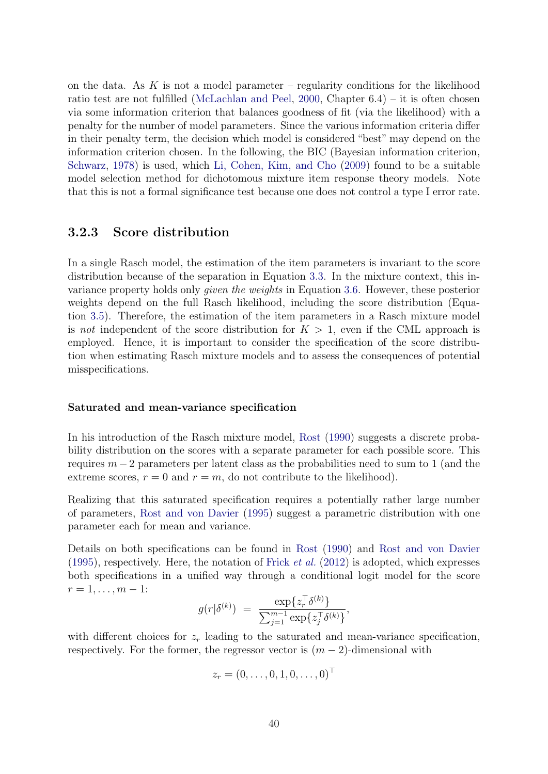on the data. As  $K$  is not a model parameter – regularity conditions for the likelihood ratio test are not fulfilled [\(McLachlan and Peel,](#page-73-5) [2000,](#page-73-5) Chapter 6.4) – it is often chosen via some information criterion that balances goodness of fit (via the likelihood) with a penalty for the number of model parameters. Since the various information criteria differ in their penalty term, the decision which model is considered "best" may depend on the information criterion chosen. In the following, the BIC (Bayesian information criterion, [Schwarz,](#page-74-5) [1978\)](#page-74-5) is used, which [Li, Cohen, Kim, and Cho](#page-73-6) [\(2009\)](#page-73-6) found to be a suitable model selection method for dichotomous mixture item response theory models. Note that this is not a formal significance test because one does not control a type I error rate.

### 3.2.3 Score distribution

In a single Rasch model, the estimation of the item parameters is invariant to the score distribution because of the separation in Equation [3.3.](#page-38-2) In the mixture context, this invariance property holds only given the weights in Equation [3.6.](#page-39-1) However, these posterior weights depend on the full Rasch likelihood, including the score distribution (Equation [3.5\)](#page-39-0). Therefore, the estimation of the item parameters in a Rasch mixture model is not independent of the score distribution for  $K > 1$ , even if the CML approach is employed. Hence, it is important to consider the specification of the score distribution when estimating Rasch mixture models and to assess the consequences of potential misspecifications.

#### Saturated and mean-variance specification

In his introduction of the Rasch mixture model, [Rost](#page-74-0) [\(1990\)](#page-74-0) suggests a discrete probability distribution on the scores with a separate parameter for each possible score. This requires  $m-2$  parameters per latent class as the probabilities need to sum to 1 (and the extreme scores,  $r = 0$  and  $r = m$ , do not contribute to the likelihood).

Realizing that this saturated specification requires a potentially rather large number of parameters, [Rost and von Davier](#page-74-1) [\(1995\)](#page-74-1) suggest a parametric distribution with one parameter each for mean and variance.

Details on both specifications can be found in [Rost](#page-74-0) [\(1990\)](#page-74-0) and [Rost and von Davier](#page-74-1)  $(1995)$ , respectively. Here, the notation of Frick *[et al.](#page-72-5)*  $(2012)$  is adopted, which expresses both specifications in a unified way through a conditional logit model for the score  $r = 1, \ldots, m - 1$ :

$$
g(r|\delta^{(k)}) = \frac{\exp\{z_r^{\top} \delta^{(k)}\}}{\sum_{j=1}^{m-1} \exp\{z_j^{\top} \delta^{(k)}\}},
$$

with different choices for  $z_r$  leading to the saturated and mean-variance specification, respectively. For the former, the regressor vector is  $(m-2)$ -dimensional with

$$
z_r = (0, \ldots, 0, 1, 0, \ldots, 0)^{\top}
$$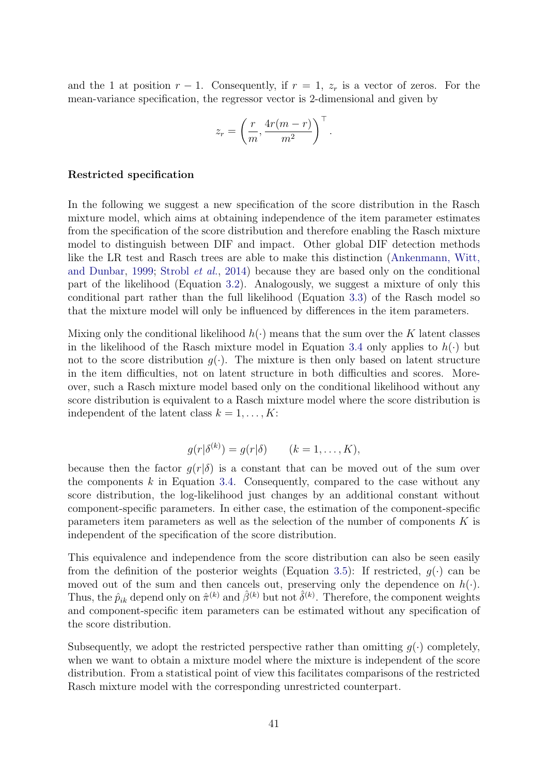and the 1 at position  $r-1$ . Consequently, if  $r=1$ ,  $z_r$  is a vector of zeros. For the mean-variance specification, the regressor vector is 2-dimensional and given by

$$
z_r = \left(\frac{r}{m}, \frac{4r(m-r)}{m^2}\right)^\top.
$$

#### Restricted specification

In the following we suggest a new specification of the score distribution in the Rasch mixture model, which aims at obtaining independence of the item parameter estimates from the specification of the score distribution and therefore enabling the Rasch mixture model to distinguish between DIF and impact. Other global DIF detection methods like the LR test and Rasch trees are able to make this distinction [\(Ankenmann, Witt,](#page-71-6) [and Dunbar,](#page-71-6) [1999;](#page-71-6) [Strobl](#page-74-3) et al., [2014\)](#page-74-3) because they are based only on the conditional part of the likelihood (Equation [3.2\)](#page-38-1). Analogously, we suggest a mixture of only this conditional part rather than the full likelihood (Equation [3.3\)](#page-38-2) of the Rasch model so that the mixture model will only be influenced by differences in the item parameters.

Mixing only the conditional likelihood  $h(\cdot)$  means that the sum over the K latent classes in the likelihood of the Rasch mixture model in Equation [3.4](#page-39-3) only applies to  $h(\cdot)$  but not to the score distribution  $g(\cdot)$ . The mixture is then only based on latent structure in the item difficulties, not on latent structure in both difficulties and scores. Moreover, such a Rasch mixture model based only on the conditional likelihood without any score distribution is equivalent to a Rasch mixture model where the score distribution is independent of the latent class  $k = 1, \ldots, K$ :

$$
g(r|\delta^{(k)}) = g(r|\delta) \qquad (k = 1, \dots, K),
$$

because then the factor  $q(r|\delta)$  is a constant that can be moved out of the sum over the components  $k$  in Equation [3.4.](#page-39-3) Consequently, compared to the case without any score distribution, the log-likelihood just changes by an additional constant without component-specific parameters. In either case, the estimation of the component-specific parameters item parameters as well as the selection of the number of components  $K$  is independent of the specification of the score distribution.

This equivalence and independence from the score distribution can also be seen easily from the definition of the posterior weights (Equation [3.5\)](#page-39-0): If restricted,  $g(\cdot)$  can be moved out of the sum and then cancels out, preserving only the dependence on  $h(\cdot)$ . Thus, the  $\hat{p}_{ik}$  depend only on  $\hat{\pi}^{(k)}$  and  $\hat{\beta}^{(k)}$  but not  $\hat{\delta}^{(k)}$ . Therefore, the component weights and component-specific item parameters can be estimated without any specification of the score distribution.

Subsequently, we adopt the restricted perspective rather than omitting  $g(\cdot)$  completely, when we want to obtain a mixture model where the mixture is independent of the score distribution. From a statistical point of view this facilitates comparisons of the restricted Rasch mixture model with the corresponding unrestricted counterpart.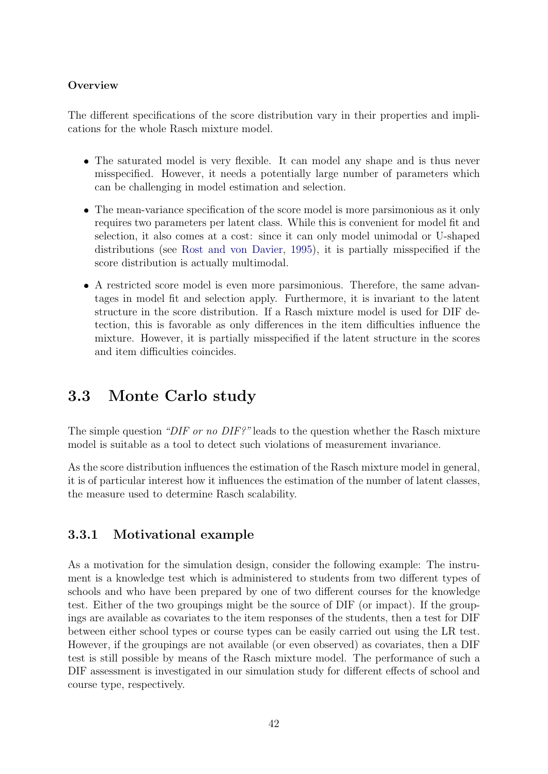### **Overview**

The different specifications of the score distribution vary in their properties and implications for the whole Rasch mixture model.

- The saturated model is very flexible. It can model any shape and is thus never misspecified. However, it needs a potentially large number of parameters which can be challenging in model estimation and selection.
- The mean-variance specification of the score model is more parsimonious as it only requires two parameters per latent class. While this is convenient for model fit and selection, it also comes at a cost: since it can only model unimodal or U-shaped distributions (see [Rost and von Davier,](#page-74-1) [1995\)](#page-74-1), it is partially misspecified if the score distribution is actually multimodal.
- A restricted score model is even more parsimonious. Therefore, the same advantages in model fit and selection apply. Furthermore, it is invariant to the latent structure in the score distribution. If a Rasch mixture model is used for DIF detection, this is favorable as only differences in the item difficulties influence the mixture. However, it is partially misspecified if the latent structure in the scores and item difficulties coincides.

# <span id="page-42-0"></span>3.3 Monte Carlo study

The simple question "DIF or no DIF?" leads to the question whether the Rasch mixture model is suitable as a tool to detect such violations of measurement invariance.

As the score distribution influences the estimation of the Rasch mixture model in general, it is of particular interest how it influences the estimation of the number of latent classes, the measure used to determine Rasch scalability.

### 3.3.1 Motivational example

As a motivation for the simulation design, consider the following example: The instrument is a knowledge test which is administered to students from two different types of schools and who have been prepared by one of two different courses for the knowledge test. Either of the two groupings might be the source of DIF (or impact). If the groupings are available as covariates to the item responses of the students, then a test for DIF between either school types or course types can be easily carried out using the LR test. However, if the groupings are not available (or even observed) as covariates, then a DIF test is still possible by means of the Rasch mixture model. The performance of such a DIF assessment is investigated in our simulation study for different effects of school and course type, respectively.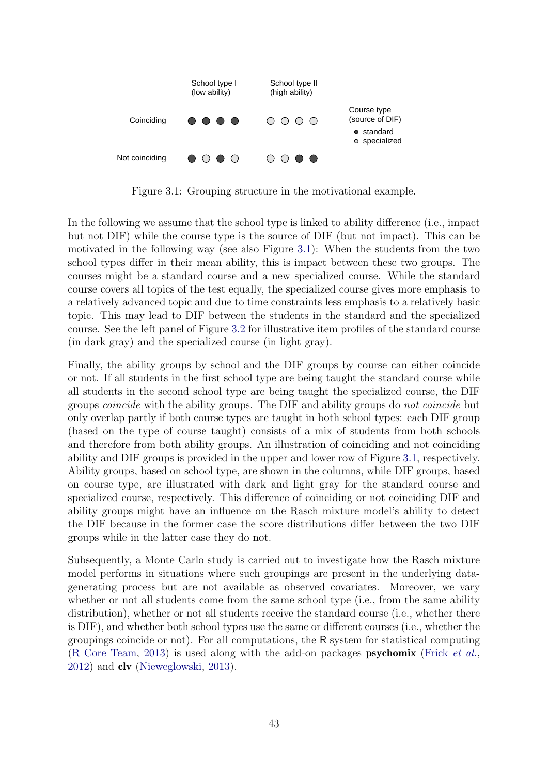

<span id="page-43-0"></span>Figure 3.1: Grouping structure in the motivational example.

In the following we assume that the school type is linked to ability difference (i.e., impact but not DIF) while the course type is the source of DIF (but not impact). This can be motivated in the following way (see also Figure [3.1\)](#page-43-0): When the students from the two school types differ in their mean ability, this is impact between these two groups. The courses might be a standard course and a new specialized course. While the standard course covers all topics of the test equally, the specialized course gives more emphasis to a relatively advanced topic and due to time constraints less emphasis to a relatively basic topic. This may lead to DIF between the students in the standard and the specialized course. See the left panel of Figure [3.2](#page-45-0) for illustrative item profiles of the standard course (in dark gray) and the specialized course (in light gray).

Finally, the ability groups by school and the DIF groups by course can either coincide or not. If all students in the first school type are being taught the standard course while all students in the second school type are being taught the specialized course, the DIF groups *coincide* with the ability groups. The DIF and ability groups do *not coincide* but only overlap partly if both course types are taught in both school types: each DIF group (based on the type of course taught) consists of a mix of students from both schools and therefore from both ability groups. An illustration of coinciding and not coinciding ability and DIF groups is provided in the upper and lower row of Figure [3.1,](#page-43-0) respectively. Ability groups, based on school type, are shown in the columns, while DIF groups, based on course type, are illustrated with dark and light gray for the standard course and specialized course, respectively. This difference of coinciding or not coinciding DIF and ability groups might have an influence on the Rasch mixture model's ability to detect the DIF because in the former case the score distributions differ between the two DIF groups while in the latter case they do not.

Subsequently, a Monte Carlo study is carried out to investigate how the Rasch mixture model performs in situations where such groupings are present in the underlying datagenerating process but are not available as observed covariates. Moreover, we vary whether or not all students come from the same school type *(i.e., from the same ability* distribution), whether or not all students receive the standard course (i.e., whether there is DIF), and whether both school types use the same or different courses (i.e., whether the groupings coincide or not). For all computations, the R system for statistical computing [\(R Core Team,](#page-73-7) [2013\)](#page-73-7) is used along with the add-on packages psychomix (Frick [et al.](#page-72-5), [2012\)](#page-72-5) and clv [\(Nieweglowski,](#page-73-8) [2013\)](#page-73-8).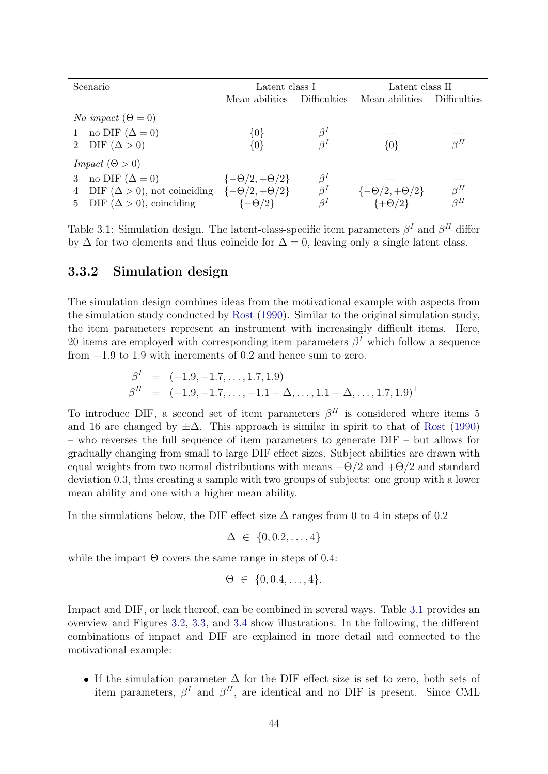| Scenario                                                       | Latent class I             |                      | Latent class II            |              |
|----------------------------------------------------------------|----------------------------|----------------------|----------------------------|--------------|
|                                                                | Mean abilities             | Difficulties         | Mean abilities             | Difficulties |
| <i>No impact</i> $(\Theta = 0)$                                |                            |                      |                            |              |
| no DIF $(\Delta = 0)$                                          | $\{0\}$                    | $\beta^I$            |                            |              |
| DIF $(\Delta > 0)$<br>$\overline{2}$                           | 10 Y                       |                      | {0}                        | $\beta$ II   |
| <i>Impact</i> $(\Theta > 0)$                                   |                            |                      |                            |              |
| no DIF $(\Delta = 0)$<br>3                                     | $\{-\Theta/2, +\Theta/2\}$ | $\beta^I$            |                            |              |
| DIF $(\Delta > 0)$ , not coinciding $\{-\Theta/2, +\Theta/2\}$ |                            | $\beta^I$            | $\{-\Theta/2, +\Theta/2\}$ | $\beta^{II}$ |
| DIF $(\Delta > 0)$ , coinciding<br>5.                          | $\{-\Theta/2\}$            | $\beta$ <sup>1</sup> | $\{+\Theta/2\}$            | $\beta$ II   |

<span id="page-44-0"></span>Table 3.1: Simulation design. The latent-class-specific item parameters  $\beta^I$  and  $\beta^H$  differ by  $\Delta$  for two elements and thus coincide for  $\Delta = 0$ , leaving only a single latent class.

### 3.3.2 Simulation design

The simulation design combines ideas from the motivational example with aspects from the simulation study conducted by [Rost](#page-74-0) [\(1990\)](#page-74-0). Similar to the original simulation study, the item parameters represent an instrument with increasingly difficult items. Here, 20 items are employed with corresponding item parameters  $\beta^I$  which follow a sequence from −1.9 to 1.9 with increments of 0.2 and hence sum to zero.

$$
\begin{array}{rcl}\n\beta^I & = & (-1.9, -1.7, \dots, 1.7, 1.9)^\top \\
\beta^{II} & = & (-1.9, -1.7, \dots, -1.1 + \Delta, \dots, 1.1 - \Delta, \dots, 1.7, 1.9)^\top\n\end{array}
$$

To introduce DIF, a second set of item parameters  $\beta^H$  is considered where items 5 and 16 are changed by  $\pm \Delta$ . This approach is similar in spirit to that of [Rost](#page-74-0) [\(1990\)](#page-74-0) – who reverses the full sequence of item parameters to generate DIF – but allows for gradually changing from small to large DIF effect sizes. Subject abilities are drawn with equal weights from two normal distributions with means  $-\Theta/2$  and  $+\Theta/2$  and standard deviation 0.3, thus creating a sample with two groups of subjects: one group with a lower mean ability and one with a higher mean ability.

In the simulations below, the DIF effect size  $\Delta$  ranges from 0 to 4 in steps of 0.2

$$
\Delta \in \{0, 0.2, \dots, 4\}
$$

while the impact  $\Theta$  covers the same range in steps of 0.4:

$$
\Theta \in \{0, 0.4, \ldots, 4\}.
$$

Impact and DIF, or lack thereof, can be combined in several ways. Table [3.1](#page-44-0) provides an overview and Figures [3.2,](#page-45-0) [3.3,](#page-45-1) and [3.4](#page-45-2) show illustrations. In the following, the different combinations of impact and DIF are explained in more detail and connected to the motivational example:

If the simulation parameter  $\Delta$  for the DIF effect size is set to zero, both sets of item parameters,  $\beta^I$  and  $\beta^I$ , are identical and no DIF is present. Since CML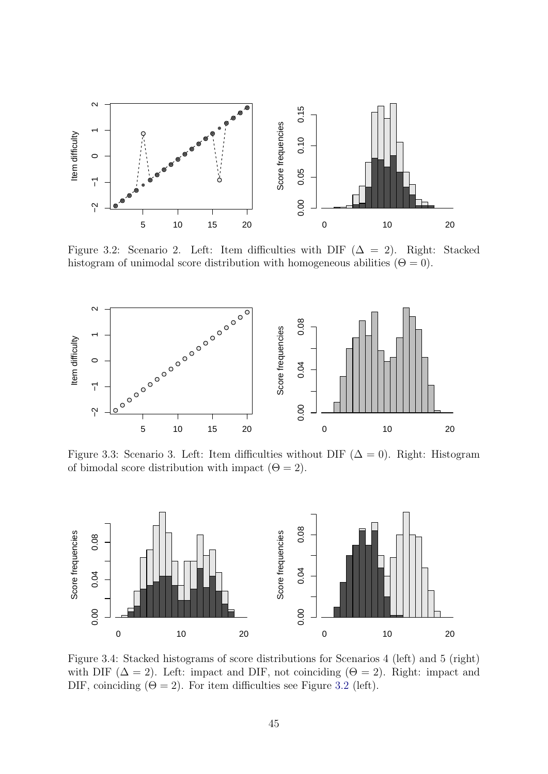

<span id="page-45-0"></span>Figure 3.2: Scenario 2. Left: Item difficulties with DIF ( $\Delta = 2$ ). Right: Stacked histogram of unimodal score distribution with homogeneous abilities  $(\Theta = 0)$ .



<span id="page-45-1"></span>Figure 3.3: Scenario 3. Left: Item difficulties without DIF ( $\Delta = 0$ ). Right: Histogram of bimodal score distribution with impact  $(\Theta = 2)$ .



<span id="page-45-2"></span>Figure 3.4: Stacked histograms of score distributions for Scenarios 4 (left) and 5 (right) with DIF ( $\Delta = 2$ ). Left: impact and DIF, not coinciding ( $\Theta = 2$ ). Right: impact and DIF, coinciding  $(\Theta = 2)$ . For item difficulties see Figure [3.2](#page-45-0) (left).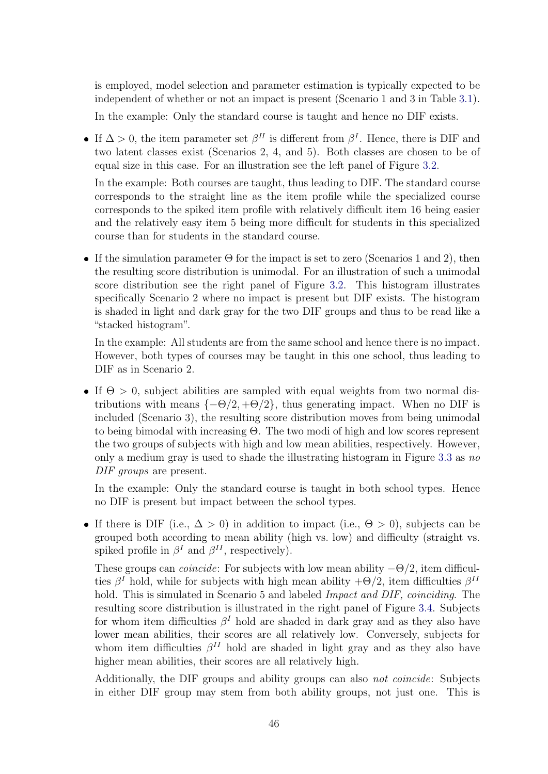is employed, model selection and parameter estimation is typically expected to be independent of whether or not an impact is present (Scenario 1 and 3 in Table [3.1\)](#page-44-0).

In the example: Only the standard course is taught and hence no DIF exists.

• If  $\Delta > 0$ , the item parameter set  $\beta$ <sup>II</sup> is different from  $\beta$ <sup>I</sup>. Hence, there is DIF and two latent classes exist (Scenarios 2, 4, and 5). Both classes are chosen to be of equal size in this case. For an illustration see the left panel of Figure [3.2.](#page-45-0)

In the example: Both courses are taught, thus leading to DIF. The standard course corresponds to the straight line as the item profile while the specialized course corresponds to the spiked item profile with relatively difficult item 16 being easier and the relatively easy item 5 being more difficult for students in this specialized course than for students in the standard course.

If the simulation parameter  $\Theta$  for the impact is set to zero (Scenarios 1 and 2), then the resulting score distribution is unimodal. For an illustration of such a unimodal score distribution see the right panel of Figure [3.2.](#page-45-0) This histogram illustrates specifically Scenario 2 where no impact is present but DIF exists. The histogram is shaded in light and dark gray for the two DIF groups and thus to be read like a "stacked histogram".

In the example: All students are from the same school and hence there is no impact. However, both types of courses may be taught in this one school, thus leading to DIF as in Scenario 2.

If  $\Theta > 0$ , subject abilities are sampled with equal weights from two normal distributions with means  $\{-\Theta/2, +\Theta/2\}$ , thus generating impact. When no DIF is included (Scenario 3), the resulting score distribution moves from being unimodal to being bimodal with increasing Θ. The two modi of high and low scores represent the two groups of subjects with high and low mean abilities, respectively. However, only a medium gray is used to shade the illustrating histogram in Figure [3.3](#page-45-1) as no DIF *groups* are present.

In the example: Only the standard course is taught in both school types. Hence no DIF is present but impact between the school types.

If there is DIF (i.e.,  $\Delta > 0$ ) in addition to impact (i.e.,  $\Theta > 0$ ), subjects can be grouped both according to mean ability (high vs. low) and difficulty (straight vs. spiked profile in  $\beta^I$  and  $\beta^{II}$ , respectively).

These groups can *coincide*: For subjects with low mean ability  $-\Theta/2$ , item difficulties  $\beta^I$  hold, while for subjects with high mean ability  $+\Theta/2$ , item difficulties  $\beta^{II}$ hold. This is simulated in Scenario 5 and labeled *Impact and DIF*, *coinciding*. The resulting score distribution is illustrated in the right panel of Figure [3.4.](#page-45-2) Subjects for whom item difficulties  $\beta^I$  hold are shaded in dark gray and as they also have lower mean abilities, their scores are all relatively low. Conversely, subjects for whom item difficulties  $\beta$ <sup>II</sup> hold are shaded in light gray and as they also have higher mean abilities, their scores are all relatively high.

Additionally, the DIF groups and ability groups can also not coincide: Subjects in either DIF group may stem from both ability groups, not just one. This is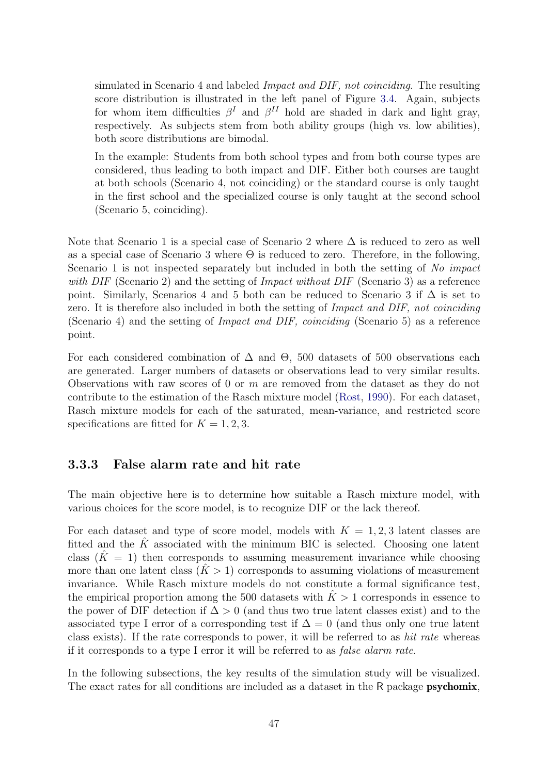simulated in Scenario 4 and labeled *Impact and DIF*, not coinciding. The resulting score distribution is illustrated in the left panel of Figure [3.4.](#page-45-2) Again, subjects for whom item difficulties  $\beta^I$  and  $\beta^{II}$  hold are shaded in dark and light gray, respectively. As subjects stem from both ability groups (high vs. low abilities), both score distributions are bimodal.

In the example: Students from both school types and from both course types are considered, thus leading to both impact and DIF. Either both courses are taught at both schools (Scenario 4, not coinciding) or the standard course is only taught in the first school and the specialized course is only taught at the second school (Scenario 5, coinciding).

Note that Scenario 1 is a special case of Scenario 2 where  $\Delta$  is reduced to zero as well as a special case of Scenario 3 where  $\Theta$  is reduced to zero. Therefore, in the following, Scenario 1 is not inspected separately but included in both the setting of No impact with  $DIF$  (Scenario 2) and the setting of Impact without  $DIF$  (Scenario 3) as a reference point. Similarly, Scenarios 4 and 5 both can be reduced to Scenario 3 if  $\Delta$  is set to zero. It is therefore also included in both the setting of *Impact and DIF*, not coinciding (Scenario 4) and the setting of Impact and DIF, coinciding (Scenario 5) as a reference point.

For each considered combination of  $\Delta$  and  $\Theta$ , 500 datasets of 500 observations each are generated. Larger numbers of datasets or observations lead to very similar results. Observations with raw scores of 0 or  $m$  are removed from the dataset as they do not contribute to the estimation of the Rasch mixture model [\(Rost,](#page-74-0) [1990\)](#page-74-0). For each dataset, Rasch mixture models for each of the saturated, mean-variance, and restricted score specifications are fitted for  $K = 1, 2, 3$ .

### 3.3.3 False alarm rate and hit rate

The main objective here is to determine how suitable a Rasch mixture model, with various choices for the score model, is to recognize DIF or the lack thereof.

For each dataset and type of score model, models with  $K = 1, 2, 3$  latent classes are fitted and the  $K$  associated with the minimum BIC is selected. Choosing one latent class  $(K = 1)$  then corresponds to assuming measurement invariance while choosing more than one latent class  $(K > 1)$  corresponds to assuming violations of measurement invariance. While Rasch mixture models do not constitute a formal significance test, the empirical proportion among the 500 datasets with  $K > 1$  corresponds in essence to the power of DIF detection if  $\Delta > 0$  (and thus two true latent classes exist) and to the associated type I error of a corresponding test if  $\Delta = 0$  (and thus only one true latent class exists). If the rate corresponds to power, it will be referred to as hit rate whereas if it corresponds to a type I error it will be referred to as false alarm rate.

In the following subsections, the key results of the simulation study will be visualized. The exact rates for all conditions are included as a dataset in the R package **psychomix**,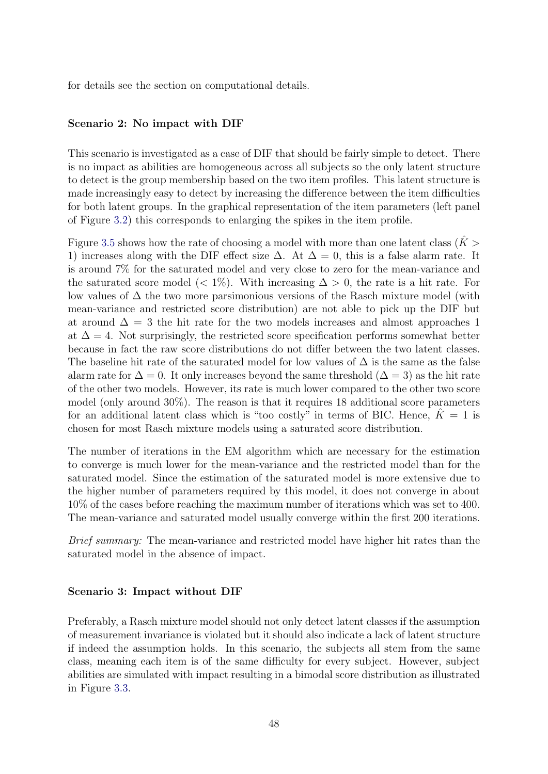for details see the section on computational details.

### Scenario 2: No impact with DIF

This scenario is investigated as a case of DIF that should be fairly simple to detect. There is no impact as abilities are homogeneous across all subjects so the only latent structure to detect is the group membership based on the two item profiles. This latent structure is made increasingly easy to detect by increasing the difference between the item difficulties for both latent groups. In the graphical representation of the item parameters (left panel of Figure [3.2\)](#page-45-0) this corresponds to enlarging the spikes in the item profile.

Figure [3.5](#page-49-0) shows how the rate of choosing a model with more than one latent class ( $K >$ 1) increases along with the DIF effect size  $\Delta$ . At  $\Delta = 0$ , this is a false alarm rate. It is around 7% for the saturated model and very close to zero for the mean-variance and the saturated score model (< 1%). With increasing  $\Delta > 0$ , the rate is a hit rate. For low values of  $\Delta$  the two more parsimonious versions of the Rasch mixture model (with mean-variance and restricted score distribution) are not able to pick up the DIF but at around  $\Delta = 3$  the hit rate for the two models increases and almost approaches 1 at  $\Delta = 4$ . Not surprisingly, the restricted score specification performs somewhat better because in fact the raw score distributions do not differ between the two latent classes. The baseline hit rate of the saturated model for low values of  $\Delta$  is the same as the false alarm rate for  $\Delta = 0$ . It only increases beyond the same threshold ( $\Delta = 3$ ) as the hit rate of the other two models. However, its rate is much lower compared to the other two score model (only around 30%). The reason is that it requires 18 additional score parameters for an additional latent class which is "too costly" in terms of BIC. Hence,  $K = 1$  is chosen for most Rasch mixture models using a saturated score distribution.

The number of iterations in the EM algorithm which are necessary for the estimation to converge is much lower for the mean-variance and the restricted model than for the saturated model. Since the estimation of the saturated model is more extensive due to the higher number of parameters required by this model, it does not converge in about 10% of the cases before reaching the maximum number of iterations which was set to 400. The mean-variance and saturated model usually converge within the first 200 iterations.

Brief summary: The mean-variance and restricted model have higher hit rates than the saturated model in the absence of impact.

### Scenario 3: Impact without DIF

Preferably, a Rasch mixture model should not only detect latent classes if the assumption of measurement invariance is violated but it should also indicate a lack of latent structure if indeed the assumption holds. In this scenario, the subjects all stem from the same class, meaning each item is of the same difficulty for every subject. However, subject abilities are simulated with impact resulting in a bimodal score distribution as illustrated in Figure [3.3.](#page-45-1)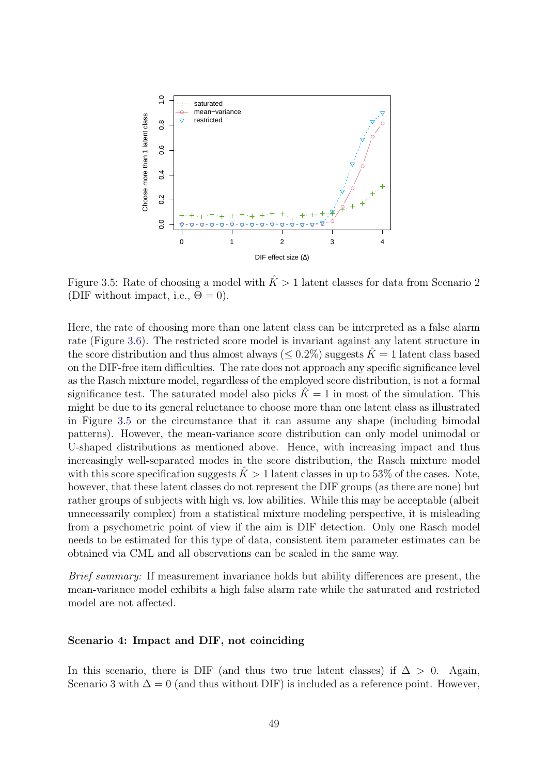

<span id="page-49-0"></span>Figure 3.5: Rate of choosing a model with  $\hat{K} > 1$  latent classes for data from Scenario 2 (DIF without impact, i.e.,  $\Theta = 0$ ).

Here, the rate of choosing more than one latent class can be interpreted as a false alarm rate (Figure [3.6\)](#page-50-0). The restricted score model is invariant against any latent structure in the score distribution and thus almost always ( $\leq 0.2\%$ ) suggests  $K = 1$  latent class based on the DIF-free item difficulties. The rate does not approach any specific significance level as the Rasch mixture model, regardless of the employed score distribution, is not a formal significance test. The saturated model also picks  $\tilde{K} = 1$  in most of the simulation. This might be due to its general reluctance to choose more than one latent class as illustrated in Figure [3.5](#page-49-0) or the circumstance that it can assume any shape (including bimodal patterns). However, the mean-variance score distribution can only model unimodal or U-shaped distributions as mentioned above. Hence, with increasing impact and thus increasingly well-separated modes in the score distribution, the Rasch mixture model with this score specification suggests  $K > 1$  latent classes in up to 53% of the cases. Note, however, that these latent classes do not represent the DIF groups (as there are none) but rather groups of subjects with high vs. low abilities. While this may be acceptable (albeit unnecessarily complex) from a statistical mixture modeling perspective, it is misleading from a psychometric point of view if the aim is DIF detection. Only one Rasch model needs to be estimated for this type of data, consistent item parameter estimates can be obtained via CML and all observations can be scaled in the same way.

Brief summary: If measurement invariance holds but ability differences are present, the mean-variance model exhibits a high false alarm rate while the saturated and restricted model are not affected.

### Scenario 4: Impact and DIF, not coinciding

In this scenario, there is DIF (and thus two true latent classes) if  $\Delta > 0$ . Again, Scenario 3 with  $\Delta = 0$  (and thus without DIF) is included as a reference point. However,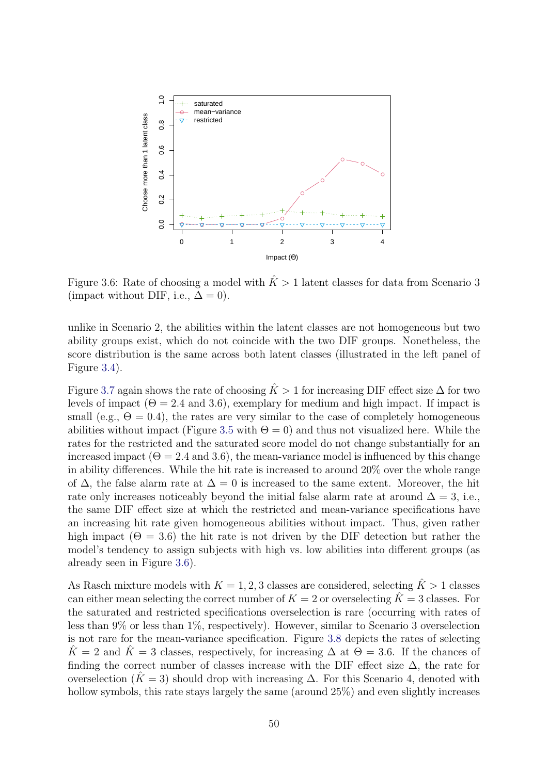

<span id="page-50-0"></span>Figure 3.6: Rate of choosing a model with  $\hat{K} > 1$  latent classes for data from Scenario 3 (impact without DIF, i.e.,  $\Delta = 0$ ).

unlike in Scenario 2, the abilities within the latent classes are not homogeneous but two ability groups exist, which do not coincide with the two DIF groups. Nonetheless, the score distribution is the same across both latent classes (illustrated in the left panel of Figure [3.4\)](#page-45-2).

Figure [3.7](#page-51-0) again shows the rate of choosing  $\hat{K} > 1$  for increasing DIF effect size  $\Delta$  for two levels of impact  $(\Theta = 2.4$  and 3.6), exemplary for medium and high impact. If impact is small (e.g.,  $\Theta = 0.4$ ), the rates are very similar to the case of completely homogeneous abilities without impact (Figure [3.5](#page-49-0) with  $\Theta = 0$ ) and thus not visualized here. While the rates for the restricted and the saturated score model do not change substantially for an increased impact  $(\Theta = 2.4 \text{ and } 3.6)$ , the mean-variance model is influenced by this change in ability differences. While the hit rate is increased to around 20% over the whole range of  $\Delta$ , the false alarm rate at  $\Delta = 0$  is increased to the same extent. Moreover, the hit rate only increases noticeably beyond the initial false alarm rate at around  $\Delta = 3$ , i.e., the same DIF effect size at which the restricted and mean-variance specifications have an increasing hit rate given homogeneous abilities without impact. Thus, given rather high impact  $(\Theta = 3.6)$  the hit rate is not driven by the DIF detection but rather the model's tendency to assign subjects with high vs. low abilities into different groups (as already seen in Figure [3.6\)](#page-50-0).

As Rasch mixture models with  $K = 1, 2, 3$  classes are considered, selecting  $\hat{K} > 1$  classes can either mean selecting the correct number of  $K = 2$  or overselecting  $\hat{K} = 3$  classes. For the saturated and restricted specifications overselection is rare (occurring with rates of less than 9% or less than 1%, respectively). However, similar to Scenario 3 overselection is not rare for the mean-variance specification. Figure [3.8](#page-51-1) depicts the rates of selecting  $\hat{K} = 2$  and  $\hat{K} = 3$  classes, respectively, for increasing  $\Delta$  at  $\Theta = 3.6$ . If the chances of finding the correct number of classes increase with the DIF effect size  $\Delta$ , the rate for overselection ( $\tilde{K} = 3$ ) should drop with increasing  $\Delta$ . For this Scenario 4, denoted with hollow symbols, this rate stays largely the same (around 25%) and even slightly increases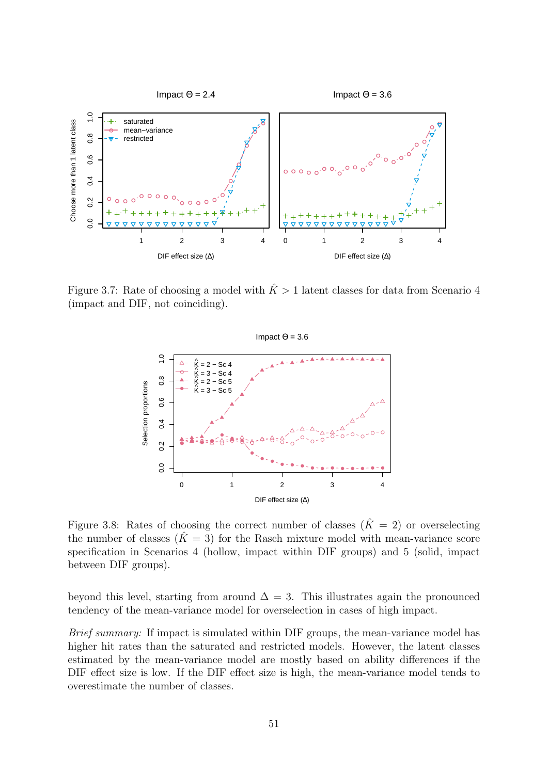

Figure 3.7: Rate of choosing a model with  $\hat{K} > 1$  latent classes for data from Scenario 4 (impact and DIF, not coinciding).

<span id="page-51-0"></span>

<span id="page-51-1"></span>Figure 3.8: Rates of choosing the correct number of classes  $(\hat{K} = 2)$  or overselecting the number of classes  $(K = 3)$  for the Rasch mixture model with mean-variance score specification in Scenarios 4 (hollow, impact within DIF groups) and 5 (solid, impact between DIF groups).

beyond this level, starting from around  $\Delta = 3$ . This illustrates again the pronounced tendency of the mean-variance model for overselection in cases of high impact.

Brief summary: If impact is simulated within DIF groups, the mean-variance model has higher hit rates than the saturated and restricted models. However, the latent classes estimated by the mean-variance model are mostly based on ability differences if the DIF effect size is low. If the DIF effect size is high, the mean-variance model tends to overestimate the number of classes.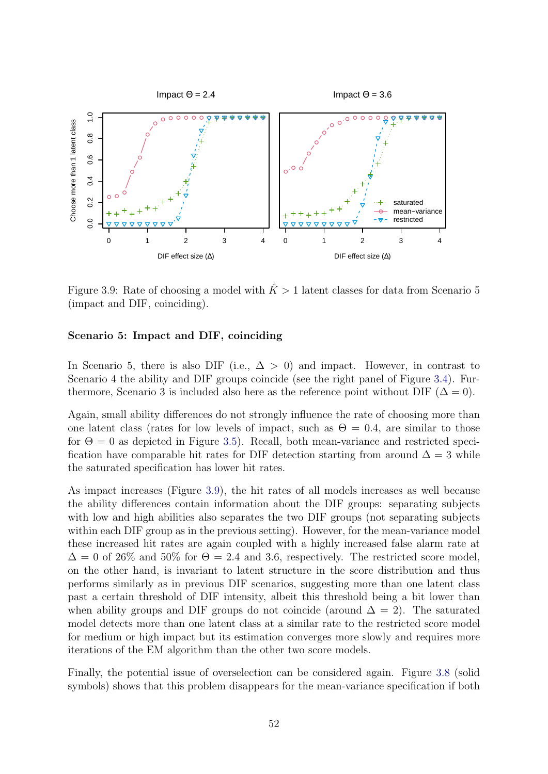

<span id="page-52-0"></span>Figure 3.9: Rate of choosing a model with  $\hat{K} > 1$  latent classes for data from Scenario 5 (impact and DIF, coinciding).

### Scenario 5: Impact and DIF, coinciding

In Scenario 5, there is also DIF (i.e.,  $\Delta > 0$ ) and impact. However, in contrast to Scenario 4 the ability and DIF groups coincide (see the right panel of Figure [3.4\)](#page-45-2). Furthermore, Scenario 3 is included also here as the reference point without DIF ( $\Delta = 0$ ).

Again, small ability differences do not strongly influence the rate of choosing more than one latent class (rates for low levels of impact, such as  $\Theta = 0.4$ , are similar to those for  $\Theta = 0$  as depicted in Figure [3.5\)](#page-49-0). Recall, both mean-variance and restricted specification have comparable hit rates for DIF detection starting from around  $\Delta = 3$  while the saturated specification has lower hit rates.

As impact increases (Figure [3.9\)](#page-52-0), the hit rates of all models increases as well because the ability differences contain information about the DIF groups: separating subjects with low and high abilities also separates the two DIF groups (not separating subjects within each DIF group as in the previous setting). However, for the mean-variance model these increased hit rates are again coupled with a highly increased false alarm rate at  $\Delta = 0$  of 26% and 50% for  $\Theta = 2.4$  and 3.6, respectively. The restricted score model, on the other hand, is invariant to latent structure in the score distribution and thus performs similarly as in previous DIF scenarios, suggesting more than one latent class past a certain threshold of DIF intensity, albeit this threshold being a bit lower than when ability groups and DIF groups do not coincide (around  $\Delta = 2$ ). The saturated model detects more than one latent class at a similar rate to the restricted score model for medium or high impact but its estimation converges more slowly and requires more iterations of the EM algorithm than the other two score models.

Finally, the potential issue of overselection can be considered again. Figure [3.8](#page-51-1) (solid symbols) shows that this problem disappears for the mean-variance specification if both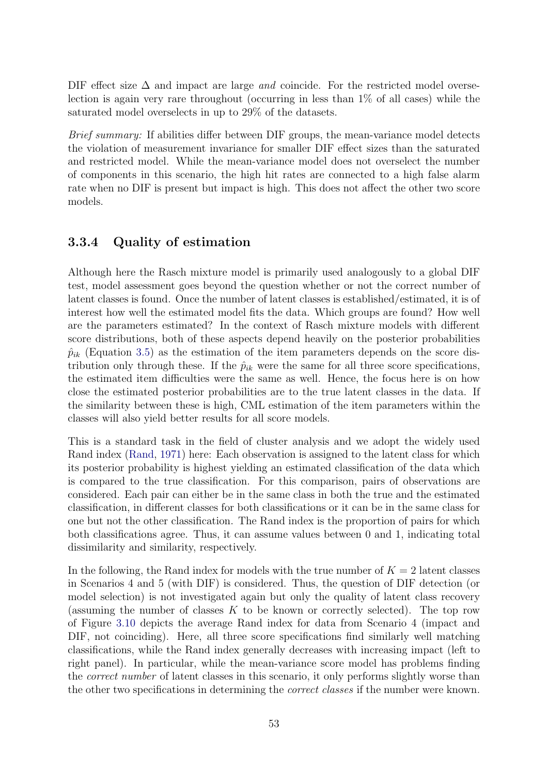DIF effect size  $\Delta$  and impact are large *and* coincide. For the restricted model overselection is again very rare throughout (occurring in less than 1% of all cases) while the saturated model overselects in up to 29% of the datasets.

Brief summary: If abilities differ between DIF groups, the mean-variance model detects the violation of measurement invariance for smaller DIF effect sizes than the saturated and restricted model. While the mean-variance model does not overselect the number of components in this scenario, the high hit rates are connected to a high false alarm rate when no DIF is present but impact is high. This does not affect the other two score models.

### 3.3.4 Quality of estimation

Although here the Rasch mixture model is primarily used analogously to a global DIF test, model assessment goes beyond the question whether or not the correct number of latent classes is found. Once the number of latent classes is established/estimated, it is of interest how well the estimated model fits the data. Which groups are found? How well are the parameters estimated? In the context of Rasch mixture models with different score distributions, both of these aspects depend heavily on the posterior probabilities  $\hat{p}_{ik}$  (Equation [3.5\)](#page-39-0) as the estimation of the item parameters depends on the score distribution only through these. If the  $\hat{p}_{ik}$  were the same for all three score specifications, the estimated item difficulties were the same as well. Hence, the focus here is on how close the estimated posterior probabilities are to the true latent classes in the data. If the similarity between these is high, CML estimation of the item parameters within the classes will also yield better results for all score models.

This is a standard task in the field of cluster analysis and we adopt the widely used Rand index [\(Rand,](#page-74-6) [1971\)](#page-74-6) here: Each observation is assigned to the latent class for which its posterior probability is highest yielding an estimated classification of the data which is compared to the true classification. For this comparison, pairs of observations are considered. Each pair can either be in the same class in both the true and the estimated classification, in different classes for both classifications or it can be in the same class for one but not the other classification. The Rand index is the proportion of pairs for which both classifications agree. Thus, it can assume values between 0 and 1, indicating total dissimilarity and similarity, respectively.

In the following, the Rand index for models with the true number of  $K = 2$  latent classes in Scenarios 4 and 5 (with DIF) is considered. Thus, the question of DIF detection (or model selection) is not investigated again but only the quality of latent class recovery (assuming the number of classes  $K$  to be known or correctly selected). The top row of Figure [3.10](#page-54-0) depicts the average Rand index for data from Scenario 4 (impact and DIF, not coinciding). Here, all three score specifications find similarly well matching classifications, while the Rand index generally decreases with increasing impact (left to right panel). In particular, while the mean-variance score model has problems finding the *correct number* of latent classes in this scenario, it only performs slightly worse than the other two specifications in determining the *correct classes* if the number were known.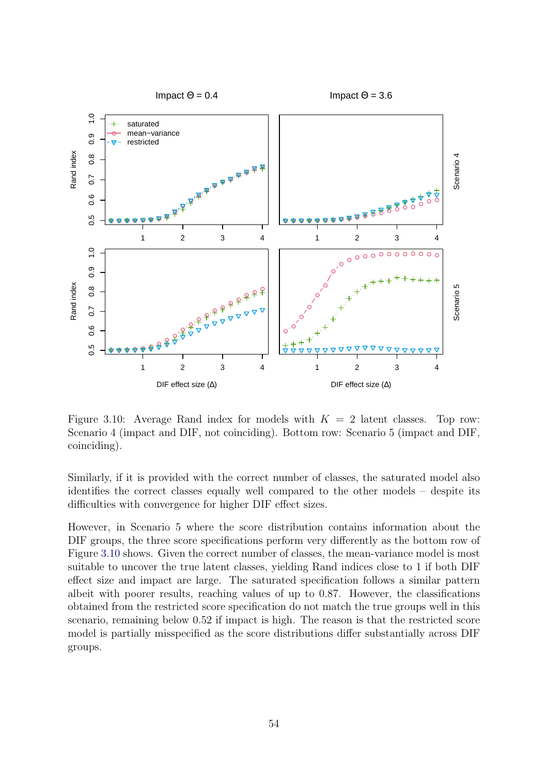

<span id="page-54-0"></span>Figure 3.10: Average Rand index for models with  $K = 2$  latent classes. Top row: Scenario 4 (impact and DIF, not coinciding). Bottom row: Scenario 5 (impact and DIF, coinciding).

Similarly, if it is provided with the correct number of classes, the saturated model also identifies the correct classes equally well compared to the other models – despite its difficulties with convergence for higher DIF effect sizes.

However, in Scenario 5 where the score distribution contains information about the DIF groups, the three score specifications perform very differently as the bottom row of Figure [3.10](#page-54-0) shows. Given the correct number of classes, the mean-variance model is most suitable to uncover the true latent classes, yielding Rand indices close to 1 if both DIF effect size and impact are large. The saturated specification follows a similar pattern albeit with poorer results, reaching values of up to 0.87. However, the classifications obtained from the restricted score specification do not match the true groups well in this scenario, remaining below 0.52 if impact is high. The reason is that the restricted score model is partially misspecified as the score distributions differ substantially across DIF groups.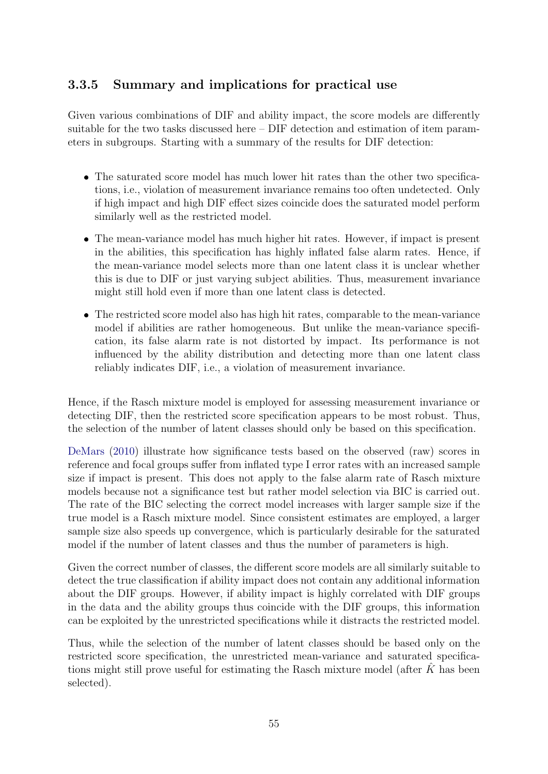## 3.3.5 Summary and implications for practical use

Given various combinations of DIF and ability impact, the score models are differently suitable for the two tasks discussed here – DIF detection and estimation of item parameters in subgroups. Starting with a summary of the results for DIF detection:

- The saturated score model has much lower hit rates than the other two specifications, i.e., violation of measurement invariance remains too often undetected. Only if high impact and high DIF effect sizes coincide does the saturated model perform similarly well as the restricted model.
- The mean-variance model has much higher hit rates. However, if impact is present in the abilities, this specification has highly inflated false alarm rates. Hence, if the mean-variance model selects more than one latent class it is unclear whether this is due to DIF or just varying subject abilities. Thus, measurement invariance might still hold even if more than one latent class is detected.
- The restricted score model also has high hit rates, comparable to the mean-variance model if abilities are rather homogeneous. But unlike the mean-variance specification, its false alarm rate is not distorted by impact. Its performance is not influenced by the ability distribution and detecting more than one latent class reliably indicates DIF, i.e., a violation of measurement invariance.

Hence, if the Rasch mixture model is employed for assessing measurement invariance or detecting DIF, then the restricted score specification appears to be most robust. Thus, the selection of the number of latent classes should only be based on this specification.

[DeMars](#page-71-5) [\(2010\)](#page-71-5) illustrate how significance tests based on the observed (raw) scores in reference and focal groups suffer from inflated type I error rates with an increased sample size if impact is present. This does not apply to the false alarm rate of Rasch mixture models because not a significance test but rather model selection via BIC is carried out. The rate of the BIC selecting the correct model increases with larger sample size if the true model is a Rasch mixture model. Since consistent estimates are employed, a larger sample size also speeds up convergence, which is particularly desirable for the saturated model if the number of latent classes and thus the number of parameters is high.

Given the correct number of classes, the different score models are all similarly suitable to detect the true classification if ability impact does not contain any additional information about the DIF groups. However, if ability impact is highly correlated with DIF groups in the data and the ability groups thus coincide with the DIF groups, this information can be exploited by the unrestricted specifications while it distracts the restricted model.

Thus, while the selection of the number of latent classes should be based only on the restricted score specification, the unrestricted mean-variance and saturated specifications might still prove useful for estimating the Rasch mixture model (after Kˆ has been selected).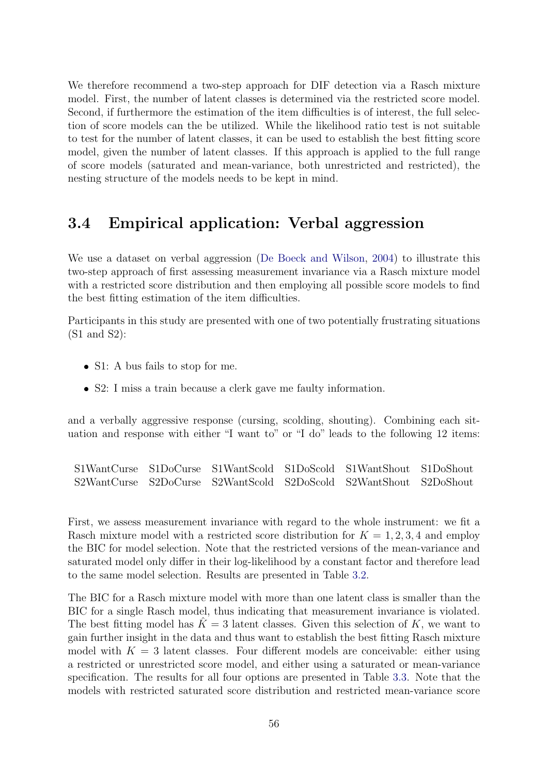We therefore recommend a two-step approach for DIF detection via a Rasch mixture model. First, the number of latent classes is determined via the restricted score model. Second, if furthermore the estimation of the item difficulties is of interest, the full selection of score models can the be utilized. While the likelihood ratio test is not suitable to test for the number of latent classes, it can be used to establish the best fitting score model, given the number of latent classes. If this approach is applied to the full range of score models (saturated and mean-variance, both unrestricted and restricted), the nesting structure of the models needs to be kept in mind.

# <span id="page-56-0"></span>3.4 Empirical application: Verbal aggression

We use a dataset on verbal aggression [\(De Boeck and Wilson,](#page-71-7) [2004\)](#page-71-7) to illustrate this two-step approach of first assessing measurement invariance via a Rasch mixture model with a restricted score distribution and then employing all possible score models to find the best fitting estimation of the item difficulties.

Participants in this study are presented with one of two potentially frustrating situations (S1 and S2):

- S1: A bus fails to stop for me.
- S2: I miss a train because a clerk gave me faulty information.

and a verbally aggressive response (cursing, scolding, shouting). Combining each situation and response with either "I want to" or "I do" leads to the following 12 items:

S1WantCurse S1DoCurse S1WantScold S1DoScold S1WantShout S1DoShout S2WantCurse S2DoCurse S2WantScold S2DoScold S2WantShout S2DoShout

First, we assess measurement invariance with regard to the whole instrument: we fit a Rasch mixture model with a restricted score distribution for  $K = 1, 2, 3, 4$  and employ the BIC for model selection. Note that the restricted versions of the mean-variance and saturated model only differ in their log-likelihood by a constant factor and therefore lead to the same model selection. Results are presented in Table [3.2.](#page-57-0)

The BIC for a Rasch mixture model with more than one latent class is smaller than the BIC for a single Rasch model, thus indicating that measurement invariance is violated. The best fitting model has  $K=3$  latent classes. Given this selection of K, we want to gain further insight in the data and thus want to establish the best fitting Rasch mixture model with  $K = 3$  latent classes. Four different models are conceivable: either using a restricted or unrestricted score model, and either using a saturated or mean-variance specification. The results for all four options are presented in Table [3.3.](#page-57-1) Note that the models with restricted saturated score distribution and restricted mean-variance score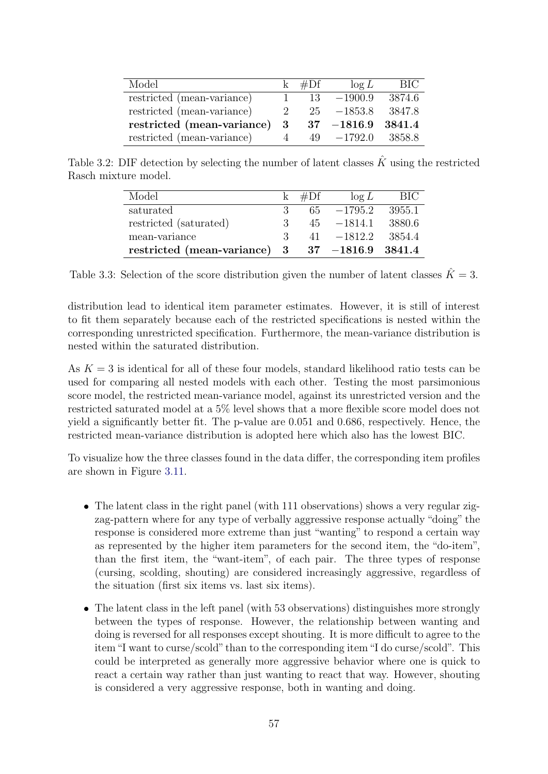| Model                      |  | k $#Df$ | $\log L$      | -BIC     |
|----------------------------|--|---------|---------------|----------|
| restricted (mean-variance) |  | -13-    | $-1900.9$     | 3874.6   |
| restricted (mean-variance) |  |         | $25 -1853.8$  | 3847.8   |
| restricted (mean-variance) |  |         | $37 - 1816.9$ | 3841.4   |
| restricted (mean-variance) |  | 49.     | $-1792.0$     | - 3858.8 |

Table 3.2: DIF detection by selecting the number of latent classes  $\hat{K}$  using the restricted Rasch mixture model.

<span id="page-57-0"></span>

| Model                                                              |   | k $#Df$ | $\log L$      | -BIC    |
|--------------------------------------------------------------------|---|---------|---------------|---------|
| saturated                                                          |   |         | $65 - 1795.2$ | 3955.1  |
| restricted (saturated)                                             | 3 |         | $45 - 1814.1$ | -3880.6 |
| mean-variance                                                      | 3 |         | $41 - 1812.2$ | 3854.4  |
| restricted (mean-variance) $3 \quad 37 \quad -1816.9 \quad 3841.4$ |   |         |               |         |

<span id="page-57-1"></span>Table 3.3: Selection of the score distribution given the number of latent classes  $\hat{K} = 3$ .

distribution lead to identical item parameter estimates. However, it is still of interest to fit them separately because each of the restricted specifications is nested within the corresponding unrestricted specification. Furthermore, the mean-variance distribution is nested within the saturated distribution.

As  $K = 3$  is identical for all of these four models, standard likelihood ratio tests can be used for comparing all nested models with each other. Testing the most parsimonious score model, the restricted mean-variance model, against its unrestricted version and the restricted saturated model at a 5% level shows that a more flexible score model does not yield a significantly better fit. The p-value are 0.051 and 0.686, respectively. Hence, the restricted mean-variance distribution is adopted here which also has the lowest BIC.

To visualize how the three classes found in the data differ, the corresponding item profiles are shown in Figure [3.11.](#page-58-1)

- The latent class in the right panel (with 111 observations) shows a very regular zigzag-pattern where for any type of verbally aggressive response actually "doing" the response is considered more extreme than just "wanting" to respond a certain way as represented by the higher item parameters for the second item, the "do-item", than the first item, the "want-item", of each pair. The three types of response (cursing, scolding, shouting) are considered increasingly aggressive, regardless of the situation (first six items vs. last six items).
- The latent class in the left panel (with 53 observations) distinguishes more strongly between the types of response. However, the relationship between wanting and doing is reversed for all responses except shouting. It is more difficult to agree to the item"I want to curse/scold" than to the corresponding item"I do curse/scold". This could be interpreted as generally more aggressive behavior where one is quick to react a certain way rather than just wanting to react that way. However, shouting is considered a very aggressive response, both in wanting and doing.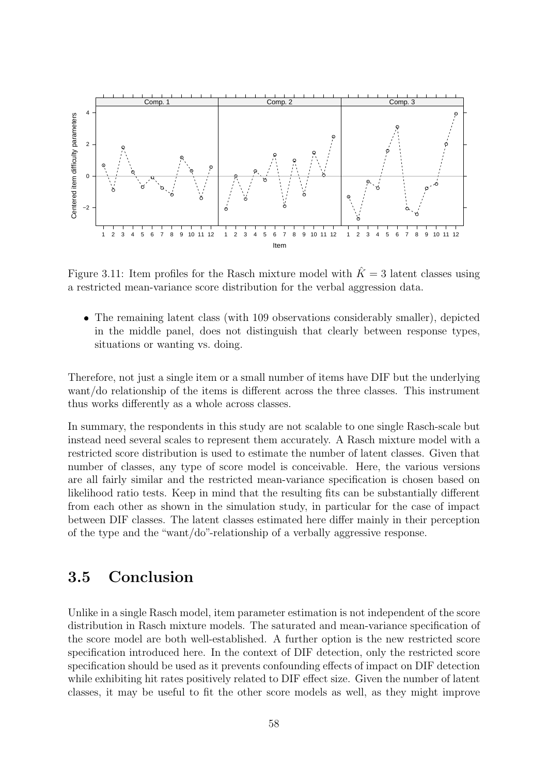

<span id="page-58-1"></span>Figure 3.11: Item profiles for the Rasch mixture model with  $\hat{K} = 3$  latent classes using a restricted mean-variance score distribution for the verbal aggression data.

 The remaining latent class (with 109 observations considerably smaller), depicted in the middle panel, does not distinguish that clearly between response types, situations or wanting vs. doing.

Therefore, not just a single item or a small number of items have DIF but the underlying want/do relationship of the items is different across the three classes. This instrument thus works differently as a whole across classes.

In summary, the respondents in this study are not scalable to one single Rasch-scale but instead need several scales to represent them accurately. A Rasch mixture model with a restricted score distribution is used to estimate the number of latent classes. Given that number of classes, any type of score model is conceivable. Here, the various versions are all fairly similar and the restricted mean-variance specification is chosen based on likelihood ratio tests. Keep in mind that the resulting fits can be substantially different from each other as shown in the simulation study, in particular for the case of impact between DIF classes. The latent classes estimated here differ mainly in their perception of the type and the "want/do"-relationship of a verbally aggressive response.

## <span id="page-58-0"></span>3.5 Conclusion

Unlike in a single Rasch model, item parameter estimation is not independent of the score distribution in Rasch mixture models. The saturated and mean-variance specification of the score model are both well-established. A further option is the new restricted score specification introduced here. In the context of DIF detection, only the restricted score specification should be used as it prevents confounding effects of impact on DIF detection while exhibiting hit rates positively related to DIF effect size. Given the number of latent classes, it may be useful to fit the other score models as well, as they might improve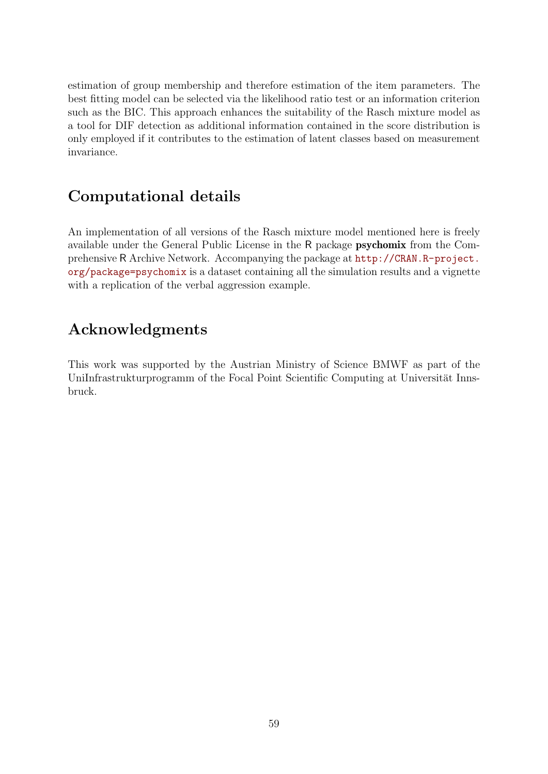estimation of group membership and therefore estimation of the item parameters. The best fitting model can be selected via the likelihood ratio test or an information criterion such as the BIC. This approach enhances the suitability of the Rasch mixture model as a tool for DIF detection as additional information contained in the score distribution is only employed if it contributes to the estimation of latent classes based on measurement invariance.

# Computational details

An implementation of all versions of the Rasch mixture model mentioned here is freely available under the General Public License in the R package psychomix from the Comprehensive R Archive Network. Accompanying the package at [http://CRAN.R-project.](http://CRAN.R-project.org/package=psychomix) [org/package=psychomix](http://CRAN.R-project.org/package=psychomix) is a dataset containing all the simulation results and a vignette with a replication of the verbal aggression example.

# Acknowledgments

This work was supported by the Austrian Ministry of Science BMWF as part of the UniInfrastrukturprogramm of the Focal Point Scientific Computing at Universität Innsbruck.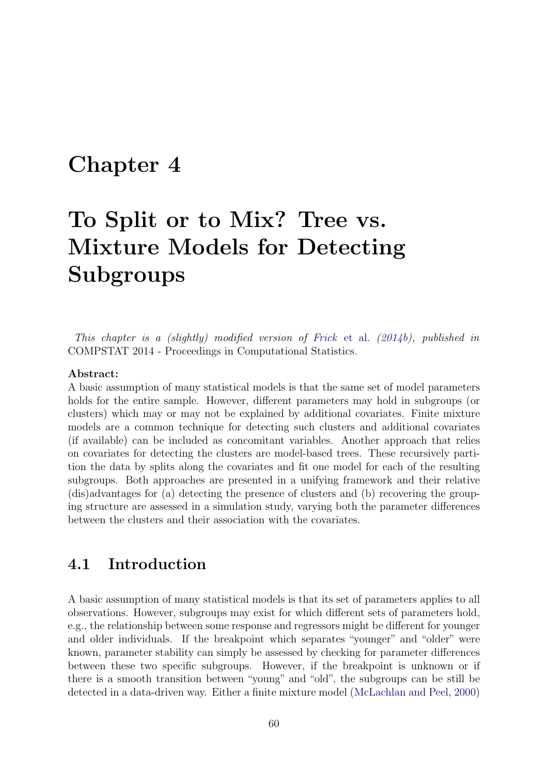# <span id="page-60-0"></span>Chapter 4

# To Split or to Mix? Tree vs. Mixture Models for Detecting Subgroups

This chapter is a (slightly) modified version of Frick [et al.](#page-72-6) [\(2014b\)](#page-72-6), published in COMPSTAT 2014 - Proceedings in Computational Statistics.

### Abstract:

A basic assumption of many statistical models is that the same set of model parameters holds for the entire sample. However, different parameters may hold in subgroups (or clusters) which may or may not be explained by additional covariates. Finite mixture models are a common technique for detecting such clusters and additional covariates (if available) can be included as concomitant variables. Another approach that relies on covariates for detecting the clusters are model-based trees. These recursively partition the data by splits along the covariates and fit one model for each of the resulting subgroups. Both approaches are presented in a unifying framework and their relative (dis)advantages for (a) detecting the presence of clusters and (b) recovering the grouping structure are assessed in a simulation study, varying both the parameter differences between the clusters and their association with the covariates.

### 4.1 Introduction

A basic assumption of many statistical models is that its set of parameters applies to all observations. However, subgroups may exist for which different sets of parameters hold, e.g., the relationship between some response and regressors might be different for younger and older individuals. If the breakpoint which separates "younger" and "older" were known, parameter stability can simply be assessed by checking for parameter differences between these two specific subgroups. However, if the breakpoint is unknown or if there is a smooth transition between "young" and "old", the subgroups can be still be detected in a data-driven way. Either a finite mixture model [\(McLachlan and Peel,](#page-73-5) [2000\)](#page-73-5)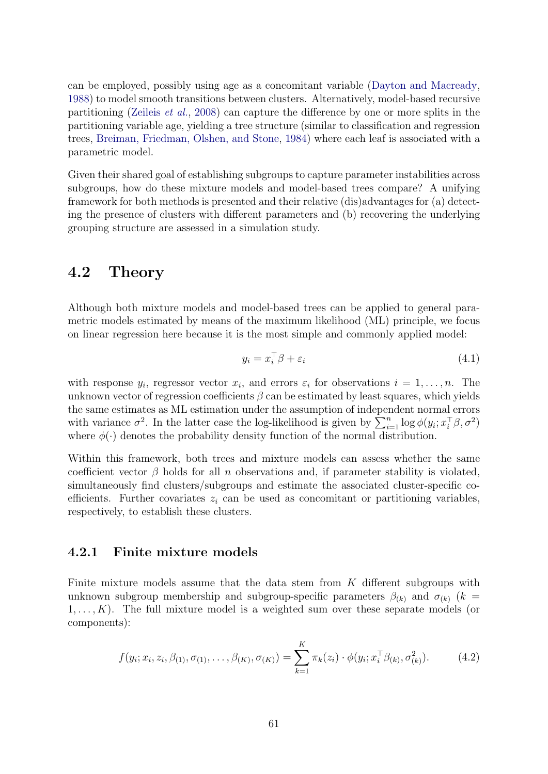can be employed, possibly using age as a concomitant variable [\(Dayton and Macready,](#page-71-8) [1988\)](#page-71-8) to model smooth transitions between clusters. Alternatively, model-based recursive partitioning [\(Zeileis](#page-75-2) et al., [2008\)](#page-75-2) can capture the difference by one or more splits in the partitioning variable age, yielding a tree structure (similar to classification and regression trees, [Breiman, Friedman, Olshen, and Stone,](#page-71-9) [1984\)](#page-71-9) where each leaf is associated with a parametric model.

Given their shared goal of establishing subgroups to capture parameter instabilities across subgroups, how do these mixture models and model-based trees compare? A unifying framework for both methods is presented and their relative (dis)advantages for (a) detecting the presence of clusters with different parameters and (b) recovering the underlying grouping structure are assessed in a simulation study.

## 4.2 Theory

Although both mixture models and model-based trees can be applied to general parametric models estimated by means of the maximum likelihood (ML) principle, we focus on linear regression here because it is the most simple and commonly applied model:

$$
y_i = x_i^{\top} \beta + \varepsilon_i \tag{4.1}
$$

with response  $y_i$ , regressor vector  $x_i$ , and errors  $\varepsilon_i$  for observations  $i = 1, \ldots, n$ . The unknown vector of regression coefficients  $\beta$  can be estimated by least squares, which yields the same estimates as ML estimation under the assumption of independent normal errors with variance  $\sigma^2$ . In the latter case the log-likelihood is given by  $\sum_{i=1}^n \log \phi(y_i; x_i^{\top} \beta, \sigma^2)$ where  $\phi(\cdot)$  denotes the probability density function of the normal distribution.

Within this framework, both trees and mixture models can assess whether the same coefficient vector  $\beta$  holds for all n observations and, if parameter stability is violated, simultaneously find clusters/subgroups and estimate the associated cluster-specific coefficients. Further covariates  $z_i$  can be used as concomitant or partitioning variables, respectively, to establish these clusters.

### 4.2.1 Finite mixture models

Finite mixture models assume that the data stem from K different subgroups with unknown subgroup membership and subgroup-specific parameters  $\beta_{(k)}$  and  $\sigma_{(k)}$  (k =  $1, \ldots, K$ ). The full mixture model is a weighted sum over these separate models (or components):

<span id="page-61-0"></span>
$$
f(y_i; x_i, z_i, \beta_{(1)}, \sigma_{(1)}, \dots, \beta_{(K)}, \sigma_{(K)}) = \sum_{k=1}^K \pi_k(z_i) \cdot \phi(y_i; x_i^{\top} \beta_{(k)}, \sigma_{(k)}^2).
$$
 (4.2)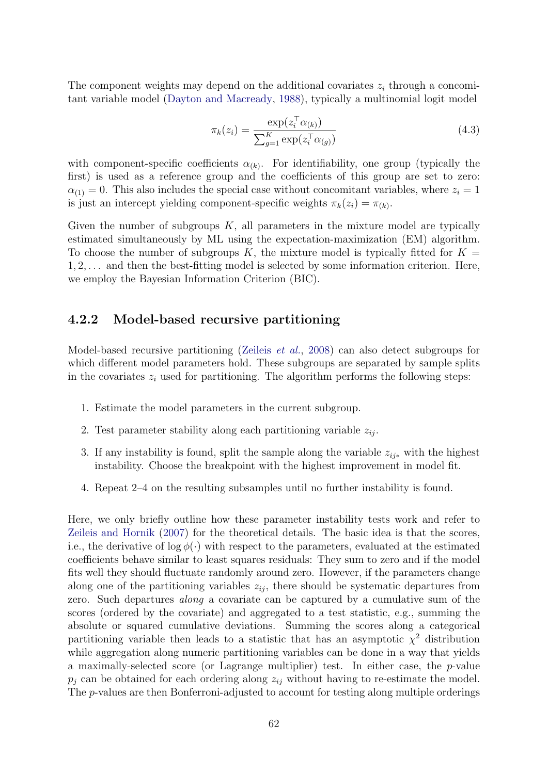The component weights may depend on the additional covariates  $z_i$  through a concomitant variable model [\(Dayton and Macready,](#page-71-8) [1988\)](#page-71-8), typically a multinomial logit model

<span id="page-62-0"></span>
$$
\pi_k(z_i) = \frac{\exp(z_i^\top \alpha_{(k)})}{\sum_{g=1}^K \exp(z_i^\top \alpha_{(g)})}
$$
(4.3)

with component-specific coefficients  $\alpha_{(k)}$ . For identifiability, one group (typically the first) is used as a reference group and the coefficients of this group are set to zero:  $\alpha_{(1)} = 0$ . This also includes the special case without concomitant variables, where  $z_i = 1$ is just an intercept yielding component-specific weights  $\pi_k(z_i) = \pi_{(k)}$ .

Given the number of subgroups  $K$ , all parameters in the mixture model are typically estimated simultaneously by ML using the expectation-maximization (EM) algorithm. To choose the number of subgroups K, the mixture model is typically fitted for  $K =$  $1, 2, \ldots$  and then the best-fitting model is selected by some information criterion. Here, we employ the Bayesian Information Criterion (BIC).

### 4.2.2 Model-based recursive partitioning

Model-based recursive partitioning [\(Zeileis](#page-75-2) et al., [2008\)](#page-75-2) can also detect subgroups for which different model parameters hold. These subgroups are separated by sample splits in the covariates  $z_i$  used for partitioning. The algorithm performs the following steps:

- 1. Estimate the model parameters in the current subgroup.
- 2. Test parameter stability along each partitioning variable  $z_{ij}$ .
- 3. If any instability is found, split the sample along the variable  $z_{ij*}$  with the highest instability. Choose the breakpoint with the highest improvement in model fit.
- 4. Repeat 2–4 on the resulting subsamples until no further instability is found.

Here, we only briefly outline how these parameter instability tests work and refer to [Zeileis and Hornik](#page-75-3) [\(2007\)](#page-75-3) for the theoretical details. The basic idea is that the scores, i.e., the derivative of  $\log \phi(\cdot)$  with respect to the parameters, evaluated at the estimated coefficients behave similar to least squares residuals: They sum to zero and if the model fits well they should fluctuate randomly around zero. However, if the parameters change along one of the partitioning variables  $z_{ij}$ , there should be systematic departures from zero. Such departures along a covariate can be captured by a cumulative sum of the scores (ordered by the covariate) and aggregated to a test statistic, e.g., summing the absolute or squared cumulative deviations. Summing the scores along a categorical partitioning variable then leads to a statistic that has an asymptotic  $\chi^2$  distribution while aggregation along numeric partitioning variables can be done in a way that yields a maximally-selected score (or Lagrange multiplier) test. In either case, the  $p$ -value  $p_i$  can be obtained for each ordering along  $z_{ij}$  without having to re-estimate the model. The p-values are then Bonferroni-adjusted to account for testing along multiple orderings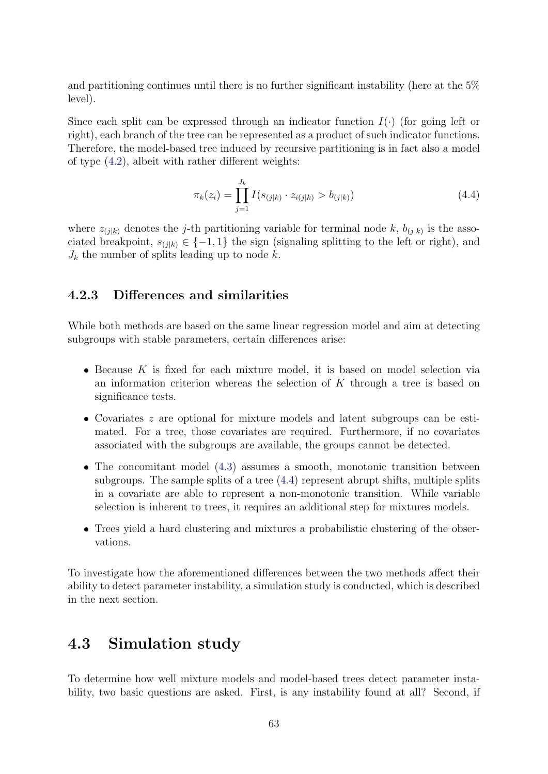and partitioning continues until there is no further significant instability (here at the 5% level).

Since each split can be expressed through an indicator function  $I(\cdot)$  (for going left or right), each branch of the tree can be represented as a product of such indicator functions. Therefore, the model-based tree induced by recursive partitioning is in fact also a model of type [\(4.2\)](#page-61-0), albeit with rather different weights:

<span id="page-63-0"></span>
$$
\pi_k(z_i) = \prod_{j=1}^{J_k} I(s_{(j|k)} \cdot z_{i(j|k)} > b_{(j|k)})
$$
\n(4.4)

where  $z_{(j|k)}$  denotes the j-th partitioning variable for terminal node k,  $b_{(j|k)}$  is the associated breakpoint,  $s_{(j|k)} \in \{-1,1\}$  the sign (signaling splitting to the left or right), and  $J_k$  the number of splits leading up to node k.

### 4.2.3 Differences and similarities

While both methods are based on the same linear regression model and aim at detecting subgroups with stable parameters, certain differences arise:

- $\bullet$  Because K is fixed for each mixture model, it is based on model selection via an information criterion whereas the selection of  $K$  through a tree is based on significance tests.
- $\bullet$  Covariates  $z$  are optional for mixture models and latent subgroups can be estimated. For a tree, those covariates are required. Furthermore, if no covariates associated with the subgroups are available, the groups cannot be detected.
- The concomitant model [\(4.3\)](#page-62-0) assumes a smooth, monotonic transition between subgroups. The sample splits of a tree [\(4.4\)](#page-63-0) represent abrupt shifts, multiple splits in a covariate are able to represent a non-monotonic transition. While variable selection is inherent to trees, it requires an additional step for mixtures models.
- Trees yield a hard clustering and mixtures a probabilistic clustering of the observations.

To investigate how the aforementioned differences between the two methods affect their ability to detect parameter instability, a simulation study is conducted, which is described in the next section.

## 4.3 Simulation study

To determine how well mixture models and model-based trees detect parameter instability, two basic questions are asked. First, is any instability found at all? Second, if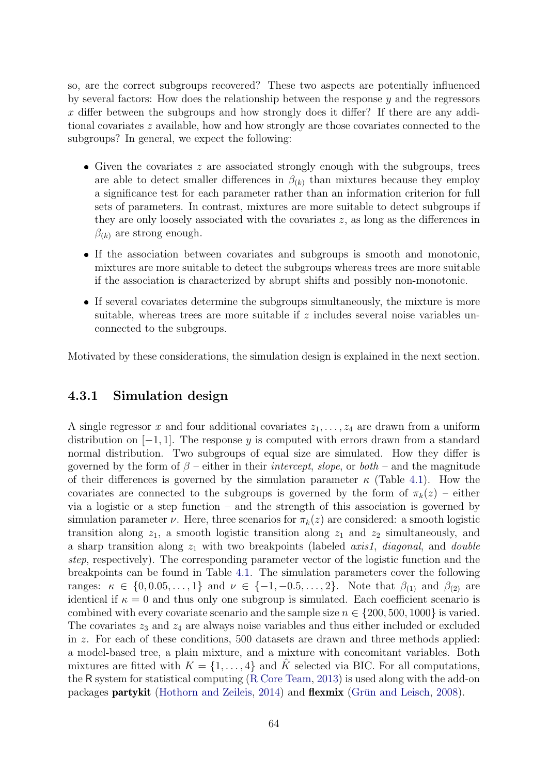so, are the correct subgroups recovered? These two aspects are potentially influenced by several factors: How does the relationship between the response  $y$  and the regressors x differ between the subgroups and how strongly does it differ? If there are any additional covariates z available, how and how strongly are those covariates connected to the subgroups? In general, we expect the following:

- Given the covariates  $z$  are associated strongly enough with the subgroups, trees are able to detect smaller differences in  $\beta_{(k)}$  than mixtures because they employ a significance test for each parameter rather than an information criterion for full sets of parameters. In contrast, mixtures are more suitable to detect subgroups if they are only loosely associated with the covariates z, as long as the differences in  $\beta_{(k)}$  are strong enough.
- If the association between covariates and subgroups is smooth and monotonic, mixtures are more suitable to detect the subgroups whereas trees are more suitable if the association is characterized by abrupt shifts and possibly non-monotonic.
- If several covariates determine the subgroups simultaneously, the mixture is more suitable, whereas trees are more suitable if  $z$  includes several noise variables unconnected to the subgroups.

Motivated by these considerations, the simulation design is explained in the next section.

### 4.3.1 Simulation design

A single regressor x and four additional covariates  $z_1, \ldots, z_4$  are drawn from a uniform distribution on  $[-1, 1]$ . The response y is computed with errors drawn from a standard normal distribution. Two subgroups of equal size are simulated. How they differ is governed by the form of  $\beta$  – either in their *intercept*, *slope*, or *both* – and the magnitude of their differences is governed by the simulation parameter  $\kappa$  (Table [4.1\)](#page-65-0). How the covariates are connected to the subgroups is governed by the form of  $\pi_k(z)$  – either via a logistic or a step function – and the strength of this association is governed by simulation parameter  $\nu$ . Here, three scenarios for  $\pi_k(z)$  are considered: a smooth logistic transition along  $z_1$ , a smooth logistic transition along  $z_1$  and  $z_2$  simultaneously, and a sharp transition along  $z_1$  with two breakpoints (labeled *axis1*, *diagonal*, and *double* step, respectively). The corresponding parameter vector of the logistic function and the breakpoints can be found in Table [4.1.](#page-65-0) The simulation parameters cover the following ranges:  $\kappa \in \{0, 0.05, ..., 1\}$  and  $\nu \in \{-1, -0.5, ..., 2\}$ . Note that  $\beta_{(1)}$  and  $\beta_{(2)}$  are identical if  $\kappa = 0$  and thus only one subgroup is simulated. Each coefficient scenario is combined with every covariate scenario and the sample size  $n \in \{200, 500, 1000\}$  is varied. The covariates  $z_3$  and  $z_4$  are always noise variables and thus either included or excluded in z. For each of these conditions, 500 datasets are drawn and three methods applied: a model-based tree, a plain mixture, and a mixture with concomitant variables. Both mixtures are fitted with  $K = \{1, \ldots, 4\}$  and K selected via BIC. For all computations, the R system for statistical computing [\(R Core Team,](#page-73-7) [2013\)](#page-73-7) is used along with the add-on packages **partykit** [\(Hothorn and Zeileis,](#page-72-7)  $2014$ ) and **flexmix** (Grün and Leisch,  $2008$ ).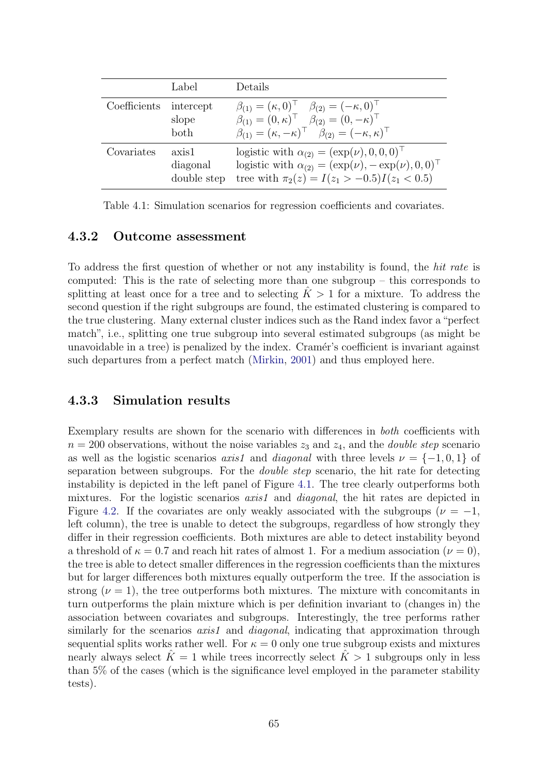|              | Label                            | Details                                                                                                                                                                                                                               |
|--------------|----------------------------------|---------------------------------------------------------------------------------------------------------------------------------------------------------------------------------------------------------------------------------------|
| Coefficients | intercept<br>slope<br>both       | $\beta_{(1)} = (\kappa, 0)^{\top}$ $\beta_{(2)} = (-\kappa, 0)^{\top}$<br>$\beta_{(1)} = (0, \kappa)^{\top}$ $\beta_{(2)} = (0, -\kappa)^{\top}$<br>$\beta_{(1)} = (\kappa, -\kappa)^{\top}$ $\beta_{(2)} = (-\kappa, \kappa)^{\top}$ |
| Covariates   | axis1<br>diagonal<br>double step | logistic with $\alpha_{(2)} = (\exp(\nu), 0, 0, 0)^\top$<br>logistic with $\alpha_{(2)} = (\exp(\nu), -\exp(\nu), 0, 0)^\top$<br>tree with $\pi_2(z) = I(z_1 > -0.5)I(z_1 < 0.5)$                                                     |

<span id="page-65-0"></span>Table 4.1: Simulation scenarios for regression coefficients and covariates.

### 4.3.2 Outcome assessment

To address the first question of whether or not any instability is found, the hit rate is computed: This is the rate of selecting more than one subgroup – this corresponds to splitting at least once for a tree and to selecting  $K > 1$  for a mixture. To address the second question if the right subgroups are found, the estimated clustering is compared to the true clustering. Many external cluster indices such as the Rand index favor a "perfect match", i.e., splitting one true subgroup into several estimated subgroups (as might be unavoidable in a tree) is penalized by the index. Cramér's coefficient is invariant against such departures from a perfect match [\(Mirkin,](#page-73-9) [2001\)](#page-73-9) and thus employed here.

### 4.3.3 Simulation results

Exemplary results are shown for the scenario with differences in both coefficients with  $n = 200$  observations, without the noise variables  $z_3$  and  $z_4$ , and the *double step* scenario as well as the logistic scenarios *axis1* and *diagonal* with three levels  $\nu = \{-1, 0, 1\}$  of separation between subgroups. For the *double step* scenario, the hit rate for detecting instability is depicted in the left panel of Figure [4.1.](#page-66-0) The tree clearly outperforms both mixtures. For the logistic scenarios *axis1* and *diagonal*, the hit rates are depicted in Figure [4.2.](#page-67-0) If the covariates are only weakly associated with the subgroups ( $\nu = -1$ , left column), the tree is unable to detect the subgroups, regardless of how strongly they differ in their regression coefficients. Both mixtures are able to detect instability beyond a threshold of  $\kappa = 0.7$  and reach hit rates of almost 1. For a medium association  $(\nu = 0)$ , the tree is able to detect smaller differences in the regression coefficients than the mixtures but for larger differences both mixtures equally outperform the tree. If the association is strong  $(\nu = 1)$ , the tree outperforms both mixtures. The mixture with concomitants in turn outperforms the plain mixture which is per definition invariant to (changes in) the association between covariates and subgroups. Interestingly, the tree performs rather similarly for the scenarios *axis1* and *diagonal*, indicating that approximation through sequential splits works rather well. For  $\kappa = 0$  only one true subgroup exists and mixtures nearly always select  $\tilde{K} = 1$  while trees incorrectly select  $\tilde{K} > 1$  subgroups only in less than 5% of the cases (which is the significance level employed in the parameter stability tests).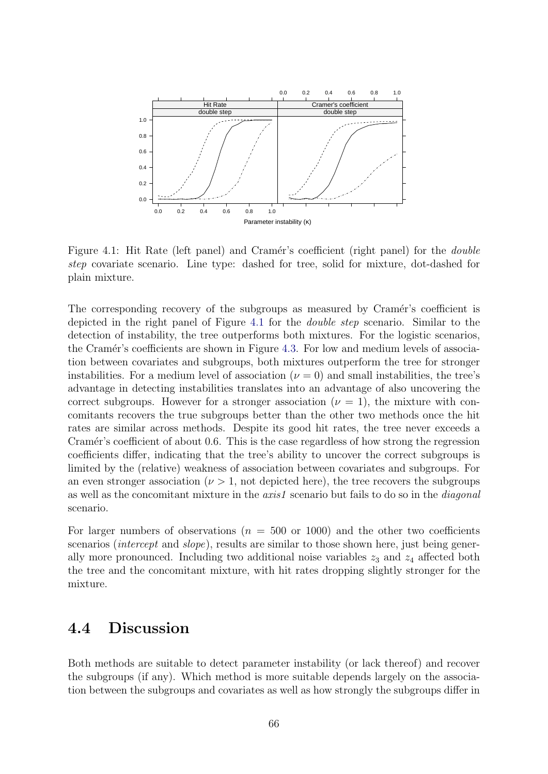

<span id="page-66-0"></span>Figure 4.1: Hit Rate (left panel) and Cramér's coefficient (right panel) for the *double* step covariate scenario. Line type: dashed for tree, solid for mixture, dot-dashed for plain mixture.

The corresponding recovery of the subgroups as measured by Cramér's coefficient is depicted in the right panel of Figure [4.1](#page-66-0) for the double step scenario. Similar to the detection of instability, the tree outperforms both mixtures. For the logistic scenarios, the Cramér's coefficients are shown in Figure [4.3.](#page-67-1) For low and medium levels of association between covariates and subgroups, both mixtures outperform the tree for stronger instabilities. For a medium level of association  $(\nu = 0)$  and small instabilities, the tree's advantage in detecting instabilities translates into an advantage of also uncovering the correct subgroups. However for a stronger association ( $\nu = 1$ ), the mixture with concomitants recovers the true subgroups better than the other two methods once the hit rates are similar across methods. Despite its good hit rates, the tree never exceeds a Cramér's coefficient of about 0.6. This is the case regardless of how strong the regression coefficients differ, indicating that the tree's ability to uncover the correct subgroups is limited by the (relative) weakness of association between covariates and subgroups. For an even stronger association ( $\nu > 1$ , not depicted here), the tree recovers the subgroups as well as the concomitant mixture in the *axis1* scenario but fails to do so in the *diagonal* scenario.

For larger numbers of observations ( $n = 500$  or 1000) and the other two coefficients scenarios *(intercept* and *slope)*, results are similar to those shown here, just being generally more pronounced. Including two additional noise variables  $z_3$  and  $z_4$  affected both the tree and the concomitant mixture, with hit rates dropping slightly stronger for the mixture.

### 4.4 Discussion

Both methods are suitable to detect parameter instability (or lack thereof) and recover the subgroups (if any). Which method is more suitable depends largely on the association between the subgroups and covariates as well as how strongly the subgroups differ in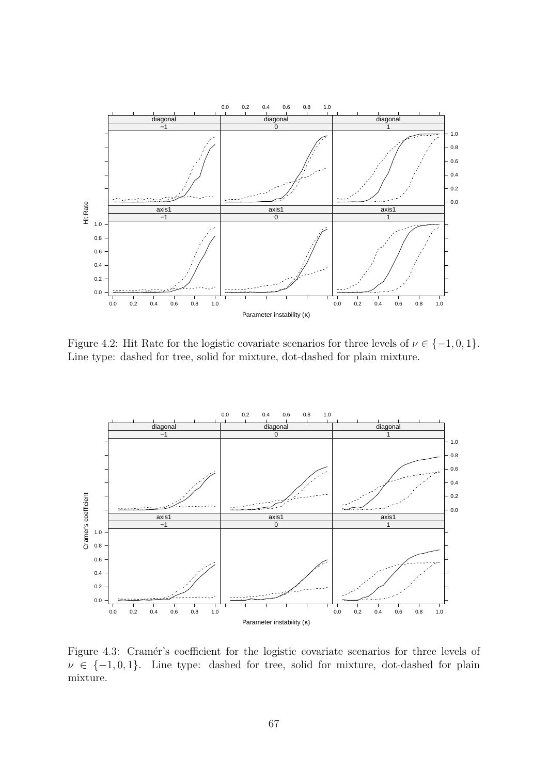

<span id="page-67-0"></span>Figure 4.2: Hit Rate for the logistic covariate scenarios for three levels of  $\nu \in \{-1, 0, 1\}$ . Line type: dashed for tree, solid for mixture, dot-dashed for plain mixture.



<span id="page-67-1"></span>Figure 4.3: Cramér's coefficient for the logistic covariate scenarios for three levels of  $\nu \in \{-1,0,1\}$ . Line type: dashed for tree, solid for mixture, dot-dashed for plain mixture.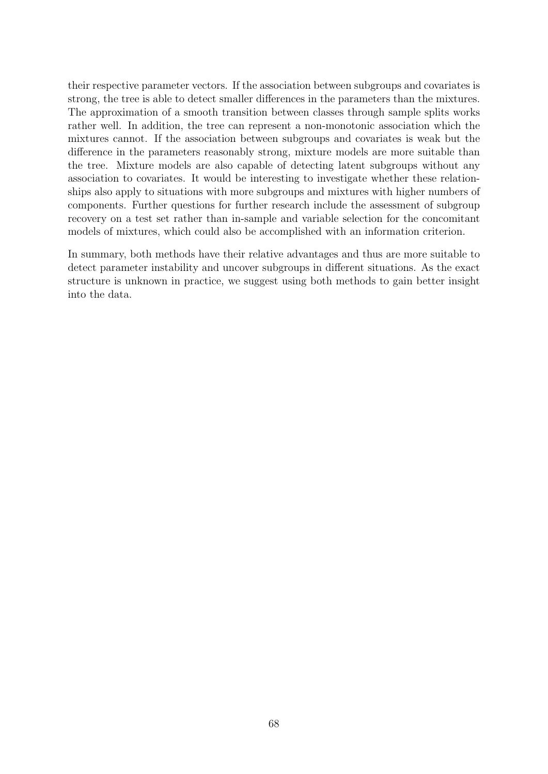their respective parameter vectors. If the association between subgroups and covariates is strong, the tree is able to detect smaller differences in the parameters than the mixtures. The approximation of a smooth transition between classes through sample splits works rather well. In addition, the tree can represent a non-monotonic association which the mixtures cannot. If the association between subgroups and covariates is weak but the difference in the parameters reasonably strong, mixture models are more suitable than the tree. Mixture models are also capable of detecting latent subgroups without any association to covariates. It would be interesting to investigate whether these relationships also apply to situations with more subgroups and mixtures with higher numbers of components. Further questions for further research include the assessment of subgroup recovery on a test set rather than in-sample and variable selection for the concomitant models of mixtures, which could also be accomplished with an information criterion.

In summary, both methods have their relative advantages and thus are more suitable to detect parameter instability and uncover subgroups in different situations. As the exact structure is unknown in practice, we suggest using both methods to gain better insight into the data.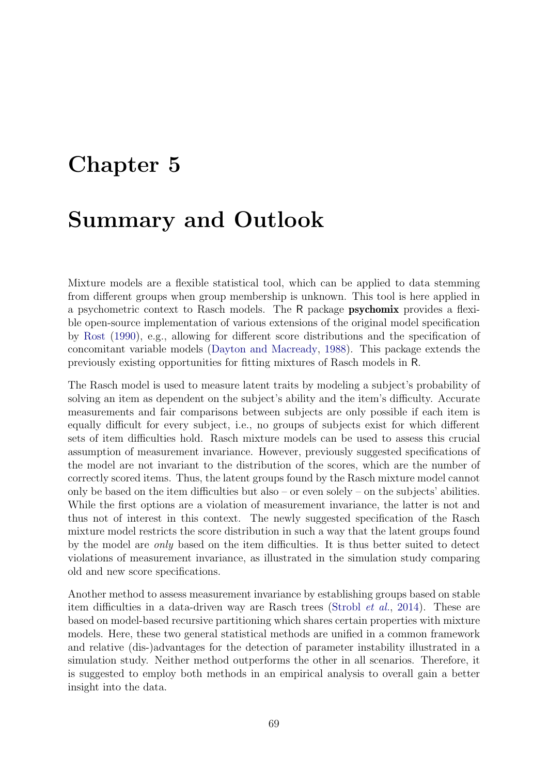# Chapter 5

# Summary and Outlook

Mixture models are a flexible statistical tool, which can be applied to data stemming from different groups when group membership is unknown. This tool is here applied in a psychometric context to Rasch models. The R package psychomix provides a flexible open-source implementation of various extensions of the original model specification by [Rost](#page-74-0) [\(1990\)](#page-74-0), e.g., allowing for different score distributions and the specification of concomitant variable models [\(Dayton and Macready,](#page-71-8) [1988\)](#page-71-8). This package extends the previously existing opportunities for fitting mixtures of Rasch models in R.

The Rasch model is used to measure latent traits by modeling a subject's probability of solving an item as dependent on the subject's ability and the item's difficulty. Accurate measurements and fair comparisons between subjects are only possible if each item is equally difficult for every subject, i.e., no groups of subjects exist for which different sets of item difficulties hold. Rasch mixture models can be used to assess this crucial assumption of measurement invariance. However, previously suggested specifications of the model are not invariant to the distribution of the scores, which are the number of correctly scored items. Thus, the latent groups found by the Rasch mixture model cannot only be based on the item difficulties but also – or even solely – on the subjects' abilities. While the first options are a violation of measurement invariance, the latter is not and thus not of interest in this context. The newly suggested specification of the Rasch mixture model restricts the score distribution in such a way that the latent groups found by the model are *only* based on the item difficulties. It is thus better suited to detect violations of measurement invariance, as illustrated in the simulation study comparing old and new score specifications.

Another method to assess measurement invariance by establishing groups based on stable item difficulties in a data-driven way are Rasch trees [\(Strobl](#page-74-3) et al., [2014\)](#page-74-3). These are based on model-based recursive partitioning which shares certain properties with mixture models. Here, these two general statistical methods are unified in a common framework and relative (dis-)advantages for the detection of parameter instability illustrated in a simulation study. Neither method outperforms the other in all scenarios. Therefore, it is suggested to employ both methods in an empirical analysis to overall gain a better insight into the data.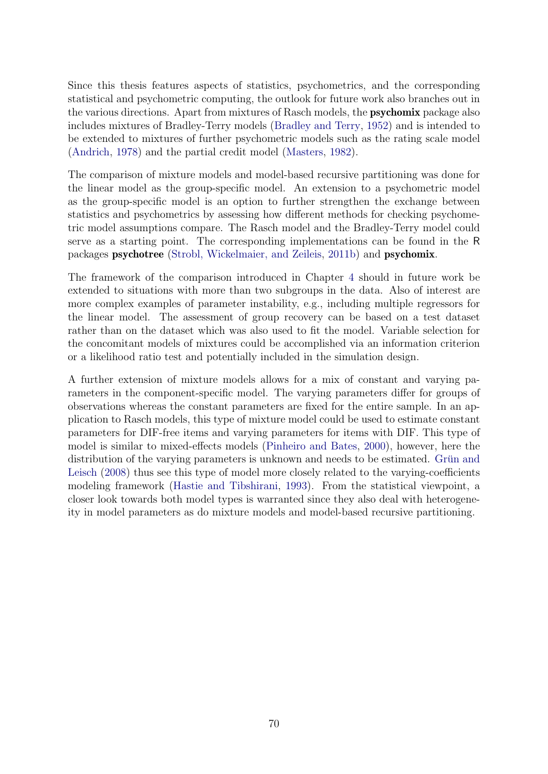Since this thesis features aspects of statistics, psychometrics, and the corresponding statistical and psychometric computing, the outlook for future work also branches out in the various directions. Apart from mixtures of Rasch models, the **psychomix** package also includes mixtures of Bradley-Terry models [\(Bradley and Terry,](#page-71-10) [1952\)](#page-71-10) and is intended to be extended to mixtures of further psychometric models such as the rating scale model [\(Andrich,](#page-71-1) [1978\)](#page-71-1) and the partial credit model [\(Masters,](#page-73-0) [1982\)](#page-73-0).

The comparison of mixture models and model-based recursive partitioning was done for the linear model as the group-specific model. An extension to a psychometric model as the group-specific model is an option to further strengthen the exchange between statistics and psychometrics by assessing how different methods for checking psychometric model assumptions compare. The Rasch model and the Bradley-Terry model could serve as a starting point. The corresponding implementations can be found in the R packages psychotree [\(Strobl, Wickelmaier, and Zeileis,](#page-74-7) [2011b\)](#page-74-7) and psychomix.

The framework of the comparison introduced in Chapter [4](#page-60-0) should in future work be extended to situations with more than two subgroups in the data. Also of interest are more complex examples of parameter instability, e.g., including multiple regressors for the linear model. The assessment of group recovery can be based on a test dataset rather than on the dataset which was also used to fit the model. Variable selection for the concomitant models of mixtures could be accomplished via an information criterion or a likelihood ratio test and potentially included in the simulation design.

A further extension of mixture models allows for a mix of constant and varying parameters in the component-specific model. The varying parameters differ for groups of observations whereas the constant parameters are fixed for the entire sample. In an application to Rasch models, this type of mixture model could be used to estimate constant parameters for DIF-free items and varying parameters for items with DIF. This type of model is similar to mixed-effects models [\(Pinheiro and Bates,](#page-73-10) [2000\)](#page-73-10), however, here the distribution of the varying parameters is unknown and needs to be estimated. Grün and [Leisch](#page-72-8) [\(2008\)](#page-72-8) thus see this type of model more closely related to the varying-coefficients modeling framework [\(Hastie and Tibshirani,](#page-72-9) [1993\)](#page-72-9). From the statistical viewpoint, a closer look towards both model types is warranted since they also deal with heterogeneity in model parameters as do mixture models and model-based recursive partitioning.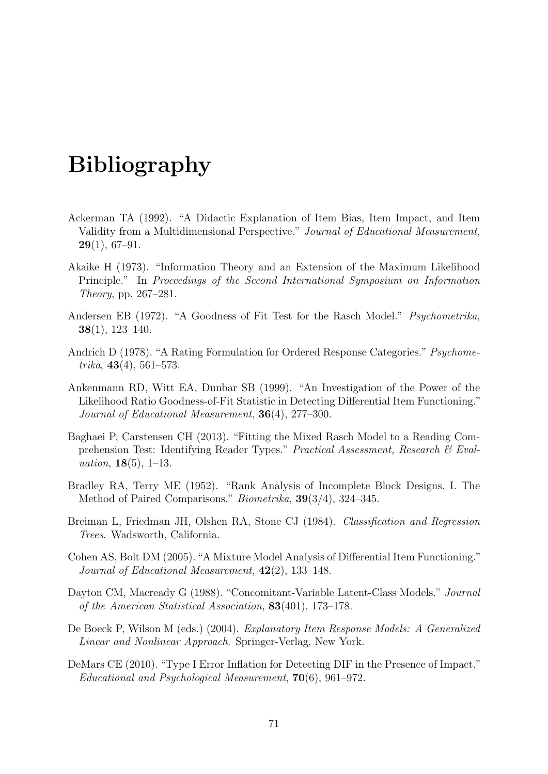# Bibliography

- <span id="page-71-4"></span>Ackerman TA (1992). "A Didactic Explanation of Item Bias, Item Impact, and Item Validity from a Multidimensional Perspective." Journal of Educational Measurement,  $29(1), 67-91.$
- Akaike H (1973). "Information Theory and an Extension of the Maximum Likelihood Principle." In Proceedings of the Second International Symposium on Information Theory, pp. 267–281.
- <span id="page-71-0"></span>Andersen EB (1972). "A Goodness of Fit Test for the Rasch Model." Psychometrika, 38(1), 123–140.
- <span id="page-71-1"></span>Andrich D (1978). "A Rating Formulation for Ordered Response Categories." Psychome $trika, 43(4), 561–573.$
- <span id="page-71-6"></span>Ankenmann RD, Witt EA, Dunbar SB (1999). "An Investigation of the Power of the Likelihood Ratio Goodness-of-Fit Statistic in Detecting Differential Item Functioning." Journal of Educational Measurement, 36(4), 277–300.
- <span id="page-71-2"></span>Baghaei P, Carstensen CH (2013). "Fitting the Mixed Rasch Model to a Reading Comprehension Test: Identifying Reader Types." Practical Assessment, Research & Eval*uation*,  $18(5)$ ,  $1-13$ .
- <span id="page-71-10"></span>Bradley RA, Terry ME (1952). "Rank Analysis of Incomplete Block Designs. I. The Method of Paired Comparisons." Biometrika, 39(3/4), 324–345.
- <span id="page-71-9"></span>Breiman L, Friedman JH, Olshen RA, Stone CJ (1984). Classification and Regression Trees. Wadsworth, California.
- <span id="page-71-3"></span>Cohen AS, Bolt DM (2005). "A Mixture Model Analysis of Differential Item Functioning." Journal of Educational Measurement, 42(2), 133–148.
- <span id="page-71-8"></span>Dayton CM, Macready G (1988). "Concomitant-Variable Latent-Class Models." Journal of the American Statistical Association, 83(401), 173–178.
- <span id="page-71-7"></span>De Boeck P, Wilson M (eds.) (2004). Explanatory Item Response Models: A Generalized Linear and Nonlinear Approach. Springer-Verlag, New York.
- <span id="page-71-5"></span>DeMars CE (2010). "Type I Error Inflation for Detecting DIF in the Presence of Impact." Educational and Psychological Measurement, 70(6), 961–972.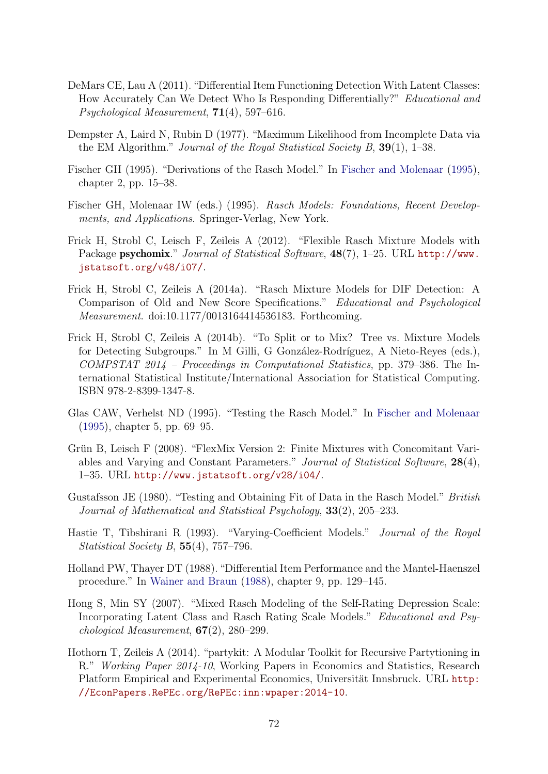- DeMars CE, Lau A (2011). "Differential Item Functioning Detection With Latent Classes: How Accurately Can We Detect Who Is Responding Differentially?" Educational and Psychological Measurement, 71(4), 597–616.
- Dempster A, Laird N, Rubin D (1977). "Maximum Likelihood from Incomplete Data via the EM Algorithm." Journal of the Royal Statistical Society B,  $39(1)$ , 1–38.
- Fischer GH (1995). "Derivations of the Rasch Model." In [Fischer and Molenaar](#page-72-0) [\(1995\)](#page-72-0), chapter 2, pp. 15–38.
- <span id="page-72-0"></span>Fischer GH, Molenaar IW (eds.) (1995). Rasch Models: Foundations, Recent Developments, and Applications. Springer-Verlag, New York.
- <span id="page-72-2"></span>Frick H, Strobl C, Leisch F, Zeileis A (2012). "Flexible Rasch Mixture Models with Package psychomix." Journal of Statistical Software, 48(7), 1–25. URL [http://www.](http://www.jstatsoft.org/v48/i07/) [jstatsoft.org/v48/i07/](http://www.jstatsoft.org/v48/i07/).
- <span id="page-72-3"></span>Frick H, Strobl C, Zeileis A (2014a). "Rasch Mixture Models for DIF Detection: A Comparison of Old and New Score Specifications." Educational and Psychological Measurement. doi:10.1177/0013164414536183. Forthcoming.
- <span id="page-72-4"></span>Frick H, Strobl C, Zeileis A (2014b). "To Split or to Mix? Tree vs. Mixture Models for Detecting Subgroups." In M Gilli, G González-Rodríguez, A Nieto-Reyes (eds.), COMPSTAT 2014 – Proceedings in Computational Statistics, pp. 379–386. The International Statistical Institute/International Association for Statistical Computing. ISBN 978-2-8399-1347-8.
- Glas CAW, Verhelst ND (1995). "Testing the Rasch Model." In [Fischer and Molenaar](#page-72-0) [\(1995\)](#page-72-0), chapter 5, pp. 69–95.
- <span id="page-72-1"></span>Grün B, Leisch F  $(2008)$ . "FlexMix Version 2: Finite Mixtures with Concomitant Variables and Varying and Constant Parameters." Journal of Statistical Software,  $28(4)$ , 1–35. URL <http://www.jstatsoft.org/v28/i04/>.
- Gustafsson JE (1980). "Testing and Obtaining Fit of Data in the Rasch Model." British Journal of Mathematical and Statistical Psychology, 33(2), 205–233.
- Hastie T, Tibshirani R (1993). "Varying-Coefficient Models." Journal of the Royal Statistical Society B,  $55(4)$ , 757–796.
- Holland PW, Thayer DT (1988). "Differential Item Performance and the Mantel-Haenszel procedure." In [Wainer and Braun](#page-75-0) [\(1988\)](#page-75-0), chapter 9, pp. 129–145.
- Hong S, Min SY (2007). "Mixed Rasch Modeling of the Self-Rating Depression Scale: Incorporating Latent Class and Rasch Rating Scale Models." Educational and Psychological Measurement,  $67(2)$ , 280–299.
- Hothorn T, Zeileis A (2014). "partykit: A Modular Toolkit for Recursive Partytioning in R." Working Paper 2014-10, Working Papers in Economics and Statistics, Research Platform Empirical and Experimental Economics, Universität Innsbruck. URL [http:](http://EconPapers.RePEc.org/RePEc:inn:wpaper:2014-10) [//EconPapers.RePEc.org/RePEc:inn:wpaper:2014-10](http://EconPapers.RePEc.org/RePEc:inn:wpaper:2014-10).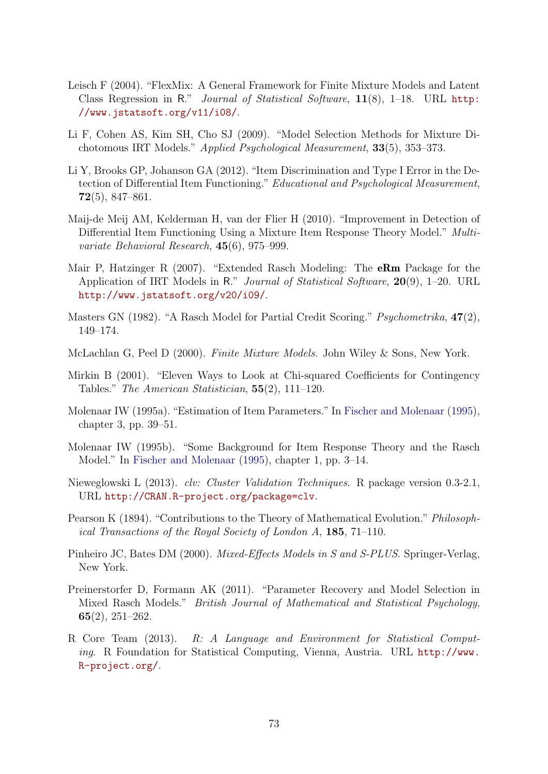- Leisch F (2004). "FlexMix: A General Framework for Finite Mixture Models and Latent Class Regression in R." Journal of Statistical Software,  $11(8)$ , 1–18. URL [http:](http://www.jstatsoft.org/v11/i08/) [//www.jstatsoft.org/v11/i08/](http://www.jstatsoft.org/v11/i08/).
- Li F, Cohen AS, Kim SH, Cho SJ (2009). "Model Selection Methods for Mixture Dichotomous IRT Models." Applied Psychological Measurement, 33(5), 353–373.
- Li Y, Brooks GP, Johanson GA (2012). "Item Discrimination and Type I Error in the Detection of Differential Item Functioning." Educational and Psychological Measurement, 72(5), 847–861.
- Maij-de Meij AM, Kelderman H, van der Flier H (2010). "Improvement in Detection of Differential Item Functioning Using a Mixture Item Response Theory Model." Multivariate Behavioral Research, 45(6), 975–999.
- Mair P, Hatzinger R (2007). "Extended Rasch Modeling: The **eRm** Package for the Application of IRT Models in R." Journal of Statistical Software, 20(9), 1–20. URL <http://www.jstatsoft.org/v20/i09/>.
- Masters GN (1982). "A Rasch Model for Partial Credit Scoring." *Psychometrika*,  $47(2)$ , 149–174.
- McLachlan G, Peel D (2000). Finite Mixture Models. John Wiley & Sons, New York.
- Mirkin B (2001). "Eleven Ways to Look at Chi-squared Coefficients for Contingency Tables." The American Statistician, 55(2), 111–120.
- Molenaar IW (1995a). "Estimation of Item Parameters." In [Fischer and Molenaar](#page-72-0) [\(1995\)](#page-72-0), chapter 3, pp. 39–51.
- Molenaar IW (1995b). "Some Background for Item Response Theory and the Rasch Model." In [Fischer and Molenaar](#page-72-0) [\(1995\)](#page-72-0), chapter 1, pp. 3–14.
- Nieweglowski L (2013). clv: Cluster Validation Techniques. R package version 0.3-2.1, URL <http://CRAN.R-project.org/package=clv>.
- Pearson K (1894). "Contributions to the Theory of Mathematical Evolution." Philosophical Transactions of the Royal Society of London A, 185, 71–110.
- Pinheiro JC, Bates DM (2000). Mixed-Effects Models in S and S-PLUS. Springer-Verlag, New York.
- Preinerstorfer D, Formann AK (2011). "Parameter Recovery and Model Selection in Mixed Rasch Models." British Journal of Mathematical and Statistical Psychology, 65(2), 251–262.
- R Core Team (2013). R: A Language and Environment for Statistical Computing. R Foundation for Statistical Computing, Vienna, Austria. URL [http://www.](http://www.R-project.org/) [R-project.org/](http://www.R-project.org/).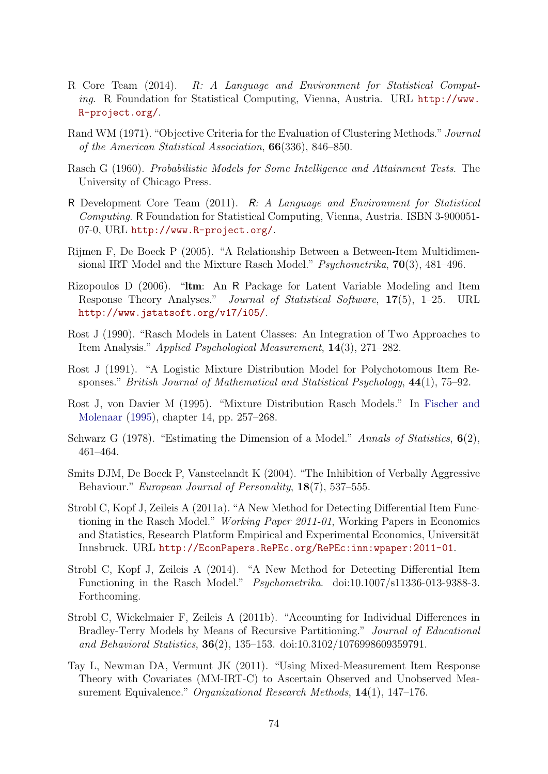- R Core Team (2014). R: A Language and Environment for Statistical Computing. R Foundation for Statistical Computing, Vienna, Austria. URL [http://www.](http://www.R-project.org/) [R-project.org/](http://www.R-project.org/).
- Rand WM (1971). "Objective Criteria for the Evaluation of Clustering Methods." Journal of the American Statistical Association, 66(336), 846–850.
- Rasch G (1960). Probabilistic Models for Some Intelligence and Attainment Tests. The University of Chicago Press.
- R Development Core Team (2011). R: A Language and Environment for Statistical Computing. R Foundation for Statistical Computing, Vienna, Austria. ISBN 3-900051- 07-0, URL <http://www.R-project.org/>.
- Rijmen F, De Boeck P (2005). "A Relationship Between a Between-Item Multidimensional IRT Model and the Mixture Rasch Model." Psychometrika, 70(3), 481-496.
- Rizopoulos D (2006). "ltm: An R Package for Latent Variable Modeling and Item Response Theory Analyses." Journal of Statistical Software, 17(5), 1–25. URL <http://www.jstatsoft.org/v17/i05/>.
- Rost J (1990). "Rasch Models in Latent Classes: An Integration of Two Approaches to Item Analysis." Applied Psychological Measurement, 14(3), 271–282.
- Rost J (1991). "A Logistic Mixture Distribution Model for Polychotomous Item Responses." British Journal of Mathematical and Statistical Psychology, 44(1), 75–92.
- Rost J, von Davier M (1995). "Mixture Distribution Rasch Models." In [Fischer and](#page-72-0) [Molenaar](#page-72-0) [\(1995\)](#page-72-0), chapter 14, pp. 257–268.
- Schwarz G (1978). "Estimating the Dimension of a Model." Annals of Statistics,  $6(2)$ , 461–464.
- Smits DJM, De Boeck P, Vansteelandt K (2004). "The Inhibition of Verbally Aggressive Behaviour." European Journal of Personality, 18(7), 537–555.
- Strobl C, Kopf J, Zeileis A (2011a). "A New Method for Detecting Differential Item Functioning in the Rasch Model." Working Paper 2011-01, Working Papers in Economics and Statistics, Research Platform Empirical and Experimental Economics, Universität Innsbruck. URL <http://EconPapers.RePEc.org/RePEc:inn:wpaper:2011-01>.
- Strobl C, Kopf J, Zeileis A (2014). "A New Method for Detecting Differential Item Functioning in the Rasch Model." Psychometrika. doi:10.1007/s11336-013-9388-3. Forthcoming.
- Strobl C, Wickelmaier F, Zeileis A (2011b). "Accounting for Individual Differences in Bradley-Terry Models by Means of Recursive Partitioning." Journal of Educational and Behavioral Statistics, 36(2), 135–153. doi:10.3102/1076998609359791.
- Tay L, Newman DA, Vermunt JK (2011). "Using Mixed-Measurement Item Response Theory with Covariates (MM-IRT-C) to Ascertain Observed and Unobserved Measurement Equivalence." *Organizational Research Methods*, **14**(1), 147–176.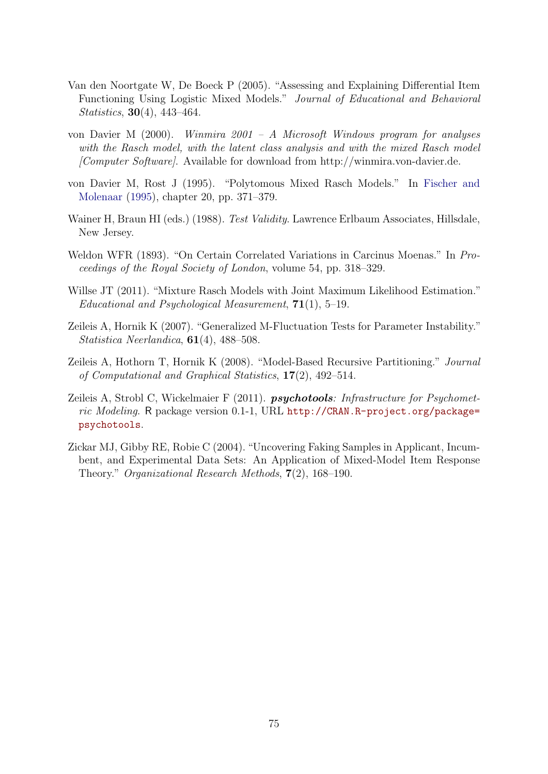- Van den Noortgate W, De Boeck P (2005). "Assessing and Explaining Differential Item Functioning Using Logistic Mixed Models." Journal of Educational and Behavioral Statistics, 30(4), 443–464.
- von Davier M (2000). Winmira  $2001 A$  Microsoft Windows program for analyses with the Rasch model, with the latent class analysis and with the mixed Rasch model [Computer Software]. Available for download from http://winmira.von-davier.de.
- von Davier M, Rost J (1995). "Polytomous Mixed Rasch Models." In [Fischer and](#page-72-0) [Molenaar](#page-72-0) [\(1995\)](#page-72-0), chapter 20, pp. 371–379.
- <span id="page-75-0"></span>Wainer H, Braun HI (eds.) (1988). Test Validity. Lawrence Erlbaum Associates, Hillsdale, New Jersey.
- Weldon WFR (1893). "On Certain Correlated Variations in Carcinus Moenas." In Proceedings of the Royal Society of London, volume 54, pp. 318–329.
- Willse JT (2011). "Mixture Rasch Models with Joint Maximum Likelihood Estimation." Educational and Psychological Measurement, 71(1), 5–19.
- Zeileis A, Hornik K (2007). "Generalized M-Fluctuation Tests for Parameter Instability." Statistica Neerlandica, **61**(4), 488–508.
- Zeileis A, Hothorn T, Hornik K (2008). "Model-Based Recursive Partitioning." Journal of Computational and Graphical Statistics, 17(2), 492–514.
- Zeileis A, Strobl C, Wickelmaier F  $(2011)$ . **psychotools**: Infrastructure for Psychometric Modeling. R package version 0.1-1, URL [http://CRAN.R-project.org/package=](http://CRAN.R-project.org/package=psychotools) [psychotools](http://CRAN.R-project.org/package=psychotools).
- Zickar MJ, Gibby RE, Robie C (2004). "Uncovering Faking Samples in Applicant, Incumbent, and Experimental Data Sets: An Application of Mixed-Model Item Response Theory." Organizational Research Methods, 7(2), 168–190.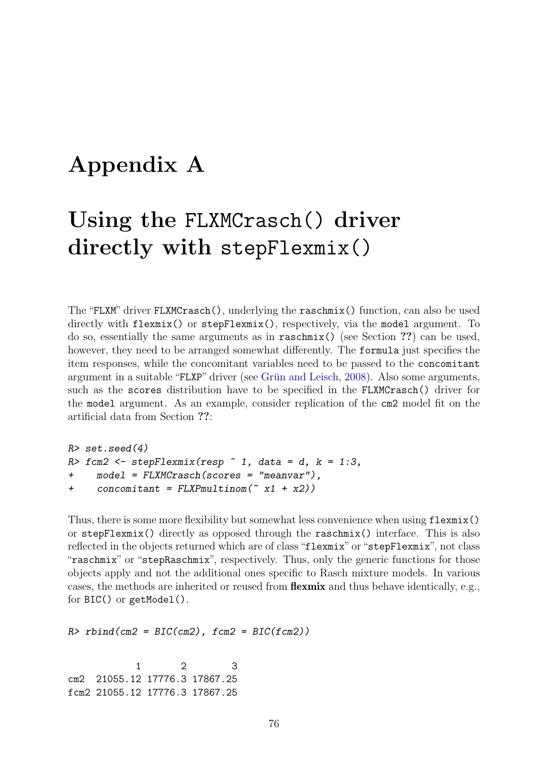### Appendix A

## Using the FLXMCrasch() driver directly with stepFlexmix()

The "FLXM" driver FLXMCrasch(), underlying the raschmix() function, can also be used directly with flexmix() or stepFlexmix(), respectively, via the model argument. To do so, essentially the same arguments as in raschmix() (see Section ??) can be used, however, they need to be arranged somewhat differently. The **formula** just specifies the item responses, while the concomitant variables need to be passed to the concomitant argument in a suitable " $FLXP$ " driver (see Grün and Leisch, [2008\)](#page-72-1). Also some arguments, such as the scores distribution have to be specified in the FLXMCrasch() driver for the model argument. As an example, consider replication of the cm2 model fit on the artificial data from Section ??:

```
R> set.seed(4)
R > fcm2 <- stepFlexmix(resp \degree 1, data = d, k = 1:3,
+ model = FLXMCrasch(scores = "meanvar"),
+ concomitant = FLXPmultinom(" x1 + x2))
```
Thus, there is some more flexibility but somewhat less convenience when using flexmix() or stepFlexmix() directly as opposed through the raschmix() interface. This is also reflected in the objects returned which are of class "flexmix" or "stepFlexmix", not class "raschmix" or "stepRaschmix", respectively. Thus, only the generic functions for those objects apply and not the additional ones specific to Rasch mixture models. In various cases, the methods are inherited or reused from flexmix and thus behave identically, e.g., for BIC() or getModel().

 $R> rbind(cm2 = BIC(cm2), fcm2 = BIC(fcm2))$ 

1 2 3 cm2 21055.12 17776.3 17867.25 fcm2 21055.12 17776.3 17867.25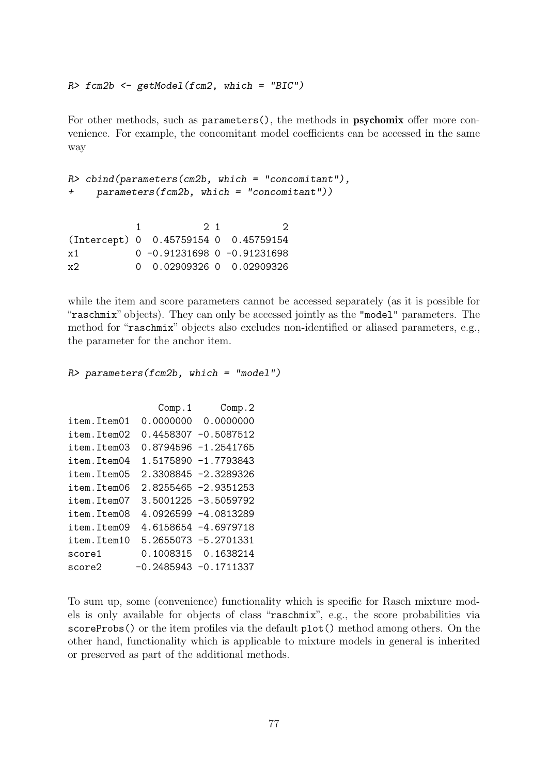$R$ > fcm2b <- getModel(fcm2, which = "BIC")

For other methods, such as parameters(), the methods in **psychomix** offer more convenience. For example, the concomitant model coefficients can be accessed in the same way

```
R> cbind(parameters(cm2b, which = "concomitant"),
+ parameters(fcm2b, which = "concomitant"))
```
1 2 1 2 2 (Intercept) 0 0.45759154 0 0.45759154 x1 0 -0.91231698 0 -0.91231698 x2 0 0.02909326 0 0.02909326

while the item and score parameters cannot be accessed separately (as it is possible for "raschmix" objects). They can only be accessed jointly as the "model" parameters. The method for "raschmix" objects also excludes non-identified or aliased parameters, e.g., the parameter for the anchor item.

 $R$ > parameters(fcm2b, which = "model")

|              | Comp.1    | Comp.2                   |
|--------------|-----------|--------------------------|
| item.Item01  | 0.0000000 | 0.0000000                |
| item.Item02  |           | 0.4458307 -0.5087512     |
| item.Item03  |           | 0.8794596 -1.2541765     |
| item.Ttem04  |           | 1.5175890 -1.7793843     |
| item.Item05  |           | 2.3308845 -2.3289326     |
| item.Item06  |           | 2.8255465 -2.9351253     |
| item.Item07  |           | 3.5001225 -3.5059792     |
| item. Item08 |           | 4.0926599 -4.0813289     |
| item.Item09  |           | 4.6158654 -4.6979718     |
| item. Item10 |           | 5.2655073 -5.2701331     |
| score1       |           | 0.1008315 0.1638214      |
| score2       |           | $-0.2485943 - 0.1711337$ |

To sum up, some (convenience) functionality which is specific for Rasch mixture models is only available for objects of class "raschmix", e.g., the score probabilities via scoreProbs() or the item profiles via the default plot() method among others. On the other hand, functionality which is applicable to mixture models in general is inherited or preserved as part of the additional methods.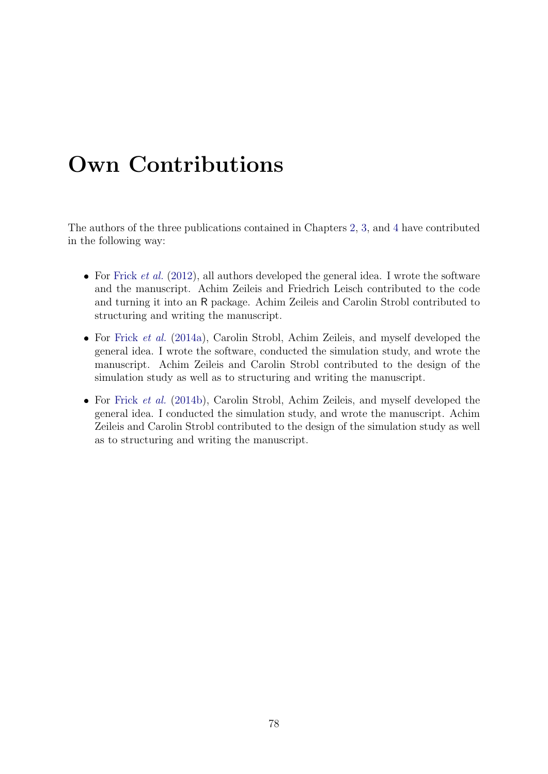# Own Contributions

The authors of the three publications contained in Chapters [2,](#page-13-0) [3,](#page-35-0) and [4](#page-60-0) have contributed in the following way:

- For Frick *[et al.](#page-72-2)* [\(2012\)](#page-72-2), all authors developed the general idea. I wrote the software and the manuscript. Achim Zeileis and Friedrich Leisch contributed to the code and turning it into an R package. Achim Zeileis and Carolin Strobl contributed to structuring and writing the manuscript.
- For Frick [et al.](#page-72-3) [\(2014a\)](#page-72-3), Carolin Strobl, Achim Zeileis, and myself developed the general idea. I wrote the software, conducted the simulation study, and wrote the manuscript. Achim Zeileis and Carolin Strobl contributed to the design of the simulation study as well as to structuring and writing the manuscript.
- For Frick *[et al.](#page-72-4)* [\(2014b\)](#page-72-4), Carolin Strobl, Achim Zeileis, and myself developed the general idea. I conducted the simulation study, and wrote the manuscript. Achim Zeileis and Carolin Strobl contributed to the design of the simulation study as well as to structuring and writing the manuscript.